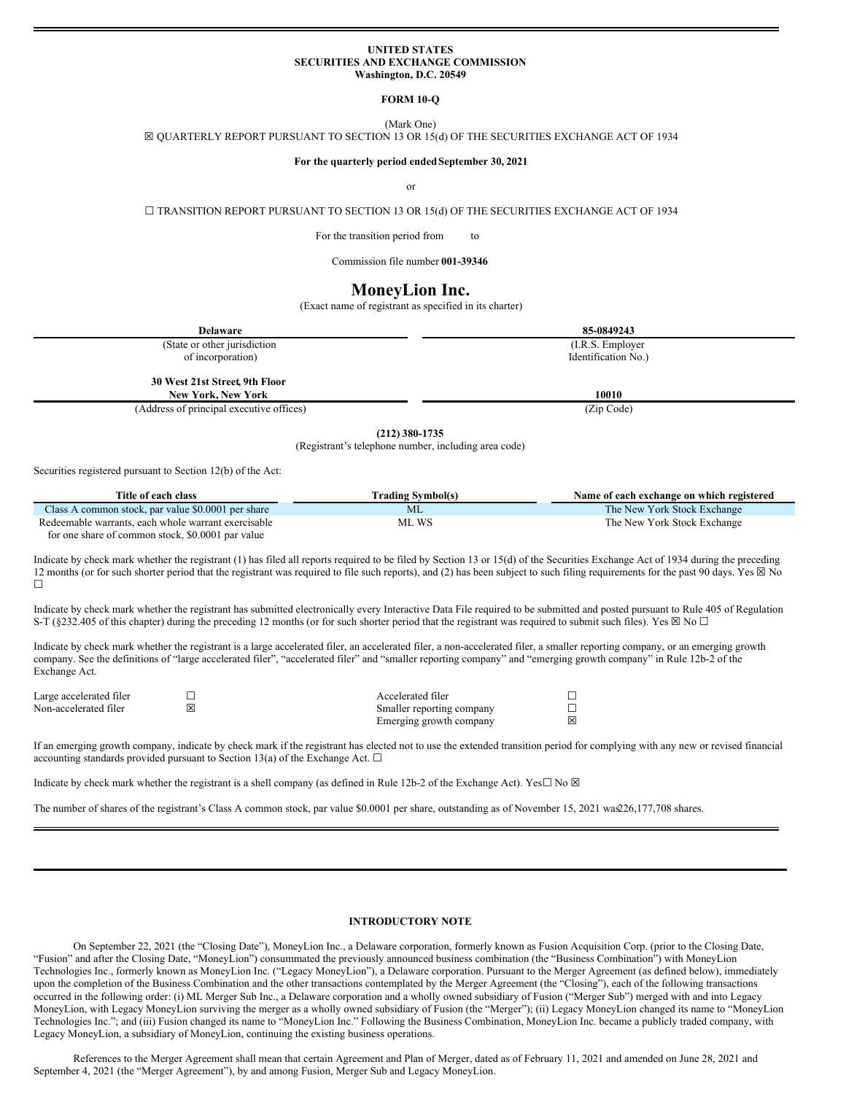### **UNITED STATES SECURITIES AND EXCHANGE COMMISSION Washington, D.C. 20549**

**FORM 10-Q**

(Mark One)

<span id="page-0-0"></span>☒ QUARTERLY REPORT PURSUANT TO SECTION 13 OR 15(d) OF THE SECURITIES EXCHANGE ACT OF 1934

**For the quarterly period endedSeptember 30, 2021**

or

 $\Box$  TRANSITION REPORT PURSUANT TO SECTION 13 OR 15(d) OF THE SECURITIES EXCHANGE ACT OF 1934

For the transition period from to

Commission file number **001-39346**

# **MoneyLion Inc.**

(Exact name of registrant as specified in its charter)

| <b>Delaware</b>                          | 85-0849243          |  |  |  |  |  |  |  |  |
|------------------------------------------|---------------------|--|--|--|--|--|--|--|--|
| (State or other jurisdiction             | (I.R.S. Employer)   |  |  |  |  |  |  |  |  |
| of incorporation)                        | Identification No.) |  |  |  |  |  |  |  |  |
| 30 West 21st Street, 9th Floor           |                     |  |  |  |  |  |  |  |  |
| <b>New York, New York</b>                | 10010               |  |  |  |  |  |  |  |  |
| (Address of principal executive offices) | (Zip Code)          |  |  |  |  |  |  |  |  |
| $(212)$ 380-1735                         |                     |  |  |  |  |  |  |  |  |

(Registrant's telephone number, including area code)

Securities registered pursuant to Section 12(b) of the Act:

| Title of each class                                 | Frading Svmbol(s) | Name of each exchange on which registered |
|-----------------------------------------------------|-------------------|-------------------------------------------|
| Class A common stock, par value \$0,0001 per share  | ML                | The New York Stock Exchange               |
| Redeemable warrants, each whole warrant exercisable | ML WS             | The New York Stock Exchange               |
| for one share of common stock, \$0,0001 par value   |                   |                                           |

Indicate by check mark whether the registrant (1) has filed all reports required to be filed by Section 13 or 15(d) of the Securities Exchange Act of 1934 during the preceding 12 months (or for such shorter period that the registrant was required to file such reports), and (2) has been subject to such filing requirements for the past 90 days. Yes  $\boxtimes$  No ☐

Indicate by check mark whether the registrant has submitted electronically every Interactive Data File required to be submitted and posted pursuant to Rule 405 of Regulation S-T (§232.405 of this chapter) during the preceding 12 months (or for such shorter period that the registrant was required to submit such files). Yes  $\boxtimes$  No  $\Box$ 

Indicate by check mark whether the registrant is a large accelerated filer, an accelerated filer, a non-accelerated filer, a smaller reporting company, or an emerging growth company. See the definitions of "large accelerated filer", "accelerated filer" and "smaller reporting company" and "emerging growth company" in Rule 12b-2 of the Exchange Act.

Large accelerated filer ☐ Accelerated filer ☐ Non-accelerated filer  $\boxtimes$ Emerging growth company  $\boxtimes$ 

If an emerging growth company, indicate by check mark if the registrant has elected not to use the extended transition period for complying with any new or revised financial accounting standards provided pursuant to Section 13(a) of the Exchange Act.  $\Box$ 

Indicate by check mark whether the registrant is a shell company (as defined in Rule 12b-2 of the Exchange Act). Yes $\Box$  No  $\boxtimes$ 

The number of shares of the registrant's Class A common stock, par value \$0.0001 per share, outstanding as of November 15, 2021 was226,177,708 shares.

## **INTRODUCTORY NOTE**

On September 22, 2021 (the "Closing Date"), MoneyLion Inc., a Delaware corporation, formerly known as Fusion Acquisition Corp. (prior to the Closing Date, "Fusion" and after the Closing Date, "MoneyLion") consummated the previously announced business combination (the "Business Combination") with MoneyLion Technologies Inc., formerly known as MoneyLion Inc. ("Legacy MoneyLion"), a Delaware corporation. Pursuant to the Merger Agreement (as defined below), immediately upon the completion of the Business Combination and the other transactions contemplated by the Merger Agreement (the "Closing"), each of the following transactions occurred in the following order: (i) ML Merger Sub Inc., a Delaware corporation and a wholly owned subsidiary of Fusion ("Merger Sub") merged with and into Legacy MoneyLion, with Legacy MoneyLion surviving the merger as a wholly owned subsidiary of Fusion (the "Merger"); (ii) Legacy MoneyLion changed its name to "MoneyLion Technologies Inc."; and (iii) Fusion changed its name to "MoneyLion Inc." Following the Business Combination, MoneyLion Inc. became a publicly traded company, with Legacy MoneyLion, a subsidiary of MoneyLion, continuing the existing business operations.

References to the Merger Agreement shall mean that certain Agreement and Plan of Merger, dated as of February 11, 2021 and amended on June 28, 2021 and September 4, 2021 (the "Merger Agreement"), by and among Fusion, Merger Sub and Legacy MoneyLion.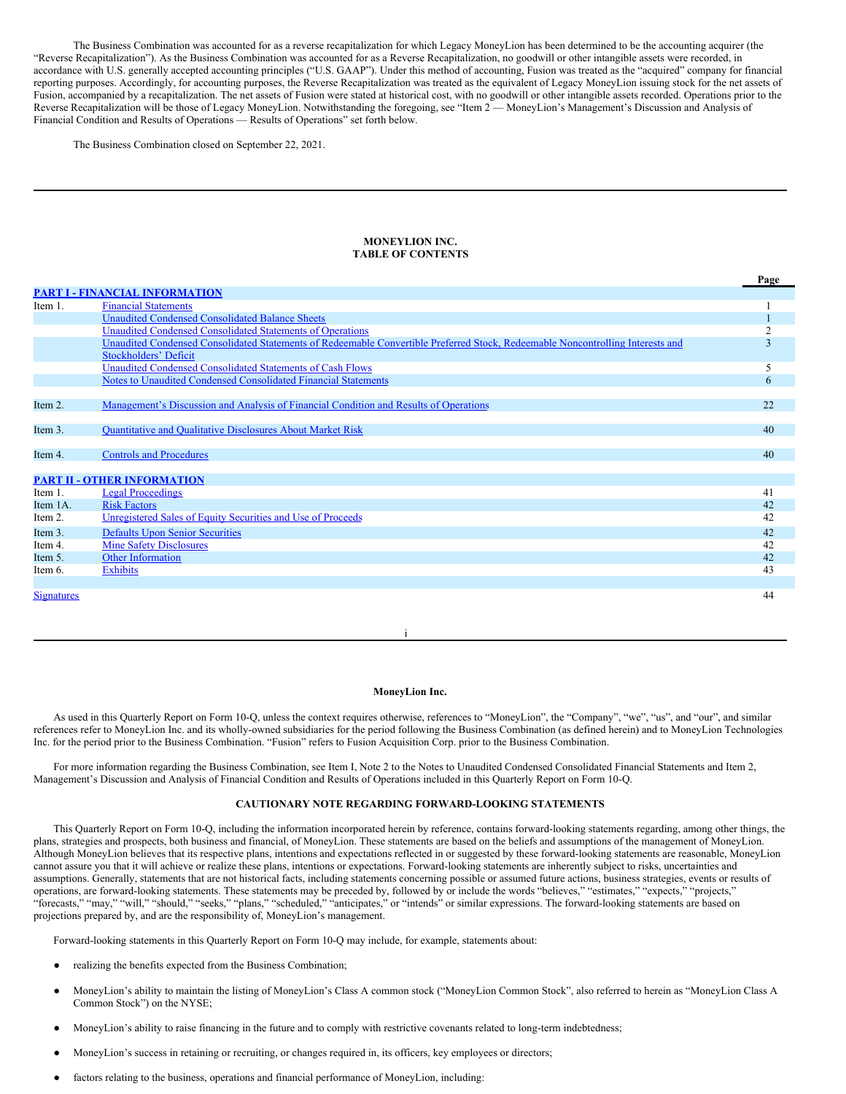The Business Combination was accounted for as a reverse recapitalization for which Legacy MoneyLion has been determined to be the accounting acquirer (the "Reverse Recapitalization"). As the Business Combination was accounted for as a Reverse Recapitalization, no goodwill or other intangible assets were recorded, in accordance with U.S. generally accepted accounting principles ("U.S. GAAP"). Under this method of accounting, Fusion was treated as the "acquired" company for financial reporting purposes. Accordingly, for accounting purposes, the Reverse Recapitalization was treated as the equivalent of Legacy MoneyLion issuing stock for the net assets of Fusion, accompanied by a recapitalization. The net assets of Fusion were stated at historical cost, with no goodwill or other intangible assets recorded. Operations prior to the Reverse Recapitalization will be those of Legacy MoneyLion. Notwithstanding the foregoing, see "Item 2 — MoneyLion's Management's Discussion and Analysis of Financial Condition and Results of Operations — Results of Operations" set forth below.

The Business Combination closed on September 22, 2021.

## **MONEYLION INC. TABLE OF CONTENTS**

|                   |                                                                                                                                | Page           |
|-------------------|--------------------------------------------------------------------------------------------------------------------------------|----------------|
|                   | <b>PART I - FINANCIAL INFORMATION</b>                                                                                          |                |
| Item 1.           | <b>Financial Statements</b>                                                                                                    |                |
|                   | <b>Unaudited Condensed Consolidated Balance Sheets</b>                                                                         |                |
|                   | <b>Unaudited Condensed Consolidated Statements of Operations</b>                                                               | $\overline{2}$ |
|                   | Unaudited Condensed Consolidated Statements of Redeemable Convertible Preferred Stock, Redeemable Noncontrolling Interests and | 3              |
|                   | <b>Stockholders' Deficit</b>                                                                                                   |                |
|                   | Unaudited Condensed Consolidated Statements of Cash Flows                                                                      | 5              |
|                   | Notes to Unaudited Condensed Consolidated Financial Statements                                                                 | 6              |
|                   |                                                                                                                                | 22             |
| Item 2.           | Management's Discussion and Analysis of Financial Condition and Results of Operations                                          |                |
| Item 3.           | <b>Quantitative and Qualitative Disclosures About Market Risk</b>                                                              | 40             |
|                   |                                                                                                                                |                |
| Item 4.           | <b>Controls and Procedures</b>                                                                                                 | 40             |
|                   |                                                                                                                                |                |
|                   | <b>PART II - OTHER INFORMATION</b>                                                                                             |                |
| Item 1.           | <b>Legal Proceedings</b>                                                                                                       | 41             |
| Item 1A.          | <b>Risk Factors</b>                                                                                                            | 42             |
| Item 2.           | Unregistered Sales of Equity Securities and Use of Proceeds                                                                    | 42             |
| Item 3.           | <b>Defaults Upon Senior Securities</b>                                                                                         | 42             |
| Item 4.           | <b>Mine Safety Disclosures</b>                                                                                                 | 42             |
| Item 5.           | <b>Other Information</b>                                                                                                       | 42             |
| Item 6.           | <b>Exhibits</b>                                                                                                                | 43             |
|                   |                                                                                                                                |                |
| <b>Signatures</b> |                                                                                                                                | 44             |
|                   |                                                                                                                                |                |

i

## **MoneyLion Inc.**

As used in this Quarterly Report on Form 10-Q, unless the context requires otherwise, references to "MoneyLion", the "Company", "we", "us", and "our", and similar references refer to MoneyLion Inc. and its wholly-owned subsidiaries for the period following the Business Combination (as defined herein) and to MoneyLion Technologies Inc. for the period prior to the Business Combination. "Fusion" refers to Fusion Acquisition Corp. prior to the Business Combination.

For more information regarding the Business Combination, see Item I, Note 2 to the Notes to Unaudited Condensed Consolidated Financial Statements and Item 2, Management's Discussion and Analysis of Financial Condition and Results of Operations included in this Quarterly Report on Form 10-Q.

# **CAUTIONARY NOTE REGARDING FORWARD-LOOKING STATEMENTS**

This Quarterly Report on Form 10-Q, including the information incorporated herein by reference, contains forward-looking statements regarding, among other things, the plans, strategies and prospects, both business and financial, of MoneyLion. These statements are based on the beliefs and assumptions of the management of MoneyLion. Although MoneyLion believes that its respective plans, intentions and expectations reflected in or suggested by these forward-looking statements are reasonable, MoneyLion cannot assure you that it will achieve or realize these plans, intentions or expectations. Forward-looking statements are inherently subject to risks, uncertainties and assumptions. Generally, statements that are not historical facts, including statements concerning possible or assumed future actions, business strategies, events or results of operations, are forward-looking statements. These statements may be preceded by, followed by or include the words "believes," "estimates," "expects," "projects," "forecasts," "may," "will," "should," "seeks," "plans," "scheduled," "anticipates," or "intends" or similar expressions. The forward-looking statements are based on projections prepared by, and are the responsibility of, MoneyLion's management.

Forward-looking statements in this Quarterly Report on Form 10-Q may include, for example, statements about:

- realizing the benefits expected from the Business Combination;
- MoneyLion's ability to maintain the listing of MoneyLion's Class A common stock ("MoneyLion Common Stock", also referred to herein as "MoneyLion Class A Common Stock") on the NYSE;
- MoneyLion's ability to raise financing in the future and to comply with restrictive covenants related to long-term indebtedness;
- MoneyLion's success in retaining or recruiting, or changes required in, its officers, key employees or directors;
- factors relating to the business, operations and financial performance of MoneyLion, including: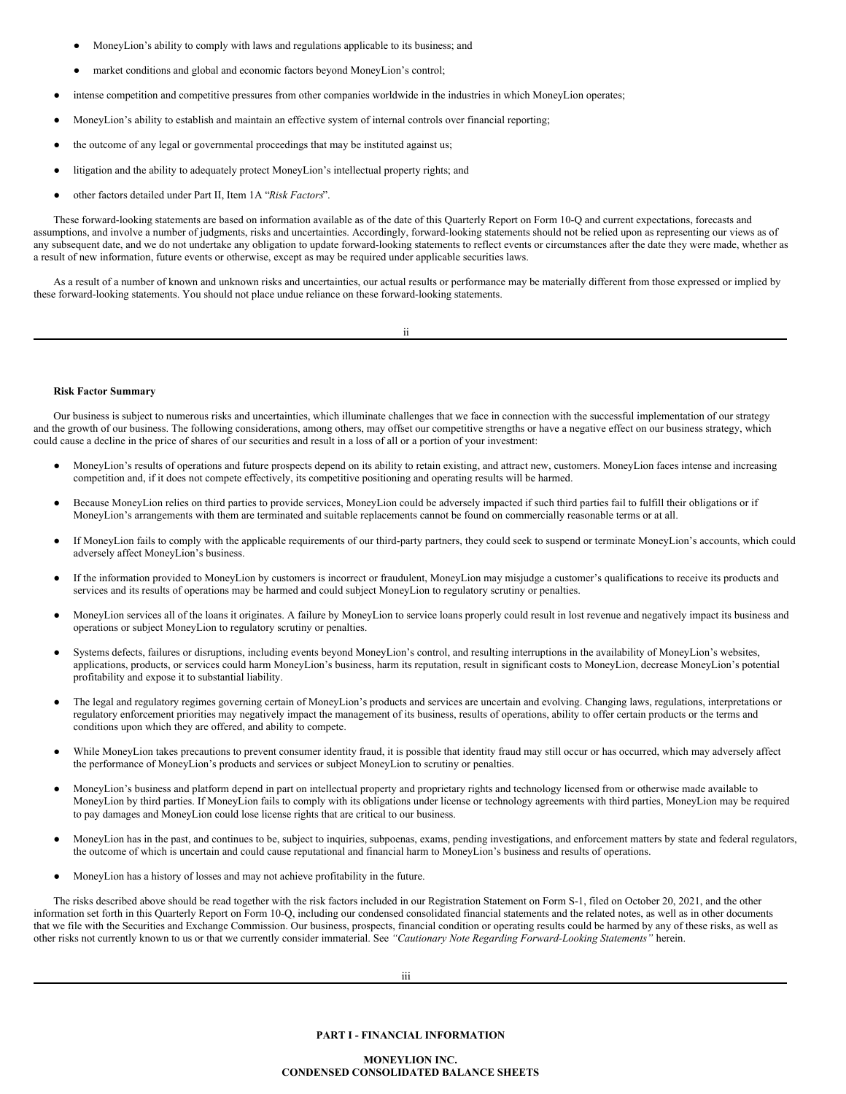- MoneyLion's ability to comply with laws and regulations applicable to its business; and
- market conditions and global and economic factors beyond MoneyLion's control;
- intense competition and competitive pressures from other companies worldwide in the industries in which MoneyLion operates;
- MoneyLion's ability to establish and maintain an effective system of internal controls over financial reporting;
- the outcome of any legal or governmental proceedings that may be instituted against us;
- litigation and the ability to adequately protect MoneyLion's intellectual property rights; and
- other factors detailed under Part II, Item 1A "*Risk Factors*".

These forward-looking statements are based on information available as of the date of this Quarterly Report on Form 10-Q and current expectations, forecasts and assumptions, and involve a number of judgments, risks and uncertainties. Accordingly, forward-looking statements should not be relied upon as representing our views as of any subsequent date, and we do not undertake any obligation to update forward-looking statements to reflect events or circumstances after the date they were made, whether as a result of new information, future events or otherwise, except as may be required under applicable securities laws.

As a result of a number of known and unknown risks and uncertainties, our actual results or performance may be materially different from those expressed or implied by these forward-looking statements. You should not place undue reliance on these forward-looking statements.

|  | ٠ |  |
|--|---|--|
|  |   |  |
|  |   |  |
|  |   |  |

#### **Risk Factor Summary**

Our business is subject to numerous risks and uncertainties, which illuminate challenges that we face in connection with the successful implementation of our strategy and the growth of our business. The following considerations, among others, may offset our competitive strengths or have a negative effect on our business strategy, which could cause a decline in the price of shares of our securities and result in a loss of all or a portion of your investment:

- MoneyLion's results of operations and future prospects depend on its ability to retain existing, and attract new, customers. MoneyLion faces intense and increasing competition and, if it does not compete effectively, its competitive positioning and operating results will be harmed.
- Because MoneyLion relies on third parties to provide services, MoneyLion could be adversely impacted if such third parties fail to fulfill their obligations or if MoneyLion's arrangements with them are terminated and suitable replacements cannot be found on commercially reasonable terms or at all.
- If MoneyLion fails to comply with the applicable requirements of our third-party partners, they could seek to suspend or terminate MoneyLion's accounts, which could adversely affect MoneyLion's business.
- If the information provided to MoneyLion by customers is incorrect or fraudulent, MoneyLion may misjudge a customer's qualifications to receive its products and services and its results of operations may be harmed and could subject MoneyLion to regulatory scrutiny or penalties.
- MoneyLion services all of the loans it originates. A failure by MoneyLion to service loans properly could result in lost revenue and negatively impact its business and operations or subject MoneyLion to regulatory scrutiny or penalties.
- Systems defects, failures or disruptions, including events beyond MoneyLion's control, and resulting interruptions in the availability of MoneyLion's websites, applications, products, or services could harm MoneyLion's business, harm its reputation, result in significant costs to MoneyLion, decrease MoneyLion's potential profitability and expose it to substantial liability.
- The legal and regulatory regimes governing certain of MoneyLion's products and services are uncertain and evolving. Changing laws, regulations, interpretations or regulatory enforcement priorities may negatively impact the management of its business, results of operations, ability to offer certain products or the terms and conditions upon which they are offered, and ability to compete.
- While MoneyLion takes precautions to prevent consumer identity fraud, it is possible that identity fraud may still occur or has occurred, which may adversely affect the performance of MoneyLion's products and services or subject MoneyLion to scrutiny or penalties.
- MoneyLion's business and platform depend in part on intellectual property and proprietary rights and technology licensed from or otherwise made available to MoneyLion by third parties. If MoneyLion fails to comply with its obligations under license or technology agreements with third parties, MoneyLion may be required to pay damages and MoneyLion could lose license rights that are critical to our business.
- MoneyLion has in the past, and continues to be, subject to inquiries, subpoenas, exams, pending investigations, and enforcement matters by state and federal regulators, the outcome of which is uncertain and could cause reputational and financial harm to MoneyLion's business and results of operations.
- MoneyLion has a history of losses and may not achieve profitability in the future.

The risks described above should be read together with the risk factors included in our Registration Statement on Form S-1, filed on October 20, 2021, and the other information set forth in this Quarterly Report on Form 10-Q, including our condensed consolidated financial statements and the related notes, as well as in other documents that we file with the Securities and Exchange Commission. Our business, prospects, financial condition or operating results could be harmed by any of these risks, as well as other risks not currently known to us or that we currently consider immaterial. See *"Cautionary Note Regarding Forward-Looking Statements"* herein.

## **PART I - FINANCIAL INFORMATION**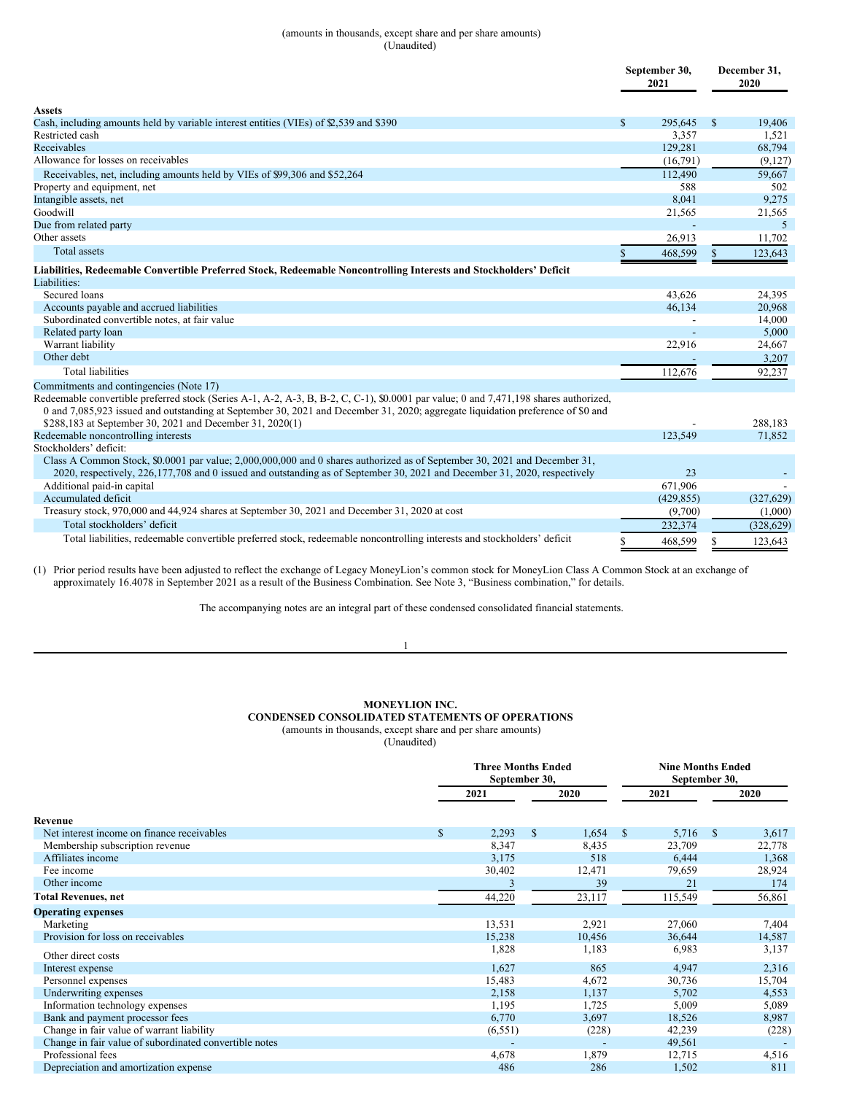## (amounts in thousands, except share and per share amounts) (Unaudited)

|                                                                                                                                                                                                                                                                          | September 30,<br>2021   | December 31,<br>2020   |
|--------------------------------------------------------------------------------------------------------------------------------------------------------------------------------------------------------------------------------------------------------------------------|-------------------------|------------------------|
| Assets                                                                                                                                                                                                                                                                   |                         |                        |
| Cash, including amounts held by variable interest entities (VIEs) of $\mathcal{L}$ , 539 and \$390                                                                                                                                                                       | $\mathbb{S}$<br>295,645 | $\mathbb{S}$<br>19,406 |
| Restricted cash                                                                                                                                                                                                                                                          | 3,357                   | 1,521                  |
| Receivables                                                                                                                                                                                                                                                              | 129,281                 | 68,794                 |
| Allowance for losses on receivables                                                                                                                                                                                                                                      | (16,791)                | (9,127)                |
| Receivables, net, including amounts held by VIEs of \$99,306 and \$52,264                                                                                                                                                                                                | 112,490                 | 59.667                 |
| Property and equipment, net                                                                                                                                                                                                                                              | 588                     | 502                    |
| Intangible assets, net                                                                                                                                                                                                                                                   | 8,041                   | 9,275                  |
| Goodwill                                                                                                                                                                                                                                                                 | 21,565                  | 21,565                 |
| Due from related party                                                                                                                                                                                                                                                   |                         | -5                     |
| Other assets                                                                                                                                                                                                                                                             | 26,913                  | 11,702                 |
| Total assets                                                                                                                                                                                                                                                             | 468,599                 | 123,643                |
| Liabilities, Redeemable Convertible Preferred Stock, Redeemable Noncontrolling Interests and Stockholders' Deficit                                                                                                                                                       |                         |                        |
| Liabilities:                                                                                                                                                                                                                                                             |                         |                        |
| Secured loans                                                                                                                                                                                                                                                            | 43.626                  | 24,395                 |
| Accounts payable and accrued liabilities                                                                                                                                                                                                                                 | 46,134                  | 20,968                 |
| Subordinated convertible notes, at fair value                                                                                                                                                                                                                            |                         | 14,000                 |
| Related party loan                                                                                                                                                                                                                                                       |                         | 5,000                  |
| Warrant liability                                                                                                                                                                                                                                                        | 22,916                  | 24,667                 |
| Other debt                                                                                                                                                                                                                                                               |                         | 3,207                  |
| <b>Total liabilities</b>                                                                                                                                                                                                                                                 | 112,676                 | 92,237                 |
| Commitments and contingencies (Note 17)                                                                                                                                                                                                                                  |                         |                        |
| Redeemable convertible preferred stock (Series A-1, A-2, A-3, B, B-2, C, C-1), \$0.0001 par value; 0 and 7,471,198 shares authorized,<br>0 and 7,085,923 issued and outstanding at September 30, 2021 and December 31, 2020; aggregate liquidation preference of \$0 and |                         |                        |
| \$288,183 at September 30, 2021 and December 31, 2020(1)                                                                                                                                                                                                                 |                         | 288.183                |
| Redeemable noncontrolling interests                                                                                                                                                                                                                                      | 123,549                 | 71,852                 |
| Stockholders' deficit:                                                                                                                                                                                                                                                   |                         |                        |
| Class A Common Stock, \$0.0001 par value; 2,000,000,000 and 0 shares authorized as of September 30, 2021 and December 31,                                                                                                                                                |                         |                        |
| 2020, respectively, 226,177,708 and 0 issued and outstanding as of September 30, 2021 and December 31, 2020, respectively                                                                                                                                                | 23                      |                        |
| Additional paid-in capital<br>Accumulated deficit                                                                                                                                                                                                                        | 671,906                 |                        |
|                                                                                                                                                                                                                                                                          | (429, 855)              | (327, 629)             |
| Treasury stock, 970,000 and 44,924 shares at September 30, 2021 and December 31, 2020 at cost                                                                                                                                                                            | (9,700)                 | (1,000)                |
| Total stockholders' deficit                                                                                                                                                                                                                                              | 232,374                 | (328, 629)             |
| Total liabilities, redeemable convertible preferred stock, redeemable noncontrolling interests and stockholders' deficit                                                                                                                                                 | 468,599                 | 123,643                |

(1) Prior period results have been adjusted to reflect the exchange of Legacy MoneyLion's common stock for MoneyLion Class A Common Stock at an exchange of approximately 16.4078 in September 2021 as a result of the Business Combination. See Note 3, "Business combination," for details.

The accompanying notes are an integral part of these condensed consolidated financial statements.

## 1

# **MONEYLION INC. CONDENSED CONSOLIDATED STATEMENTS OF OPERATIONS** (amounts in thousands, except share and per share amounts)

| (Unaudited) |  |
|-------------|--|
|             |  |

|                                                        | <b>Three Months Ended</b> | September 30, |        |               | <b>Nine Months Ended</b><br>September 30, |          |        |
|--------------------------------------------------------|---------------------------|---------------|--------|---------------|-------------------------------------------|----------|--------|
|                                                        | 2021                      |               | 2020   |               | 2021                                      |          | 2020   |
| Revenue                                                |                           |               |        |               |                                           |          |        |
| Net interest income on finance receivables             | \$<br>2,293               | \$            | 1,654  | <sup>\$</sup> | 5,716                                     | <b>S</b> | 3,617  |
| Membership subscription revenue                        | 8,347                     |               | 8,435  |               | 23,709                                    |          | 22,778 |
| Affiliates income                                      | 3,175                     |               | 518    |               | 6,444                                     |          | 1,368  |
| Fee income                                             | 30,402                    |               | 12,471 |               | 79,659                                    |          | 28,924 |
| Other income                                           |                           |               | 39     |               | 21                                        |          | 174    |
| <b>Total Revenues, net</b>                             | 44,220                    |               | 23,117 |               | 115,549                                   |          | 56,861 |
| <b>Operating expenses</b>                              |                           |               |        |               |                                           |          |        |
| Marketing                                              | 13,531                    |               | 2,921  |               | 27,060                                    |          | 7,404  |
| Provision for loss on receivables                      | 15,238                    |               | 10,456 |               | 36,644                                    |          | 14,587 |
| Other direct costs                                     | 1,828                     |               | 1,183  |               | 6,983                                     |          | 3,137  |
| Interest expense                                       | 1,627                     |               | 865    |               | 4,947                                     |          | 2,316  |
| Personnel expenses                                     | 15,483                    |               | 4,672  |               | 30,736                                    |          | 15,704 |
| Underwriting expenses                                  | 2,158                     |               | 1,137  |               | 5,702                                     |          | 4,553  |
| Information technology expenses                        | 1,195                     |               | 1,725  |               | 5,009                                     |          | 5,089  |
| Bank and payment processor fees                        | 6,770                     |               | 3,697  |               | 18,526                                    |          | 8,987  |
| Change in fair value of warrant liability              | (6, 551)                  |               | (228)  |               | 42,239                                    |          | (228)  |
| Change in fair value of subordinated convertible notes |                           |               |        |               | 49,561                                    |          |        |
| Professional fees                                      | 4,678                     |               | 1,879  |               | 12,715                                    |          | 4,516  |
| Depreciation and amortization expense                  | 486                       |               | 286    |               | 1,502                                     |          | 811    |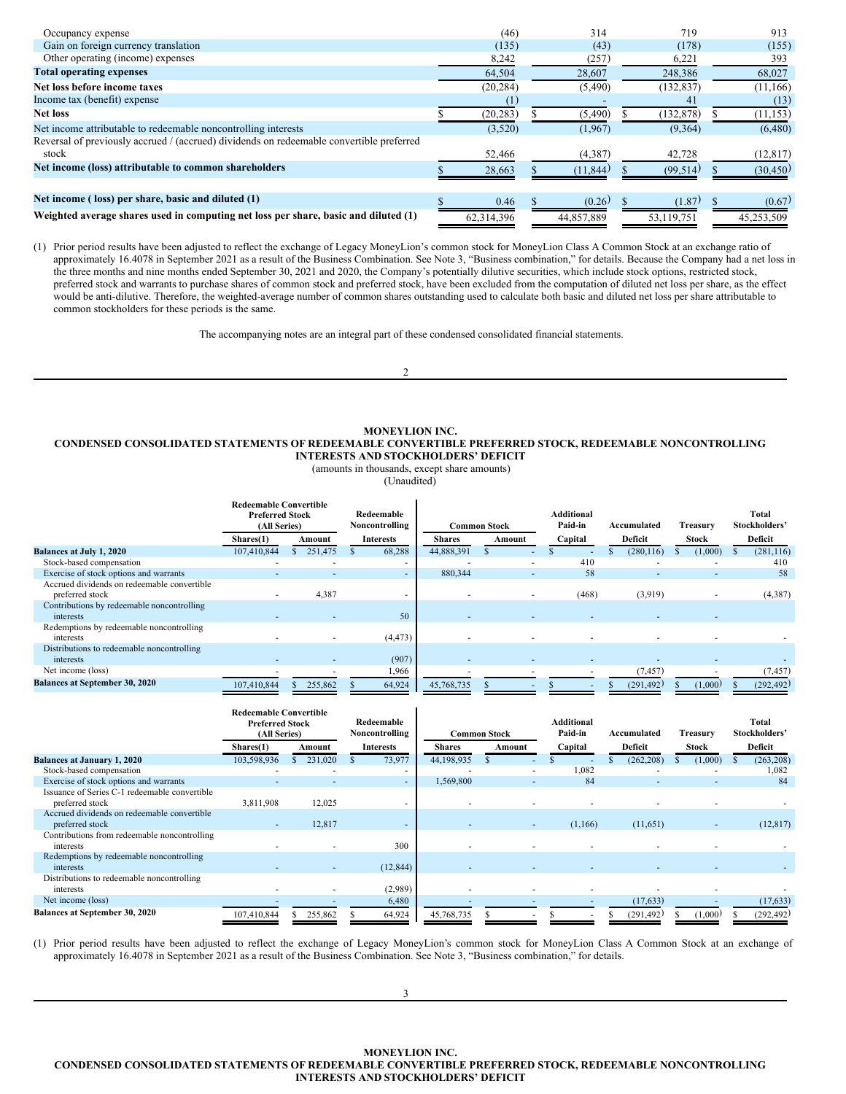| Occupancy expense                                                                        | (46)       | 314        | 719        | 913        |
|------------------------------------------------------------------------------------------|------------|------------|------------|------------|
| Gain on foreign currency translation                                                     | (135)      | (43)       | (178)      | (155)      |
| Other operating (income) expenses                                                        | 8,242      | (257)      | 6,221      | 393        |
| <b>Total operating expenses</b>                                                          | 64,504     | 28,607     | 248,386    | 68,027     |
| Net loss before income taxes                                                             | (20, 284)  | (5,490)    | (132, 837) | (11,166)   |
| Income tax (benefit) expense                                                             | (1)        |            | 41         | (13)       |
| <b>Net loss</b>                                                                          | (20, 283)  | (5,490)    | (132, 878) | (11, 153)  |
| Net income attributable to redeemable noncontrolling interests                           | (3,520)    | (1,967)    | (9,364)    | (6,480)    |
| Reversal of previously accrued / (accrued) dividends on redeemable convertible preferred |            |            |            |            |
| stock                                                                                    | 52,466     | (4,387)    | 42,728     | (12, 817)  |
| Net income (loss) attributable to common shareholders                                    | 28,663     | (11, 844)  | (99, 514)  | (30, 450)  |
| Net income (loss) per share, basic and diluted (1)                                       | 0.46       | (0.26)     | (1.87)     | (0.67)     |
| Weighted average shares used in computing net loss per share, basic and diluted (1)      | 62,314,396 | 44,857,889 | 53,119,751 | 45,253,509 |

(1) Prior period results have been adjusted to reflect the exchange of Legacy MoneyLion's common stock for MoneyLion Class A Common Stock at an exchange ratio of approximately 16.4078 in September 2021 as a result of the Business Combination. See Note 3, "Business combination," for details. Because the Company had a net loss in the three months and nine months ended September 30, 2021 and 2020, the Company's potentially dilutive securities, which include stock options, restricted stock, preferred stock and warrants to purchase shares of common stock and preferred stock, have been excluded from the computation of diluted net loss per share, as the effect would be anti-dilutive. Therefore, the weighted-average number of common shares outstanding used to calculate both basic and diluted net loss per share attributable to common stockholders for these periods is the same.

The accompanying notes are an integral part of these condensed consolidated financial statements.

 $\mathfrak{Z}$ 

## **MONEYLION INC. CONDENSED CONSOLIDATED STATEMENTS OF REDEEMABLE CONVERTIBLE PREFERRED STOCK, REDEEMABLE NONCONTROLLING INTERESTS AND STOCKHOLDERS' DEFICIT**

(amounts in thousands, except share amounts)

(Unaudited)

|                                                                | <b>Redeemable Convertible</b><br><b>Preferred Stock</b><br>(All Series) |         |                  | Redeemable<br>Noncontrolling | <b>Common Stock</b> |        |   | <b>Additional</b><br>Paid-in |       |         | Accumulated |              | Treasurv |         | Total<br>Stockholders' |
|----------------------------------------------------------------|-------------------------------------------------------------------------|---------|------------------|------------------------------|---------------------|--------|---|------------------------------|-------|---------|-------------|--------------|----------|---------|------------------------|
|                                                                | Shares(1)                                                               | Amount  | <b>Interests</b> |                              | <b>Shares</b>       | Amount |   | Capital                      |       | Deficit |             | <b>Stock</b> |          | Deficit |                        |
| Balances at July 1, 2020                                       | 107,410,844                                                             | 251,475 |                  | 68,288                       | 44,888,391          |        |   |                              |       |         | (280, 116)  |              | (1,000)  |         | (281, 116)             |
| Stock-based compensation                                       |                                                                         |         |                  | ٠                            |                     |        |   |                              | 410   |         |             |              |          |         | 410                    |
| Exercise of stock options and warrants                         |                                                                         | ۰       |                  |                              | 880,344             |        | ٠ |                              | 58    |         |             |              |          |         | 58                     |
| Accrued dividends on redeemable convertible<br>preferred stock |                                                                         | 4,387   |                  | ٠                            |                     |        |   |                              | (468) |         | (3,919)     |              |          |         | (4,387)                |
| Contributions by redeemable noncontrolling<br>interests        |                                                                         | ۰       |                  | 50                           |                     |        |   |                              |       |         |             |              |          |         |                        |
| Redemptions by redeemable noncontrolling<br>interests          |                                                                         |         |                  | (4, 473)                     |                     |        |   |                              |       |         |             |              |          |         |                        |
| Distributions to redeemable noncontrolling<br>interests        |                                                                         | ۰       |                  | (907)                        |                     |        |   |                              |       |         |             |              |          |         |                        |
| Net income (loss)                                              |                                                                         |         |                  | 1,966                        |                     |        |   |                              |       |         | (7, 457)    |              |          |         | (7, 457)               |
| <b>Balances at September 30, 2020</b>                          | 107.410.844                                                             | 255,862 |                  | 64,924                       | 45,768,735          |        |   |                              |       |         | (291, 492)  |              | (1,000)  |         | (292, 492)             |

|                                               | <b>Redeemable Convertible</b><br><b>Preferred Stock</b><br>(All Series) |               |         | Redeemable<br>Noncontrolling | <b>Common Stock</b> |  |                          | <b>Additional</b><br>Paid-in |         | Accumulated |            | Treasurv     |         |  | Total<br>Stockholders' |
|-----------------------------------------------|-------------------------------------------------------------------------|---------------|---------|------------------------------|---------------------|--|--------------------------|------------------------------|---------|-------------|------------|--------------|---------|--|------------------------|
|                                               | Shares(1)                                                               |               | Amount  | <b>Interests</b>             | <b>Shares</b>       |  | Amount                   | Capital                      |         | Deficit     |            | <b>Stock</b> |         |  | Deficit                |
| <b>Balances at January 1, 2020</b>            | 103,598,936                                                             |               | 231,020 | 73,977                       | 44,198,935          |  | ۰                        |                              |         |             | (262, 208) |              | (1,000) |  | (263, 208)             |
| Stock-based compensation                      |                                                                         |               |         | $\overline{\phantom{a}}$     |                     |  | $\overline{\phantom{a}}$ |                              | 1,082   |             |            |              |         |  | 1,082                  |
| Exercise of stock options and warrants        |                                                                         |               |         |                              | 1,569,800           |  | $\sim$                   |                              | 84      |             |            |              |         |  | 84                     |
| Issuance of Series C-1 redeemable convertible |                                                                         |               |         |                              |                     |  |                          |                              |         |             |            |              |         |  |                        |
| preferred stock                               | 3,811,908                                                               |               | 12,025  |                              |                     |  |                          |                              |         |             |            |              |         |  |                        |
| Accrued dividends on redeemable convertible   |                                                                         |               |         |                              |                     |  |                          |                              |         |             |            |              |         |  |                        |
| preferred stock                               |                                                                         |               | 12,817  |                              |                     |  | $\overline{a}$           |                              | (1,166) |             | (11,651)   |              |         |  | (12, 817)              |
| Contributions from redeemable noncontrolling  |                                                                         |               |         |                              |                     |  |                          |                              |         |             |            |              |         |  |                        |
| interests                                     |                                                                         |               |         | 300                          |                     |  |                          |                              |         |             |            |              |         |  |                        |
| Redemptions by redeemable noncontrolling      |                                                                         |               |         |                              |                     |  |                          |                              |         |             |            |              |         |  |                        |
| interests                                     |                                                                         |               |         | (12, 844)                    |                     |  |                          |                              |         |             |            |              |         |  |                        |
| Distributions to redeemable noncontrolling    |                                                                         |               |         |                              |                     |  |                          |                              |         |             |            |              |         |  |                        |
| interests                                     |                                                                         |               |         | (2,989)                      |                     |  |                          |                              |         |             |            |              |         |  |                        |
| Net income (loss)                             |                                                                         |               |         | 6,480                        |                     |  |                          |                              |         |             | (17, 633)  |              |         |  | (17, 633)              |
| <b>Balances at September 30, 2020</b>         | 107,410,844                                                             | $\mathcal{L}$ | 255,862 | 64,924                       | 45,768,735          |  |                          |                              |         |             | (291, 492) |              | (1,000) |  | (292, 492)             |

(1) Prior period results have been adjusted to reflect the exchange of Legacy MoneyLion's common stock for MoneyLion Class A Common Stock at an exchange of approximately 16.4078 in September 2021 as a result of the Business Combination. See Note 3, "Business combination," for details.

3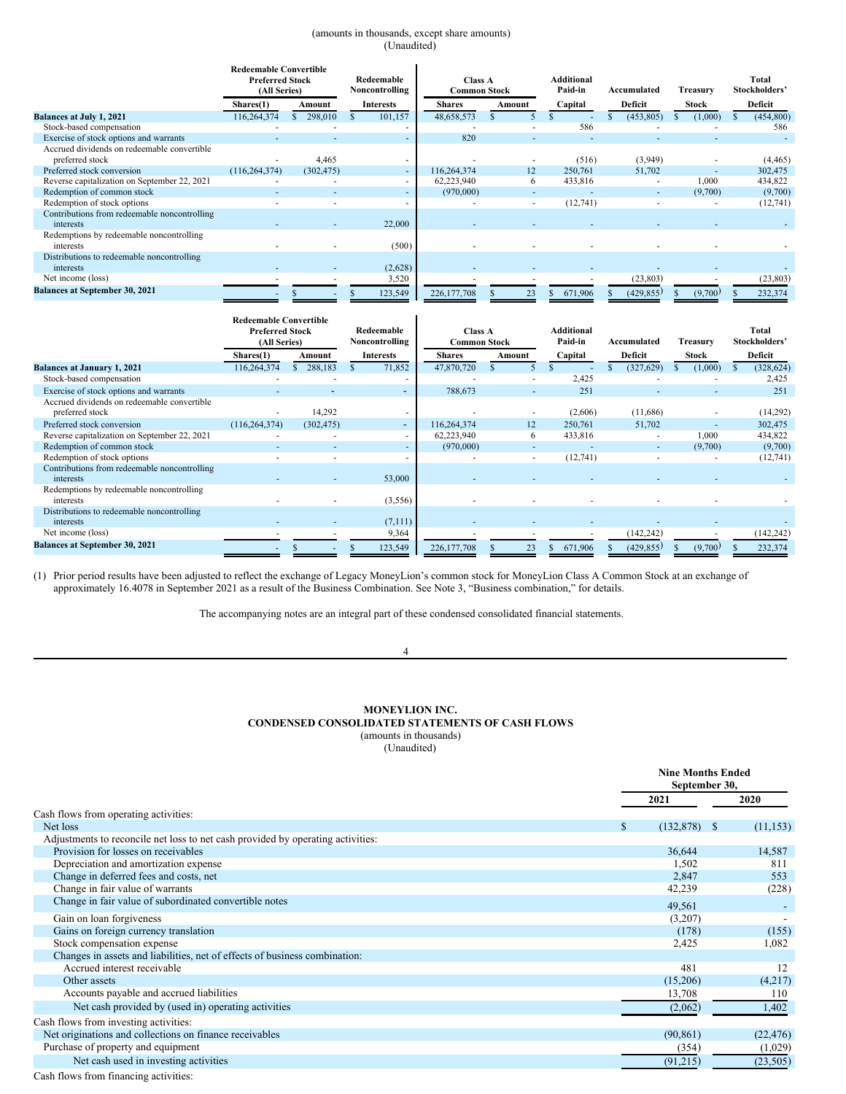## (amounts in thousands, except share amounts) (Unaudited)

|                                                                | <b>Redeemable Convertible</b><br><b>Preferred Stock</b><br>(All Series) |            |                  | Redeemable<br>Noncontrolling | <b>Class A</b><br><b>Common Stock</b> |  |        | <b>Additional</b><br>Paid-in | Accumulated |            |              | Treasurv |         | Total<br>Stockholders' |
|----------------------------------------------------------------|-------------------------------------------------------------------------|------------|------------------|------------------------------|---------------------------------------|--|--------|------------------------------|-------------|------------|--------------|----------|---------|------------------------|
|                                                                | Shares(1)                                                               | Amount     | <b>Interests</b> |                              | <b>Shares</b>                         |  | Amount | Capital                      |             | Deficit    | <b>Stock</b> |          | Deficit |                        |
| Balances at July 1, 2021                                       | 116,264,374                                                             | 298,010    |                  | 101,157                      | 48,658,573                            |  |        |                              |             | (453, 805) |              | (1,000)  |         | (454, 800)             |
| Stock-based compensation                                       |                                                                         |            |                  |                              |                                       |  |        | 586                          |             |            |              |          |         | 586                    |
| Exercise of stock options and warrants                         |                                                                         |            |                  |                              | 820                                   |  |        |                              |             |            |              |          |         |                        |
| Accrued dividends on redeemable convertible<br>preferred stock |                                                                         | 4,465      |                  |                              |                                       |  |        | (516)                        |             | (3,949)    |              |          |         | (4, 465)               |
| Preferred stock conversion                                     | (116, 264, 374)                                                         | (302, 475) |                  | ٠.                           | 116,264,374                           |  | 12     | 250,761                      |             | 51,702     |              |          |         | 302,475                |
| Reverse capitalization on September 22, 2021                   |                                                                         |            |                  |                              | 62,223,940                            |  | 6      | 433,816                      |             | ٠          |              | 1,000    |         | 434,822                |
| Redemption of common stock                                     |                                                                         |            |                  | $\overline{\phantom{a}}$     | (970,000)                             |  |        |                              |             | ۰          |              | (9,700)  |         | (9,700)                |
| Redemption of stock options                                    |                                                                         |            |                  |                              |                                       |  | $\sim$ | (12,741)                     |             |            |              |          |         | (12,741)               |
| Contributions from redeemable noncontrolling<br>interests      |                                                                         |            |                  | 22,000                       |                                       |  |        |                              |             |            |              |          |         |                        |
| Redemptions by redeemable noncontrolling<br>interests          |                                                                         |            |                  | (500)                        |                                       |  |        |                              |             |            |              |          |         |                        |
| Distributions to redeemable noncontrolling                     |                                                                         |            |                  |                              |                                       |  |        |                              |             |            |              |          |         |                        |
| interests                                                      |                                                                         |            |                  | (2,628)                      |                                       |  |        |                              |             |            |              |          |         |                        |
| Net income (loss)                                              |                                                                         |            |                  | 3,520                        |                                       |  |        |                              |             | (23, 803)  |              |          |         | (23, 803)              |
| <b>Balances at September 30, 2021</b>                          |                                                                         |            |                  | 123,549                      | 226, 177, 708                         |  | 23     | 671,906                      |             | (429, 855) |              | (9,700)  |         | 232,374                |

|                                                                | <b>Redeemable Convertible</b><br><b>Preferred Stock</b><br>(All Series) |            | Redeemable<br>Noncontrolling | <b>Class A</b><br><b>Common Stock</b> |                | <b>Additional</b><br>Paid-in | Accumulated              | <b>Treasury</b> | Total<br>Stockholders' |
|----------------------------------------------------------------|-------------------------------------------------------------------------|------------|------------------------------|---------------------------------------|----------------|------------------------------|--------------------------|-----------------|------------------------|
|                                                                | Shares(1)                                                               | Amount     | <b>Interests</b>             | <b>Shares</b>                         | Amount         | Capital                      | Deficit                  | <b>Stock</b>    | Deficit                |
| <b>Balances at January 1, 2021</b>                             | 116,264,374                                                             | 288,183    | 71,852                       | 47,870,720                            |                |                              | (327, 629)               | (1,000)         | (328, 624)             |
| Stock-based compensation                                       |                                                                         |            |                              |                                       |                | 2,425                        |                          |                 | 2,425                  |
| Exercise of stock options and warrants                         |                                                                         |            | -                            | 788,673                               | $\overline{a}$ | 251                          |                          |                 | 251                    |
| Accrued dividends on redeemable convertible<br>preferred stock |                                                                         | 14,292     |                              |                                       |                | (2,606)                      | (11,686)                 |                 | (14,292)               |
| Preferred stock conversion                                     | (116, 264, 374)                                                         | (302, 475) | ٠                            | 116,264,374                           | 12             | 250,761                      | 51,702                   |                 | 302,475                |
| Reverse capitalization on September 22, 2021                   |                                                                         |            | ٠                            | 62,223,940                            | 6              | 433,816                      | $\overline{\phantom{a}}$ | 1,000           | 434,822                |
| Redemption of common stock                                     |                                                                         |            |                              | (970,000)                             |                |                              | $\overline{a}$           | (9,700)         | (9,700)                |
| Redemption of stock options                                    |                                                                         |            | $\overline{\phantom{a}}$     |                                       | ۰              | (12,741)                     |                          |                 | (12, 741)              |
| Contributions from redeemable noncontrolling<br>interests      |                                                                         |            | 53,000                       |                                       |                |                              |                          |                 |                        |
| Redemptions by redeemable noncontrolling<br>interests          |                                                                         |            | (3,556)                      |                                       |                |                              |                          |                 |                        |
| Distributions to redeemable noncontrolling<br>interests        |                                                                         |            | (7,111)                      |                                       |                |                              |                          |                 |                        |
| Net income (loss)                                              |                                                                         |            | 9,364                        |                                       |                |                              | (142,242)                |                 | (142, 242)             |
| Balances at September 30, 2021                                 |                                                                         |            | 123,549                      | 226, 177, 708                         | 23             | 671,906                      | (429, 855)               | (9,700)         | 232,374                |

(1) Prior period results have been adjusted to reflect the exchange of Legacy MoneyLion's common stock for MoneyLion Class A Common Stock at an exchange of approximately 16.4078 in September 2021 as a result of the Business Combination. See Note 3, "Business combination," for details.

The accompanying notes are an integral part of these condensed consolidated financial statements.

## 4

## **MONEYLION INC. CONDENSED CONSOLIDATED STATEMENTS OF CASH FLOWS** (amounts in thousands)

(Unaudited)

|                                                                                 |                  | <b>Nine Months Ended</b><br>September 30, |
|---------------------------------------------------------------------------------|------------------|-------------------------------------------|
|                                                                                 | 2021             | 2020                                      |
| Cash flows from operating activities:                                           |                  |                                           |
| Net loss                                                                        | S.<br>(132, 878) | (11, 153)<br><sup>S</sup>                 |
| Adjustments to reconcile net loss to net cash provided by operating activities: |                  |                                           |
| Provision for losses on receivables                                             | 36,644           | 14,587                                    |
| Depreciation and amortization expense                                           | 1,502            | 811                                       |
| Change in deferred fees and costs, net                                          | 2,847            | 553                                       |
| Change in fair value of warrants                                                | 42,239           | (228)                                     |
| Change in fair value of subordinated convertible notes                          | 49,561           |                                           |
| Gain on loan forgiveness                                                        | (3,207)          |                                           |
| Gains on foreign currency translation                                           | (178)            | (155)                                     |
| Stock compensation expense                                                      | 2,425            | 1,082                                     |
| Changes in assets and liabilities, net of effects of business combination:      |                  |                                           |
| Accrued interest receivable                                                     | 481              | 12                                        |
| Other assets                                                                    | (15,206)         | (4,217)                                   |
| Accounts payable and accrued liabilities                                        | 13,708           | 110                                       |
| Net cash provided by (used in) operating activities                             | (2,062)          | 1,402                                     |
| Cash flows from investing activities:                                           |                  |                                           |
| Net originations and collections on finance receivables                         | (90, 861)        | (22, 476)                                 |
| Purchase of property and equipment                                              | (354)            | (1,029)                                   |
| Net cash used in investing activities                                           | (91,215)         | (23,505)                                  |
|                                                                                 |                  |                                           |

Cash flows from financing activities: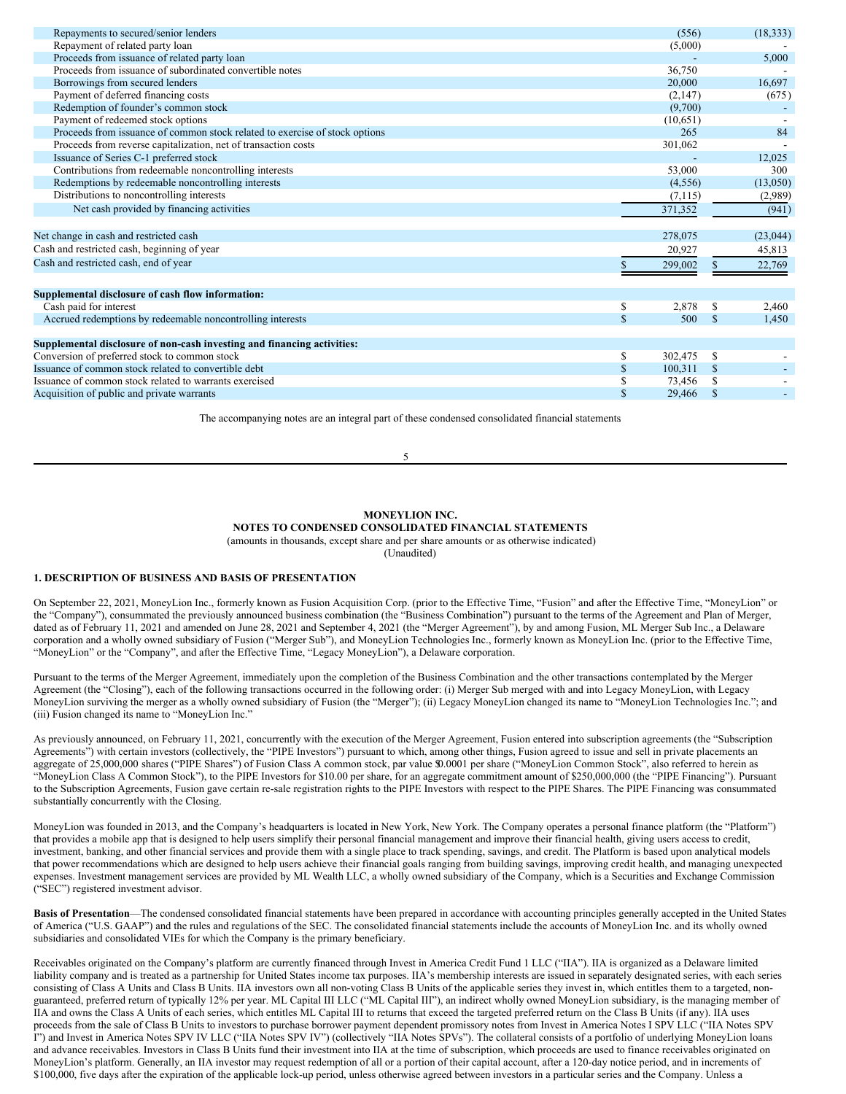| Repayments to secured/senior lenders                                        |                              | (556)        |                    | (18, 333) |
|-----------------------------------------------------------------------------|------------------------------|--------------|--------------------|-----------|
| Repayment of related party loan                                             |                              | (5,000)      |                    |           |
| Proceeds from issuance of related party loan                                |                              |              |                    | 5,000     |
| Proceeds from issuance of subordinated convertible notes                    |                              | 36,750       |                    |           |
| Borrowings from secured lenders                                             |                              | 20,000       |                    | 16.697    |
| Payment of deferred financing costs                                         |                              | (2,147)      |                    | (675)     |
| Redemption of founder's common stock                                        |                              | (9,700)      |                    |           |
| Payment of redeemed stock options                                           |                              | (10,651)     |                    |           |
| Proceeds from issuance of common stock related to exercise of stock options |                              | 265          |                    | 84        |
| Proceeds from reverse capitalization, net of transaction costs              |                              | 301,062      |                    |           |
| Issuance of Series C-1 preferred stock                                      |                              |              |                    | 12,025    |
| Contributions from redeemable noncontrolling interests                      |                              | 53,000       |                    | 300       |
| Redemptions by redeemable noncontrolling interests                          |                              | (4,556)      |                    | (13,050)  |
| Distributions to noncontrolling interests                                   |                              | (7, 115)     |                    | (2,989)   |
| Net cash provided by financing activities                                   |                              | 371,352      |                    | (941)     |
|                                                                             |                              |              |                    |           |
| Net change in cash and restricted cash                                      |                              | 278,075      |                    | (23, 044) |
| Cash and restricted cash, beginning of year                                 |                              | 20.927       |                    | 45,813    |
| Cash and restricted cash, end of year                                       |                              | 299,002      |                    | 22,769    |
|                                                                             |                              |              |                    |           |
|                                                                             |                              |              |                    |           |
| Supplemental disclosure of cash flow information:                           |                              |              |                    |           |
| Cash paid for interest                                                      | $\mathbb{S}$<br>$\mathbf{s}$ | 2,878<br>500 | \$<br>$\mathbf{s}$ | 2,460     |
| Accrued redemptions by redeemable noncontrolling interests                  |                              |              |                    | 1,450     |
| Supplemental disclosure of non-cash investing and financing activities:     |                              |              |                    |           |
| Conversion of preferred stock to common stock                               | \$                           | 302,475      | \$                 |           |
| Issuance of common stock related to convertible debt                        | \$                           | 100,311      | $\mathbf S$        |           |
| Issuance of common stock related to warrants exercised                      | \$                           | 73,456       | S                  |           |
| Acquisition of public and private warrants                                  | \$                           | 29,466       | $\mathbf S$        |           |
|                                                                             |                              |              |                    |           |

The accompanying notes are an integral part of these condensed consolidated financial statements.

5

# **MONEYLION INC.**

**NOTES TO CONDENSED CONSOLIDATED FINANCIAL STATEMENTS**

(amounts in thousands, except share and per share amounts or as otherwise indicated)

(Unaudited)

## **1. DESCRIPTION OF BUSINESS AND BASIS OF PRESENTATION**

On September 22, 2021, MoneyLion Inc., formerly known as Fusion Acquisition Corp. (prior to the Effective Time, "Fusion" and after the Effective Time, "MoneyLion" or the "Company"), consummated the previously announced business combination (the "Business Combination") pursuant to the terms of the Agreement and Plan of Merger, dated as of February 11, 2021 and amended on June 28, 2021 and September 4, 2021 (the "Merger Agreement"), by and among Fusion, ML Merger Sub Inc., a Delaware corporation and a wholly owned subsidiary of Fusion ("Merger Sub"), and MoneyLion Technologies Inc., formerly known as MoneyLion Inc. (prior to the Effective Time, "MoneyLion" or the "Company", and after the Effective Time, "Legacy MoneyLion"), a Delaware corporation.

Pursuant to the terms of the Merger Agreement, immediately upon the completion of the Business Combination and the other transactions contemplated by the Merger Agreement (the "Closing"), each of the following transactions occurred in the following order: (i) Merger Sub merged with and into Legacy MoneyLion, with Legacy MoneyLion surviving the merger as a wholly owned subsidiary of Fusion (the "Merger"); (ii) Legacy MoneyLion changed its name to "MoneyLion Technologies Inc."; and (iii) Fusion changed its name to "MoneyLion Inc."

As previously announced, on February 11, 2021, concurrently with the execution of the Merger Agreement, Fusion entered into subscription agreements (the "Subscription Agreements") with certain investors (collectively, the "PIPE Investors") pursuant to which, among other things, Fusion agreed to issue and sell in private placements an aggregate of 25,000,000 shares ("PIPE Shares") of Fusion Class A common stock, par value \$0.0001 per share ("MoneyLion Common Stock", also referred to herein as "MoneyLion Class A Common Stock"), to the PIPE Investors for \$10.00 per share, for an aggregate commitment amount of \$250,000,000 (the "PIPE Financing"). Pursuant to the Subscription Agreements, Fusion gave certain re-sale registration rights to the PIPE Investors with respect to the PIPE Shares. The PIPE Financing was consummated substantially concurrently with the Closing.

MoneyLion was founded in 2013, and the Company's headquarters is located in New York, New York. The Company operates a personal finance platform (the "Platform") that provides a mobile app that is designed to help users simplify their personal financial management and improve their financial health, giving users access to credit, investment, banking, and other financial services and provide them with a single place to track spending, savings, and credit. The Platform is based upon analytical models that power recommendations which are designed to help users achieve their financial goals ranging from building savings, improving credit health, and managing unexpected expenses. Investment management services are provided by ML Wealth LLC, a wholly owned subsidiary of the Company, which is a Securities and Exchange Commission ("SEC") registered investment advisor.

**Basis of Presentation**—The condensed consolidated financial statements have been prepared in accordance with accounting principles generally accepted in the United States of America ("U.S. GAAP") and the rules and regulations of the SEC. The consolidated financial statements include the accounts of MoneyLion Inc. and its wholly owned subsidiaries and consolidated VIEs for which the Company is the primary beneficiary.

Receivables originated on the Company's platform are currently financed through Invest in America Credit Fund 1 LLC ("IIA"). IIA is organized as a Delaware limited liability company and is treated as a partnership for United States income tax purposes. IIA's membership interests are issued in separately designated series, with each series consisting of Class A Units and Class B Units. IIA investors own all non-voting Class B Units of the applicable series they invest in, which entitles them to a targeted, nonguaranteed, preferred return of typically 12% per year. ML Capital III LLC ("ML Capital III"), an indirect wholly owned MoneyLion subsidiary, is the managing member of IIA and owns the Class A Units of each series, which entitles ML Capital III to returns that exceed the targeted preferred return on the Class B Units (if any). IIA uses proceeds from the sale of Class B Units to investors to purchase borrower payment dependent promissory notes from Invest in America Notes I SPV LLC ("IIA Notes SPV I") and Invest in America Notes SPV IV LLC ("IIA Notes SPV IV") (collectively "IIA Notes SPVs"). The collateral consists of a portfolio of underlying MoneyLion loans and advance receivables. Investors in Class B Units fund their investment into IIA at the time of subscription, which proceeds are used to finance receivables originated on MoneyLion's platform. Generally, an IIA investor may request redemption of all or a portion of their capital account, after a 120-day notice period, and in increments of \$100,000, five days after the expiration of the applicable lock-up period, unless otherwise agreed between investors in a particular series and the Company. Unless a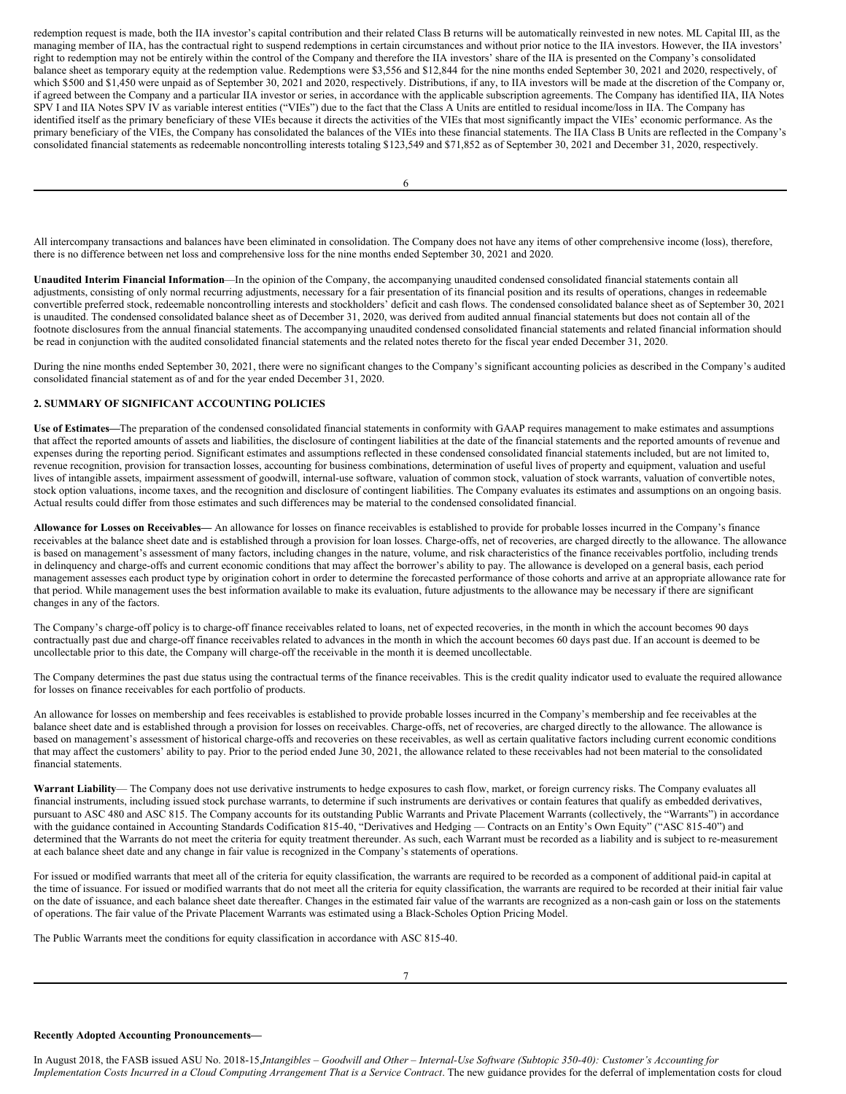redemption request is made, both the IIA investor's capital contribution and their related Class B returns will be automatically reinvested in new notes. ML Capital III, as the managing member of IIA, has the contractual right to suspend redemptions in certain circumstances and without prior notice to the IIA investors. However, the IIA investors' right to redemption may not be entirely within the control of the Company and therefore the IIA investors' share of the IIA is presented on the Company's consolidated balance sheet as temporary equity at the redemption value. Redemptions were \$3,556 and \$12,844 for the nine months ended September 30, 2021 and 2020, respectively, of which \$500 and \$1,450 were unpaid as of September 30, 2021 and 2020, respectively. Distributions, if any, to IIA investors will be made at the discretion of the Company or, if agreed between the Company and a particular IIA investor or series, in accordance with the applicable subscription agreements. The Company has identified IIA, IIA Notes SPV I and IIA Notes SPV IV as variable interest entities ("VIEs") due to the fact that the Class A Units are entitled to residual income/loss in IIA. The Company has identified itself as the primary beneficiary of these VIEs because it directs the activities of the VIEs that most significantly impact the VIEs' economic performance. As the primary beneficiary of the VIEs, the Company has consolidated the balances of the VIEs into these financial statements. The IIA Class B Units are reflected in the Company's consolidated financial statements as redeemable noncontrolling interests totaling \$123,549 and \$71,852 as of September 30, 2021 and December 31, 2020, respectively.

All intercompany transactions and balances have been eliminated in consolidation. The Company does not have any items of other comprehensive income (loss), therefore, there is no difference between net loss and comprehensive loss for the nine months ended September 30, 2021 and 2020.

**Unaudited Interim Financial Information**—In the opinion of the Company, the accompanying unaudited condensed consolidated financial statements contain all adjustments, consisting of only normal recurring adjustments, necessary for a fair presentation of its financial position and its results of operations, changes in redeemable convertible preferred stock, redeemable noncontrolling interests and stockholders' deficit and cash flows. The condensed consolidated balance sheet as of September 30, 2021 is unaudited. The condensed consolidated balance sheet as of December 31, 2020, was derived from audited annual financial statements but does not contain all of the footnote disclosures from the annual financial statements. The accompanying unaudited condensed consolidated financial statements and related financial information should be read in conjunction with the audited consolidated financial statements and the related notes thereto for the fiscal year ended December 31, 2020.

During the nine months ended September 30, 2021, there were no significant changes to the Company's significant accounting policies as described in the Company's audited consolidated financial statement as of and for the year ended December 31, 2020.

# **2. SUMMARY OF SIGNIFICANT ACCOUNTING POLICIES**

**Use of Estimates—**The preparation of the condensed consolidated financial statements in conformity with GAAP requires management to make estimates and assumptions that affect the reported amounts of assets and liabilities, the disclosure of contingent liabilities at the date of the financial statements and the reported amounts of revenue and expenses during the reporting period. Significant estimates and assumptions reflected in these condensed consolidated financial statements included, but are not limited to, revenue recognition, provision for transaction losses, accounting for business combinations, determination of useful lives of property and equipment, valuation and useful lives of intangible assets, impairment assessment of goodwill, internal-use software, valuation of common stock, valuation of stock warrants, valuation of convertible notes, stock option valuations, income taxes, and the recognition and disclosure of contingent liabilities. The Company evaluates its estimates and assumptions on an ongoing basis. Actual results could differ from those estimates and such differences may be material to the condensed consolidated financial.

**Allowance for Losses on Receivables—** An allowance for losses on finance receivables is established to provide for probable losses incurred in the Company's finance receivables at the balance sheet date and is established through a provision for loan losses. Charge-offs, net of recoveries, are charged directly to the allowance. The allowance is based on management's assessment of many factors, including changes in the nature, volume, and risk characteristics of the finance receivables portfolio, including trends in delinquency and charge-offs and current economic conditions that may affect the borrower's ability to pay. The allowance is developed on a general basis, each period management assesses each product type by origination cohort in order to determine the forecasted performance of those cohorts and arrive at an appropriate allowance rate for that period. While management uses the best information available to make its evaluation, future adjustments to the allowance may be necessary if there are significant changes in any of the factors.

The Company's charge-off policy is to charge-off finance receivables related to loans, net of expected recoveries, in the month in which the account becomes 90 days contractually past due and charge-off finance receivables related to advances in the month in which the account becomes 60 days past due. If an account is deemed to be uncollectable prior to this date, the Company will charge-off the receivable in the month it is deemed uncollectable.

The Company determines the past due status using the contractual terms of the finance receivables. This is the credit quality indicator used to evaluate the required allowance for losses on finance receivables for each portfolio of products.

An allowance for losses on membership and fees receivables is established to provide probable losses incurred in the Company's membership and fee receivables at the balance sheet date and is established through a provision for losses on receivables. Charge-offs, net of recoveries, are charged directly to the allowance. The allowance is based on management's assessment of historical charge-offs and recoveries on these receivables, as well as certain qualitative factors including current economic conditions that may affect the customers' ability to pay. Prior to the period ended June 30, 2021, the allowance related to these receivables had not been material to the consolidated financial statements.

**Warrant Liability**— The Company does not use derivative instruments to hedge exposures to cash flow, market, or foreign currency risks. The Company evaluates all financial instruments, including issued stock purchase warrants, to determine if such instruments are derivatives or contain features that qualify as embedded derivatives, pursuant to ASC 480 and ASC 815. The Company accounts for its outstanding Public Warrants and Private Placement Warrants (collectively, the "Warrants") in accordance with the guidance contained in Accounting Standards Codification 815-40, "Derivatives and Hedging — Contracts on an Entity's Own Equity" ("ASC 815-40") and determined that the Warrants do not meet the criteria for equity treatment thereunder. As such, each Warrant must be recorded as a liability and is subject to re-measurement at each balance sheet date and any change in fair value is recognized in the Company's statements of operations.

For issued or modified warrants that meet all of the criteria for equity classification, the warrants are required to be recorded as a component of additional paid-in capital at the time of issuance. For issued or modified warrants that do not meet all the criteria for equity classification, the warrants are required to be recorded at their initial fair value on the date of issuance, and each balance sheet date thereafter. Changes in the estimated fair value of the warrants are recognized as a non-cash gain or loss on the statements of operations. The fair value of the Private Placement Warrants was estimated using a Black-Scholes Option Pricing Model.

The Public Warrants meet the conditions for equity classification in accordance with ASC 815-40.

## **Recently Adopted Accounting Pronouncements—**

In August 2018, the FASB issued ASU No. 2018-15, Intangibles - Goodwill and Other - Internal-Use Software (Subtopic 350-40): Customer's Accounting for Implementation Costs Incurred in a Cloud Computing Arrangement That is a Service Contract. The new guidance provides for the deferral of implementation costs for cloud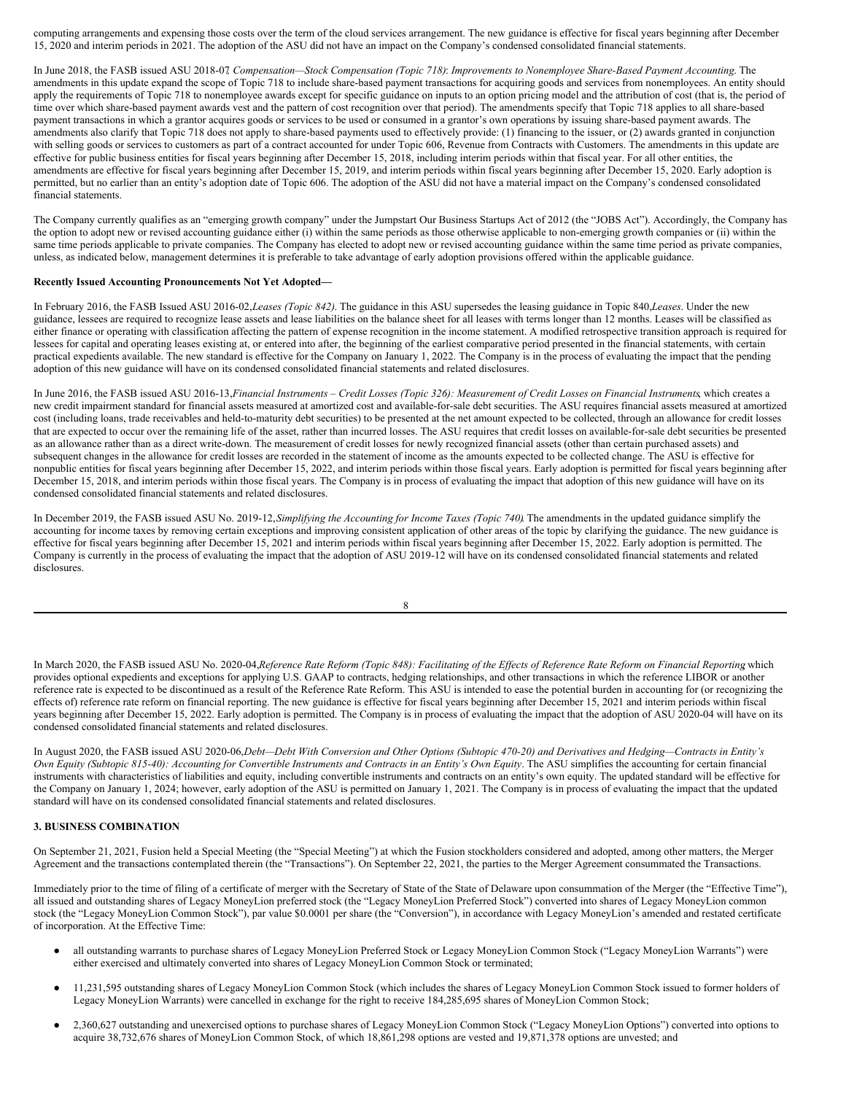computing arrangements and expensing those costs over the term of the cloud services arrangement. The new guidance is effective for fiscal years beginning after December 15, 2020 and interim periods in 2021. The adoption of the ASU did not have an impact on the Company's condensed consolidated financial statements.

In June 2018, the FASB issued ASU 2018-07, Compensation-Stock Compensation (Topic 718): Improvements to Nonemployee Share-Based Payment Accounting. The amendments in this update expand the scope of Topic 718 to include share-based payment transactions for acquiring goods and services from nonemployees. An entity should apply the requirements of Topic 718 to nonemployee awards except for specific guidance on inputs to an option pricing model and the attribution of cost (that is, the period of time over which share-based payment awards vest and the pattern of cost recognition over that period). The amendments specify that Topic 718 applies to all share-based payment transactions in which a grantor acquires goods or services to be used or consumed in a grantor's own operations by issuing share-based payment awards. The amendments also clarify that Topic 718 does not apply to share-based payments used to effectively provide: (1) financing to the issuer, or (2) awards granted in conjunction with selling goods or services to customers as part of a contract accounted for under Topic 606, Revenue from Contracts with Customers. The amendments in this update are effective for public business entities for fiscal years beginning after December 15, 2018, including interim periods within that fiscal year. For all other entities, the amendments are effective for fiscal years beginning after December 15, 2019, and interim periods within fiscal years beginning after December 15, 2020. Early adoption is permitted, but no earlier than an entity's adoption date of Topic 606. The adoption of the ASU did not have a material impact on the Company's condensed consolidated financial statements.

The Company currently qualifies as an "emerging growth company" under the Jumpstart Our Business Startups Act of 2012 (the "JOBS Act"). Accordingly, the Company has the option to adopt new or revised accounting guidance either (i) within the same periods as those otherwise applicable to non-emerging growth companies or (ii) within the same time periods applicable to private companies. The Company has elected to adopt new or revised accounting guidance within the same time period as private companies, unless, as indicated below, management determines it is preferable to take advantage of early adoption provisions offered within the applicable guidance.

### **Recently Issued Accounting Pronouncements Not Yet Adopted—**

In February 2016, the FASB Issued ASU 2016-02,*Leases (Topic 842)*. The guidance in this ASU supersedes the leasing guidance in Topic 840,*Leases*. Under the new guidance, lessees are required to recognize lease assets and lease liabilities on the balance sheet for all leases with terms longer than 12 months. Leases will be classified as either finance or operating with classification affecting the pattern of expense recognition in the income statement. A modified retrospective transition approach is required for lessees for capital and operating leases existing at, or entered into after, the beginning of the earliest comparative period presented in the financial statements, with certain practical expedients available. The new standard is effective for the Company on January 1, 2022. The Company is in the process of evaluating the impact that the pending adoption of this new guidance will have on its condensed consolidated financial statements and related disclosures.

In June 2016, the FASB issued ASU 2016-13, Financial Instruments - Credit Losses (Topic 326): Measurement of Credit Losses on Financial Instruments, which creates a new credit impairment standard for financial assets measured at amortized cost and available-for-sale debt securities. The ASU requires financial assets measured at amortized cost (including loans, trade receivables and held-to-maturity debt securities) to be presented at the net amount expected to be collected, through an allowance for credit losses that are expected to occur over the remaining life of the asset, rather than incurred losses. The ASU requires that credit losses on available-for-sale debt securities be presented as an allowance rather than as a direct write-down. The measurement of credit losses for newly recognized financial assets (other than certain purchased assets) and subsequent changes in the allowance for credit losses are recorded in the statement of income as the amounts expected to be collected change. The ASU is effective for nonpublic entities for fiscal years beginning after December 15, 2022, and interim periods within those fiscal years. Early adoption is permitted for fiscal years beginning after December 15, 2018, and interim periods within those fiscal years. The Company is in process of evaluating the impact that adoption of this new guidance will have on its condensed consolidated financial statements and related disclosures.

In December 2019, the FASB issued ASU No. 2019-12,*Simplifying the Accounting for Income Taxes (Topic 740)*. The amendments in the updated guidance simplify the accounting for income taxes by removing certain exceptions and improving consistent application of other areas of the topic by clarifying the guidance. The new guidance is effective for fiscal years beginning after December 15, 2021 and interim periods within fiscal years beginning after December 15, 2022. Early adoption is permitted. The Company is currently in the process of evaluating the impact that the adoption of ASU 2019-12 will have on its condensed consolidated financial statements and related disclosures.

| I      |
|--------|
| I      |
| ۱,     |
| ï<br>× |

In March 2020, the FASB issued ASU No. 2020-04, Reference Rate Reform (Topic 848): Facilitating of the Effects of Reference Rate Reform on Financial Reporting which provides optional expedients and exceptions for applying U.S. GAAP to contracts, hedging relationships, and other transactions in which the reference LIBOR or another reference rate is expected to be discontinued as a result of the Reference Rate Reform. This ASU is intended to ease the potential burden in accounting for (or recognizing the effects of) reference rate reform on financial reporting. The new guidance is effective for fiscal years beginning after December 15, 2021 and interim periods within fiscal years beginning after December 15, 2022. Early adoption is permitted. The Company is in process of evaluating the impact that the adoption of ASU 2020-04 will have on its condensed consolidated financial statements and related disclosures.

In August 2020, the FASB issued ASU 2020-06, Debt-Debt With Conversion and Other Options (Subtopic 470-20) and Derivatives and Hedging-Contracts in Entity's Own Equity (Subtopic 815-40): Accounting for Convertible Instruments and Contracts in an Entity's Own Equity. The ASU simplifies the accounting for certain financial instruments with characteristics of liabilities and equity, including convertible instruments and contracts on an entity's own equity. The updated standard will be effective for the Company on January 1, 2024; however, early adoption of the ASU is permitted on January 1, 2021. The Company is in process of evaluating the impact that the updated standard will have on its condensed consolidated financial statements and related disclosures.

## **3. BUSINESS COMBINATION**

On September 21, 2021, Fusion held a Special Meeting (the "Special Meeting") at which the Fusion stockholders considered and adopted, among other matters, the Merger Agreement and the transactions contemplated therein (the "Transactions"). On September 22, 2021, the parties to the Merger Agreement consummated the Transactions.

Immediately prior to the time of filing of a certificate of merger with the Secretary of State of the State of Delaware upon consummation of the Merger (the "Effective Time"), all issued and outstanding shares of Legacy MoneyLion preferred stock (the "Legacy MoneyLion Preferred Stock") converted into shares of Legacy MoneyLion common stock (the "Legacy MoneyLion Common Stock"), par value \$0.0001 per share (the "Conversion"), in accordance with Legacy MoneyLion's amended and restated certificate of incorporation. At the Effective Time:

- all outstanding warrants to purchase shares of Legacy MoneyLion Preferred Stock or Legacy MoneyLion Common Stock ("Legacy MoneyLion Warrants") were either exercised and ultimately converted into shares of Legacy MoneyLion Common Stock or terminated;
- 11,231,595 outstanding shares of Legacy MoneyLion Common Stock (which includes the shares of Legacy MoneyLion Common Stock issued to former holders of Legacy MoneyLion Warrants) were cancelled in exchange for the right to receive 184,285,695 shares of MoneyLion Common Stock;
- 2,360,627 outstanding and unexercised options to purchase shares of Legacy MoneyLion Common Stock ("Legacy MoneyLion Options") converted into options to acquire 38,732,676 shares of MoneyLion Common Stock, of which 18,861,298 options are vested and 19,871,378 options are unvested; and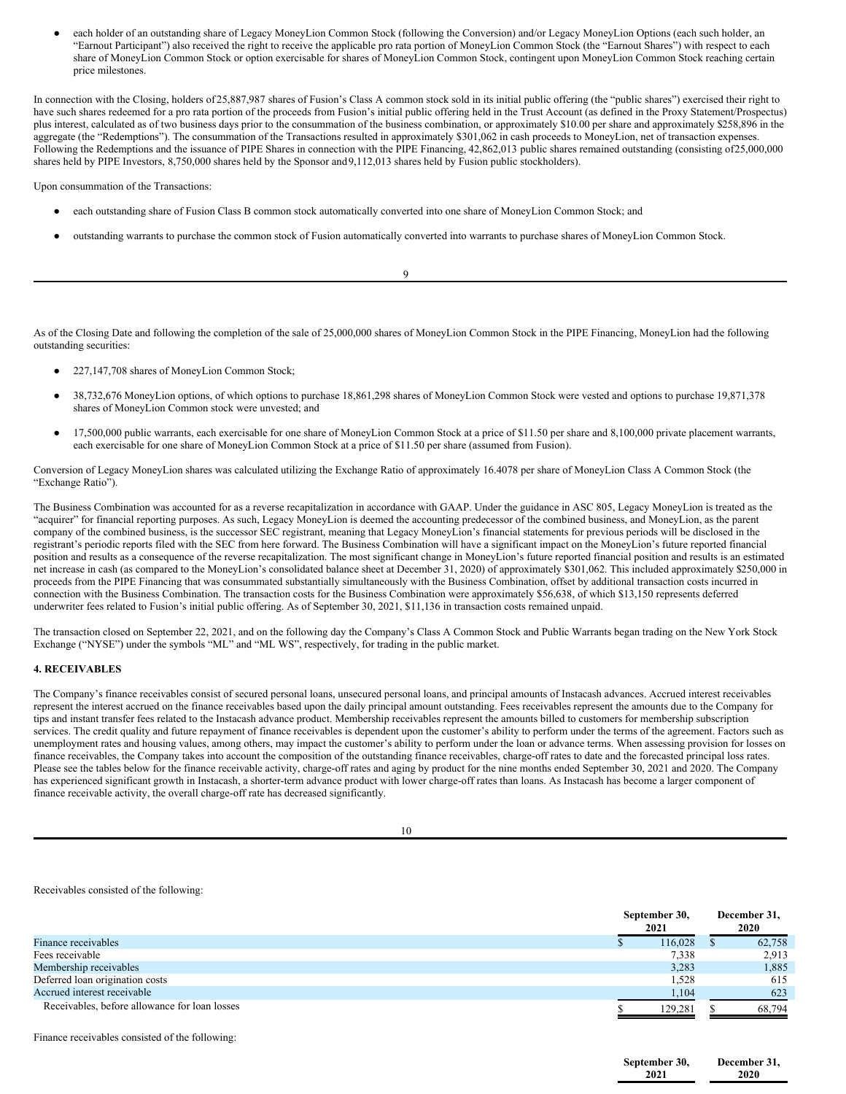each holder of an outstanding share of Legacy MoneyLion Common Stock (following the Conversion) and/or Legacy MoneyLion Options (each such holder, an "Earnout Participant") also received the right to receive the applicable pro rata portion of MoneyLion Common Stock (the "Earnout Shares") with respect to each share of MoneyLion Common Stock or option exercisable for shares of MoneyLion Common Stock, contingent upon MoneyLion Common Stock reaching certain price milestones.

In connection with the Closing, holders of 25,887,987 shares of Fusion's Class A common stock sold in its initial public offering (the "public shares") exercised their right to have such shares redeemed for a pro rata portion of the proceeds from Fusion's initial public offering held in the Trust Account (as defined in the Proxy Statement/Prospectus) plus interest, calculated as of two business days prior to the consummation of the business combination, or approximately \$10.00 per share and approximately \$258,896 in the aggregate (the "Redemptions"). The consummation of the Transactions resulted in approximately \$301,062 in cash proceeds to MoneyLion, net of transaction expenses. Following the Redemptions and the issuance of PIPE Shares in connection with the PIPE Financing, 42,862,013 public shares remained outstanding (consisting of 25,000,000) shares held by PIPE Investors, 8,750,000 shares held by the Sponsor and9,112,013 shares held by Fusion public stockholders).

Upon consummation of the Transactions:

- each outstanding share of Fusion Class B common stock automatically converted into one share of MoneyLion Common Stock; and
- outstanding warrants to purchase the common stock of Fusion automatically converted into warrants to purchase shares of MoneyLion Common Stock.

As of the Closing Date and following the completion of the sale of 25,000,000 shares of MoneyLion Common Stock in the PIPE Financing, MoneyLion had the following outstanding securities:

 $\alpha$ 

- 227,147,708 shares of MoneyLion Common Stock;
- 38,732,676 MoneyLion options, of which options to purchase 18,861,298 shares of MoneyLion Common Stock were vested and options to purchase 19,871,378 shares of MoneyLion Common stock were unvested; and
- 17,500,000 public warrants, each exercisable for one share of MoneyLion Common Stock at a price of \$11.50 per share and 8,100,000 private placement warrants, each exercisable for one share of MoneyLion Common Stock at a price of \$11.50 per share (assumed from Fusion).

Conversion of Legacy MoneyLion shares was calculated utilizing the Exchange Ratio of approximately 16.4078 per share of MoneyLion Class A Common Stock (the "Exchange Ratio").

The Business Combination was accounted for as a reverse recapitalization in accordance with GAAP. Under the guidance in ASC 805, Legacy MoneyLion is treated as the "acquirer" for financial reporting purposes. As such, Legacy MoneyLion is deemed the accounting predecessor of the combined business, and MoneyLion, as the parent company of the combined business, is the successor SEC registrant, meaning that Legacy MoneyLion's financial statements for previous periods will be disclosed in the registrant's periodic reports filed with the SEC from here forward. The Business Combination will have a significant impact on the MoneyLion's future reported financial position and results as a consequence of the reverse recapitalization. The most significant change in MoneyLion's future reported financial position and results is an estimated net increase in cash (as compared to the MoneyLion's consolidated balance sheet at December 31, 2020) of approximately \$301,062. This included approximately \$250,000 in proceeds from the PIPE Financing that was consummated substantially simultaneously with the Business Combination, offset by additional transaction costs incurred in connection with the Business Combination. The transaction costs for the Business Combination were approximately \$56,638, of which \$13,150 represents deferred underwriter fees related to Fusion's initial public offering. As of September 30, 2021, \$11,136 in transaction costs remained unpaid.

The transaction closed on September 22, 2021, and on the following day the Company's Class A Common Stock and Public Warrants began trading on the New York Stock Exchange ("NYSE") under the symbols "ML" and "ML WS", respectively, for trading in the public market.

## **4. RECEIVABLES**

The Company's finance receivables consist of secured personal loans, unsecured personal loans, and principal amounts of Instacash advances. Accrued interest receivables represent the interest accrued on the finance receivables based upon the daily principal amount outstanding. Fees receivables represent the amounts due to the Company for tips and instant transfer fees related to the Instacash advance product. Membership receivables represent the amounts billed to customers for membership subscription services. The credit quality and future repayment of finance receivables is dependent upon the customer's ability to perform under the terms of the agreement. Factors such as unemployment rates and housing values, among others, may impact the customer's ability to perform under the loan or advance terms. When assessing provision for losses on finance receivables, the Company takes into account the composition of the outstanding finance receivables, charge-off rates to date and the forecasted principal loss rates. Please see the tables below for the finance receivable activity, charge-off rates and aging by product for the nine months ended September 30, 2021 and 2020. The Company has experienced significant growth in Instacash, a shorter-term advance product with lower charge-off rates than loans. As Instacash has become a larger component of finance receivable activity, the overall charge-off rate has decreased significantly.

10

Receivables consisted of the following:

|                                               | September 30,<br>2021 | December 31,<br>2020 |
|-----------------------------------------------|-----------------------|----------------------|
| Finance receivables                           | 116,028               | 62,758               |
| Fees receivable                               | 7.338                 | 2,913                |
| Membership receivables                        | 3,283                 | 1,885                |
| Deferred loan origination costs               | 1,528                 | 615                  |
| Accrued interest receivable                   | 1,104                 | 623                  |
| Receivables, before allowance for loan losses | 129.281               | 68,794               |

Finance receivables consisted of the following:

|              | December 31, |
|--------------|--------------|
| 2021<br>2020 |              |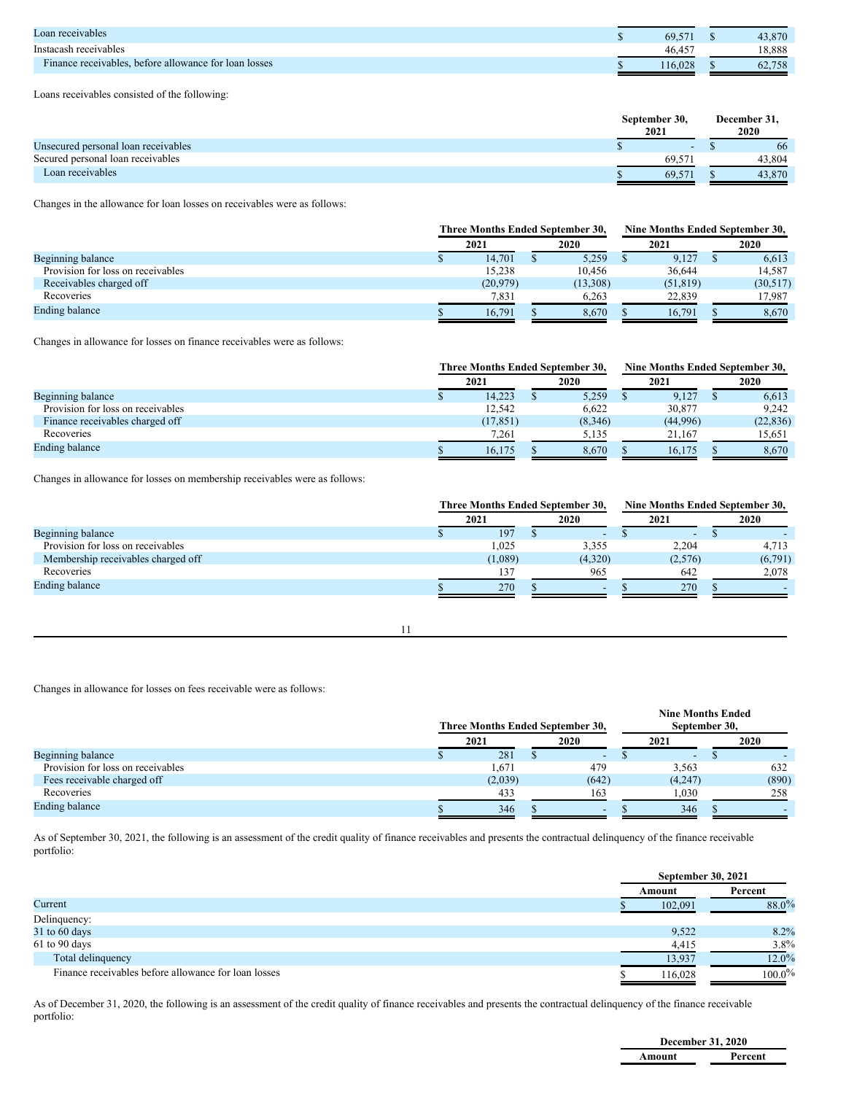| Loan receivables                                      |  | 69     | 3.870  |
|-------------------------------------------------------|--|--------|--------|
| Instacash receivables                                 |  |        | 8.888  |
| Finance receivables, before allowance for loan losses |  | 16.028 | 62.758 |
|                                                       |  |        |        |

Loans receivables consisted of the following:

|                                     | September 30.<br>2021 |                          |  | December 31,<br>2020 |  |
|-------------------------------------|-----------------------|--------------------------|--|----------------------|--|
| Unsecured personal loan receivables |                       | $\overline{\phantom{a}}$ |  | 66                   |  |
| Secured personal loan receivables   |                       | 69.57                    |  | 43.804               |  |
| Loan receivables                    |                       | 69.57                    |  | 43,870               |  |

Changes in the allowance for loan losses on receivables were as follows:

|                                   | Three Months Ended September 30. |           |  | Nine Months Ended September 30. |  |           |  |          |
|-----------------------------------|----------------------------------|-----------|--|---------------------------------|--|-----------|--|----------|
|                                   |                                  | 2021      |  | 2020                            |  | 2021      |  | 2020     |
| Beginning balance                 |                                  | 14.701    |  | 5,259                           |  | 9,127     |  | 6,613    |
| Provision for loss on receivables |                                  | 15.238    |  | 10.456                          |  | 36.644    |  | 14.587   |
| Receivables charged off           |                                  | (20, 979) |  | (13,308)                        |  | (51, 819) |  | (30,517) |
| Recoveries                        |                                  | 7,831     |  | 6.263                           |  | 22.839    |  | 17.987   |
| Ending balance                    |                                  | 16,791    |  | 8,670                           |  | 16,791    |  | 8,670    |

Changes in allowance for losses on finance receivables were as follows:

|                                   | <b>Three Months Ended September 30.</b> |           |  | Nine Months Ended September 30, |  |          |  |           |
|-----------------------------------|-----------------------------------------|-----------|--|---------------------------------|--|----------|--|-----------|
|                                   |                                         | 2021      |  | 2020                            |  | 2021     |  | 2020      |
| Beginning balance                 |                                         | 14.223    |  | 5,259                           |  | 9.127    |  | 6,613     |
| Provision for loss on receivables |                                         | 12.542    |  | 6,622                           |  | 30,877   |  | 9.242     |
| Finance receivables charged off   |                                         | (17, 851) |  | (8,346)                         |  | (44,996) |  | (22, 836) |
| Recoveries                        |                                         | 7,261     |  | 5,135                           |  | 21,167   |  | 15,651    |
| Ending balance                    |                                         | 16.175    |  | 8.670                           |  | 16,175   |  | 8.670     |

Changes in allowance for losses on membership receivables were as follows:

| Three Months Ended September 30. |  |                          | <b>Nine Months Ended September 30.</b> |         |  |         |  |  |  |  |  |  |  |  |  |      |  |      |
|----------------------------------|--|--------------------------|----------------------------------------|---------|--|---------|--|--|--|--|--|--|--|--|--|------|--|------|
| 2021                             |  | 2020                     |                                        |         |  |         |  |  |  |  |  |  |  |  |  | 2021 |  | 2020 |
| 197                              |  | $\overline{\phantom{0}}$ |                                        | ۰       |  |         |  |  |  |  |  |  |  |  |  |      |  |      |
| 1,025                            |  | 3,355                    |                                        | 2,204   |  | 4.713   |  |  |  |  |  |  |  |  |  |      |  |      |
| (1,089)                          |  | (4,320)                  |                                        | (2,576) |  | (6,791) |  |  |  |  |  |  |  |  |  |      |  |      |
| 137                              |  | 965                      |                                        | 642     |  | 2,078   |  |  |  |  |  |  |  |  |  |      |  |      |
| 270                              |  | $\overline{\phantom{a}}$ |                                        | 270     |  |         |  |  |  |  |  |  |  |  |  |      |  |      |
|                                  |  |                          |                                        |         |  |         |  |  |  |  |  |  |  |  |  |      |  |      |

Changes in allowance for losses on fees receivable were as follows:

|                                   | Three Months Ended September 30. |         |  |                          |  | <b>Nine Months Ended</b><br>September 30. |  |       |  |  |
|-----------------------------------|----------------------------------|---------|--|--------------------------|--|-------------------------------------------|--|-------|--|--|
|                                   |                                  | 2021    |  | 2020                     |  | 2021                                      |  | 2020  |  |  |
| Beginning balance                 |                                  | 281     |  | $\overline{\phantom{0}}$ |  | ۰                                         |  |       |  |  |
| Provision for loss on receivables |                                  | 1,671   |  | 479                      |  | 3,563                                     |  | 632   |  |  |
| Fees receivable charged off       |                                  | (2,039) |  | (642)                    |  | (4,247)                                   |  | (890) |  |  |
| Recoveries                        |                                  | 433     |  | 163                      |  | 1.030                                     |  | 258   |  |  |
| <b>Ending balance</b>             |                                  | 346     |  | $\overline{\phantom{a}}$ |  | 346                                       |  |       |  |  |

As of September 30, 2021, the following is an assessment of the credit quality of finance receivables and presents the contractual delinquency of the finance receivable portfolio:

|                                                      | <b>September 30, 2021</b> |           |  |  |  |
|------------------------------------------------------|---------------------------|-----------|--|--|--|
|                                                      | Amount                    | Percent   |  |  |  |
| Current                                              | 102.091                   | 88.0%     |  |  |  |
| Delinquency:                                         |                           |           |  |  |  |
| 31 to 60 days                                        | 9,522                     | 8.2%      |  |  |  |
| 61 to 90 days                                        | 4,415                     | 3.8%      |  |  |  |
| Total delinquency                                    | 13.937                    | 12.0%     |  |  |  |
| Finance receivables before allowance for loan losses | 116,028                   | $100.0\%$ |  |  |  |

As of December 31, 2020, the following is an assessment of the credit quality of finance receivables and presents the contractual delinquency of the finance receivable portfolio:

| December 31, 2020 |         |
|-------------------|---------|
| Amount            | Percent |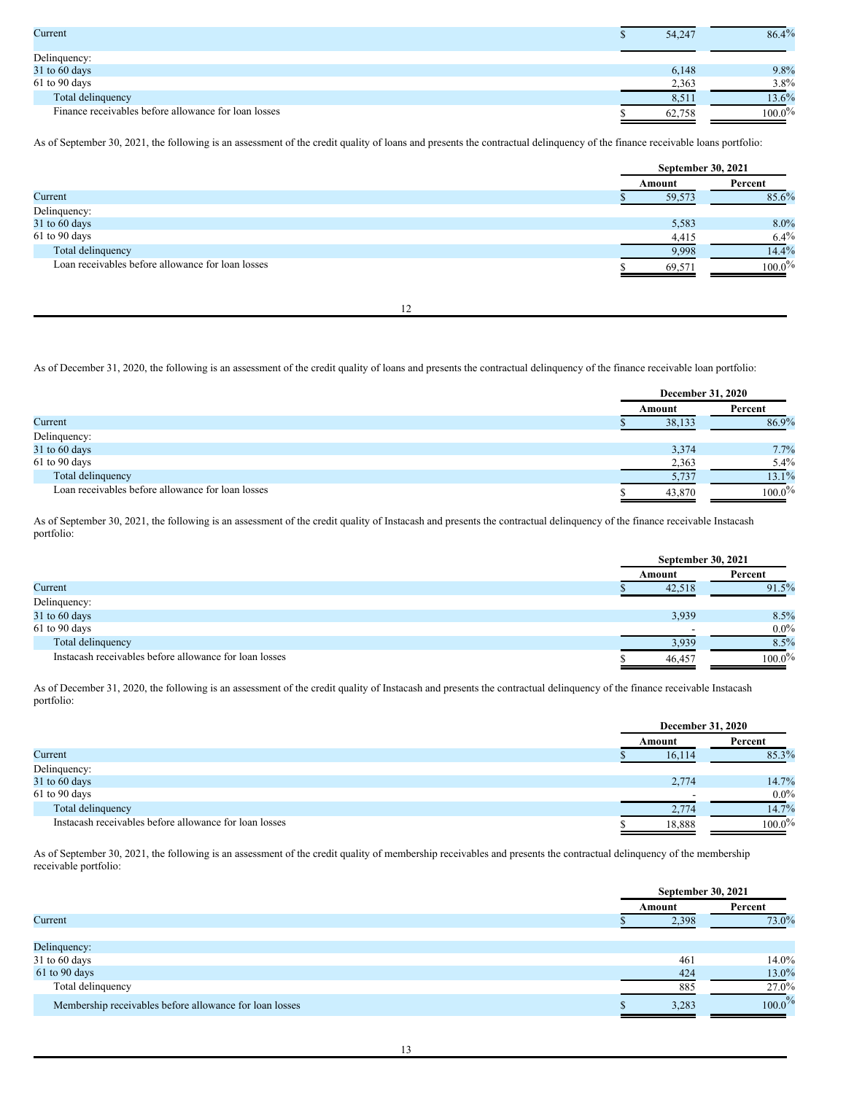| Current                                              | 54,247 | 86.4%     |
|------------------------------------------------------|--------|-----------|
| Delinquency:                                         |        |           |
| $31$ to 60 days                                      | 6,148  | 9.8%      |
| 61 to 90 days                                        | 2,363  | $3.8\%$   |
| Total delinquency                                    | 8,511  | $13.6\%$  |
| Finance receivables before allowance for loan losses | 62,758 | $100.0\%$ |

As of September 30, 2021, the following is an assessment of the credit quality of loans and presents the contractual delinquency of the finance receivable loans portfolio:

|                                                   | <b>September 30, 2021</b> |           |
|---------------------------------------------------|---------------------------|-----------|
|                                                   | Amount                    | Percent   |
| Current                                           | 59,573                    | 85.6%     |
| Delinquency:                                      |                           |           |
| 31 to 60 days                                     | 5,583                     | 8.0%      |
| 61 to 90 days                                     | 4,415                     | $6.4\%$   |
| Total delinquency                                 | 9,998                     | 14.4%     |
| Loan receivables before allowance for loan losses | 69,571                    | $100.0\%$ |
|                                                   |                           |           |

As of December 31, 2020, the following is an assessment of the credit quality of loans and presents the contractual delinquency of the finance receivable loan portfolio:

|                                                   | <b>December 31, 2020</b> |           |
|---------------------------------------------------|--------------------------|-----------|
|                                                   | Amount                   | Percent   |
| Current                                           | 38,133                   | 86.9%     |
| Delinquency:                                      |                          |           |
| $31$ to $60$ days                                 | 3,374                    | 7.7%      |
| 61 to 90 days                                     | 2,363                    | $5.4\%$   |
| Total delinquency                                 | 5,737                    | 13.1%     |
| Loan receivables before allowance for loan losses | 43,870                   | $100.0\%$ |

As of September 30, 2021, the following is an assessment of the credit quality of Instacash and presents the contractual delinquency of the finance receivable Instacash portfolio:

|                                                        | <b>September 30, 2021</b> |           |
|--------------------------------------------------------|---------------------------|-----------|
|                                                        | Amount                    | Percent   |
| Current                                                | 42,518                    | 91.5%     |
| Delinquency:                                           |                           |           |
| 31 to 60 days                                          | 3,939                     | 8.5%      |
| 61 to 90 days                                          |                           | $0.0\%$   |
| Total delinquency                                      | 3.939                     | $8.5\%$   |
| Instacash receivables before allowance for loan losses | 46,457                    | $100.0\%$ |
|                                                        |                           |           |

As of December 31, 2020, the following is an assessment of the credit quality of Instacash and presents the contractual delinquency of the finance receivable Instacash portfolio:

|                                                        | <b>December 31, 2020</b> |           |
|--------------------------------------------------------|--------------------------|-----------|
|                                                        | Amount                   | Percent   |
| Current                                                | 16,114                   | 85.3%     |
| Delinquency:                                           |                          |           |
| 31 to 60 days                                          | 2,774                    | 14.7%     |
| 61 to 90 days                                          |                          | $0.0\%$   |
| Total delinquency                                      | 2,774                    | 14.7%     |
| Instacash receivables before allowance for loan losses | 18,888                   | $100.0\%$ |

As of September 30, 2021, the following is an assessment of the credit quality of membership receivables and presents the contractual delinquency of the membership receivable portfolio:

|                                                         | September 30, 2021 |        |           |
|---------------------------------------------------------|--------------------|--------|-----------|
|                                                         |                    | Amount | Percent   |
| Current                                                 |                    | 2,398  | 73.0%     |
|                                                         |                    |        |           |
| Delinquency:                                            |                    |        |           |
| 31 to 60 days                                           |                    | 461    | 14.0%     |
| 61 to 90 days                                           |                    | 424    | 13.0%     |
| Total delinquency                                       |                    | 885    | 27.0%     |
| Membership receivables before allowance for loan losses |                    | 3,283  | $100.0\%$ |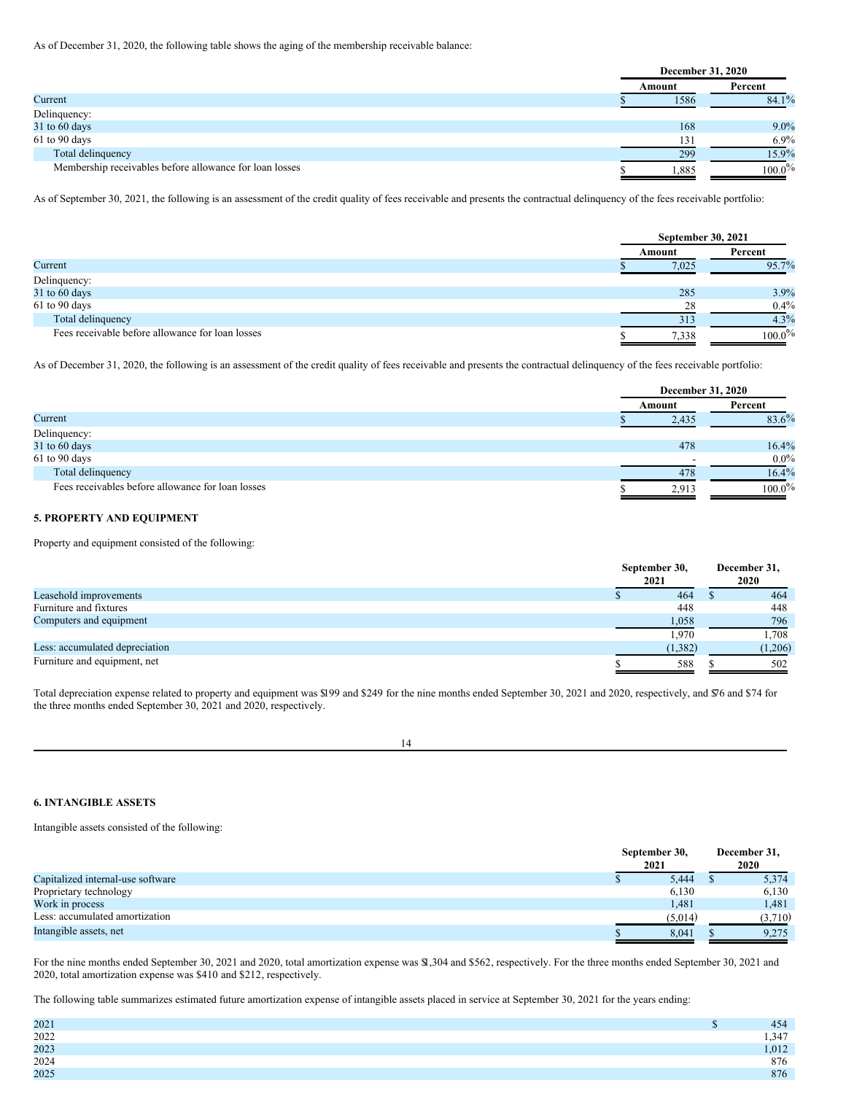As of December 31, 2020, the following table shows the aging of the membership receivable balance:

|                                                         | <b>December 31, 2020</b> |           |
|---------------------------------------------------------|--------------------------|-----------|
|                                                         | Amount                   | Percent   |
| Current                                                 | 1586                     | 84.1%     |
| Delinquency:                                            |                          |           |
| 31 to 60 days                                           | 168                      | $9.0\%$   |
| 61 to 90 days                                           | 131                      | $6.9\%$   |
| Total delinquency                                       | 299                      | 15.9%     |
| Membership receivables before allowance for loan losses | 1,885                    | $100.0\%$ |

As of September 30, 2021, the following is an assessment of the credit quality of fees receivable and presents the contractual delinquency of the fees receivable portfolio:

|                                                  | <b>September 30, 2021</b> |           |
|--------------------------------------------------|---------------------------|-----------|
|                                                  | Amount                    | Percent   |
| Current                                          | 7,025                     | 95.7%     |
| Delinquency:                                     |                           |           |
| 31 to 60 days                                    | 285                       | 3.9%      |
| 61 to 90 days                                    | 28                        | $0.4\%$   |
| Total delinquency                                | 313                       | $4.3\%$   |
| Fees receivable before allowance for loan losses | 7,338                     | $100.0\%$ |

As of December 31, 2020, the following is an assessment of the credit quality of fees receivable and presents the contractual delinquency of the fees receivable portfolio:

|                                                   |        | <b>December 31, 2020</b> |  |
|---------------------------------------------------|--------|--------------------------|--|
|                                                   | Amount | Percent                  |  |
| Current                                           | 2,435  | 83.6%                    |  |
| Delinquency:                                      |        |                          |  |
| 31 to 60 days                                     |        | 16.4%<br>478             |  |
| 61 to 90 days                                     |        | $0.0\%$                  |  |
| Total delinquency                                 |        | 16.4%<br>478             |  |
| Fees receivables before allowance for loan losses | 2,913  | $100.0\%$                |  |

# **5. PROPERTY AND EQUIPMENT**

Property and equipment consisted of the following:

|                                | September 30,<br>2021 | December 31,<br>2020 |  |
|--------------------------------|-----------------------|----------------------|--|
| Leasehold improvements         | 464                   | 464                  |  |
| Furniture and fixtures         | 448                   | 448                  |  |
| Computers and equipment        | 1,058                 | 796                  |  |
|                                | 1,970                 | 1,708                |  |
| Less: accumulated depreciation | (1, 382)              | (1,206)              |  |
| Furniture and equipment, net   | 588                   | 502                  |  |

Total depreciation expense related to property and equipment was \$199 and \$249 for the nine months ended September 30, 2021 and 2020, respectively, and \$76 and \$74 for the three months ended September 30, 2021 and 2020, respectively.

### **6. INTANGIBLE ASSETS**

Intangible assets consisted of the following:

|                                   | September 30,<br>2021 | December 31,<br>2020 |  |
|-----------------------------------|-----------------------|----------------------|--|
| Capitalized internal-use software | 5,444                 | 5,374                |  |
| Proprietary technology            | 6,130                 | 6,130                |  |
| Work in process                   | 1,481                 | 1,481                |  |
| Less: accumulated amortization    | (5,014)               | (3,710)              |  |
| Intangible assets, net            | 8,041                 | 9.275                |  |

For the nine months ended September 30, 2021 and 2020, total amortization expense was \$1,304 and \$562, respectively. For the three months ended September 30, 2021 and 2020, total amortization expense was \$410 and \$212, respectively.

The following table summarizes estimated future amortization expense of intangible assets placed in service at September 30, 2021 for the years ending:

| 2021 | - 15 | 454   |
|------|------|-------|
| 2022 |      | 1.347 |
| 2023 |      | 1.012 |
| 2024 |      | 876   |
| 2025 |      | 876   |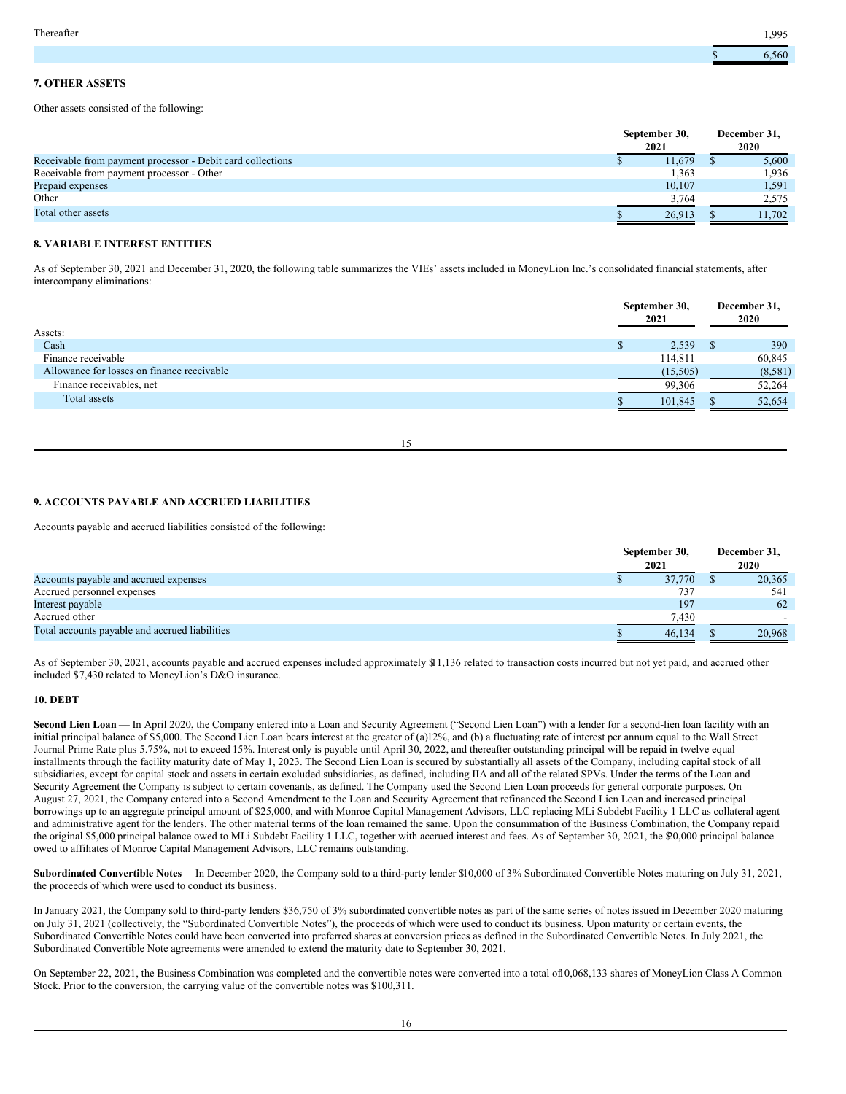Other assets consisted of the following:

|                                                            |  | September 30.<br>2021 |  | December 31,<br>2020 |
|------------------------------------------------------------|--|-----------------------|--|----------------------|
| Receivable from payment processor - Debit card collections |  | 11.679                |  | 5,600                |
| Receivable from payment processor - Other                  |  | 1,363                 |  | 1,936                |
| Prepaid expenses                                           |  | 10.107                |  | 1,591                |
| Other                                                      |  | 3.764                 |  | 2.575                |
| Total other assets                                         |  | 26.913                |  | 11.702               |

## **8. VARIABLE INTEREST ENTITIES**

As of September 30, 2021 and December 31, 2020, the following table summarizes the VIEs' assets included in MoneyLion Inc.'s consolidated financial statements, after intercompany eliminations:

| Assets:                                    | September 30,<br>2021 | December 31,<br>2020 |
|--------------------------------------------|-----------------------|----------------------|
| Cash                                       | 2,539                 | 390                  |
| Finance receivable                         | 114,811               | 60,845               |
| Allowance for losses on finance receivable | (15, 505)             | (8,581)              |
| Finance receivables, net                   | 99.306                | 52,264               |
| Total assets                               | 101.845               | 52,654               |

15

## **9. ACCOUNTS PAYABLE AND ACCRUED LIABILITIES**

Accounts payable and accrued liabilities consisted of the following:

|                                                | September 30,<br>2021 | December 31,<br>2020 |
|------------------------------------------------|-----------------------|----------------------|
| Accounts payable and accrued expenses          | 37,770                | 20,365               |
| Accrued personnel expenses                     | 737                   | 541                  |
| Interest payable                               | 197                   | 62                   |
| Accrued other                                  | 7.430                 |                      |
| Total accounts payable and accrued liabilities | 46.134                | 20,968               |

As of September 30, 2021, accounts payable and accrued expenses included approximately \$11,136 related to transaction costs incurred but not yet paid, and accrued other included \$7,430 related to MoneyLion's D&O insurance.

## **10. DEBT**

Second Lien Loan — In April 2020, the Company entered into a Loan and Security Agreement ("Second Lien Loan") with a lender for a second-lien loan facility with an initial principal balance of \$5,000. The Second Lien Loan bears interest at the greater of (a)12%, and (b) a fluctuating rate of interest per annum equal to the Wall Street Journal Prime Rate plus 5.75%, not to exceed 15%. Interest only is payable until April 30, 2022, and thereafter outstanding principal will be repaid in twelve equal installments through the facility maturity date of May 1, 2023. The Second Lien Loan is secured by substantially all assets of the Company, including capital stock of all subsidiaries, except for capital stock and assets in certain excluded subsidiaries, as defined, including IIA and all of the related SPVs. Under the terms of the Loan and Security Agreement the Company is subject to certain covenants, as defined. The Company used the Second Lien Loan proceeds for general corporate purposes. On August 27, 2021, the Company entered into a Second Amendment to the Loan and Security Agreement that refinanced the Second Lien Loan and increased principal borrowings up to an aggregate principal amount of \$25,000, and with Monroe Capital Management Advisors, LLC replacing MLi Subdebt Facility 1 LLC as collateral agent and administrative agent for the lenders. The other material terms of the loan remained the same. Upon the consummation of the Business Combination, the Company repaid the original \$5,000 principal balance owed to MLi Subdebt Facility 1 LLC, together with accrued interest and fees. As of September 30, 2021, the \$20,000 principal balance owed to affiliates of Monroe Capital Management Advisors, LLC remains outstanding.

**Subordinated Convertible Notes**— In December 2020, the Company sold to a third-party lender \$10,000 of 3% Subordinated Convertible Notes maturing on July 31, 2021, the proceeds of which were used to conduct its business.

In January 2021, the Company sold to third-party lenders \$36,750 of 3% subordinated convertible notes as part of the same series of notes issued in December 2020 maturing on July 31, 2021 (collectively, the "Subordinated Convertible Notes"), the proceeds of which were used to conduct its business. Upon maturity or certain events, the Subordinated Convertible Notes could have been converted into preferred shares at conversion prices as defined in the Subordinated Convertible Notes. In July 2021, the Subordinated Convertible Note agreements were amended to extend the maturity date to September 30, 2021.

On September 22, 2021, the Business Combination was completed and the convertible notes were converted into a total of10,068,133 shares of MoneyLion Class A Common Stock. Prior to the conversion, the carrying value of the convertible notes was \$100,311.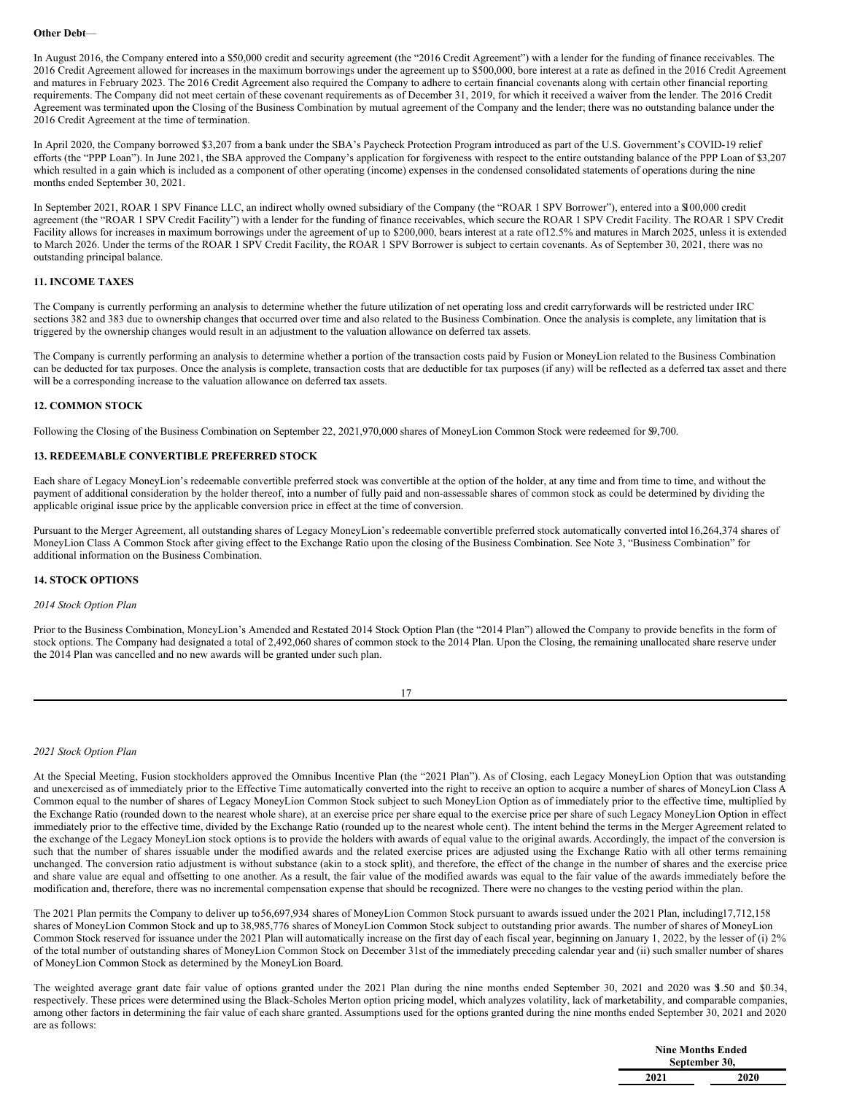### **Other Debt**—

In August 2016, the Company entered into a \$50,000 credit and security agreement (the "2016 Credit Agreement") with a lender for the funding of finance receivables. The 2016 Credit Agreement allowed for increases in the maximum borrowings under the agreement up to \$500,000, bore interest at a rate as defined in the 2016 Credit Agreement and matures in February 2023. The 2016 Credit Agreement also required the Company to adhere to certain financial covenants along with certain other financial reporting requirements. The Company did not meet certain of these covenant requirements as of December 31, 2019, for which it received a waiver from the lender. The 2016 Credit Agreement was terminated upon the Closing of the Business Combination by mutual agreement of the Company and the lender; there was no outstanding balance under the 2016 Credit Agreement at the time of termination.

In April 2020, the Company borrowed \$3,207 from a bank under the SBA's Paycheck Protection Program introduced as part of the U.S. Government's COVID-19 relief efforts (the "PPP Loan"). In June 2021, the SBA approved the Company's application for forgiveness with respect to the entire outstanding balance of the PPP Loan of \$3,207 which resulted in a gain which is included as a component of other operating (income) expenses in the condensed consolidated statements of operations during the nine months ended September 30, 2021.

In September 2021, ROAR 1 SPV Finance LLC, an indirect wholly owned subsidiary of the Company (the "ROAR 1 SPV Borrower"), entered into a \$100,000 credit agreement (the "ROAR 1 SPV Credit Facility") with a lender for the funding of finance receivables, which secure the ROAR 1 SPV Credit Facility. The ROAR 1 SPV Credit Facility allows for increases in maximum borrowings under the agreement of up to \$200,000, bears interest at a rate of 12.5% and matures in March 2025, unless it is extended to March 2026. Under the terms of the ROAR 1 SPV Credit Facility, the ROAR 1 SPV Borrower is subject to certain covenants. As of September 30, 2021, there was no outstanding principal balance.

## **11. INCOME TAXES**

The Company is currently performing an analysis to determine whether the future utilization of net operating loss and credit carryforwards will be restricted under IRC sections 382 and 383 due to ownership changes that occurred over time and also related to the Business Combination. Once the analysis is complete, any limitation that is triggered by the ownership changes would result in an adjustment to the valuation allowance on deferred tax assets.

The Company is currently performing an analysis to determine whether a portion of the transaction costs paid by Fusion or MoneyLion related to the Business Combination can be deducted for tax purposes. Once the analysis is complete, transaction costs that are deductible for tax purposes (if any) will be reflected as a deferred tax asset and there will be a corresponding increase to the valuation allowance on deferred tax assets.

#### **12. COMMON STOCK**

Following the Closing of the Business Combination on September 22, 2021,970,000 shares of MoneyLion Common Stock were redeemed for \$9,700.

## **13. REDEEMABLE CONVERTIBLE PREFERRED STOCK**

Each share of Legacy MoneyLion's redeemable convertible preferred stock was convertible at the option of the holder, at any time and from time to time, and without the payment of additional consideration by the holder thereof, into a number of fully paid and non-assessable shares of common stock as could be determined by dividing the applicable original issue price by the applicable conversion price in effect at the time of conversion.

Pursuant to the Merger Agreement, all outstanding shares of Legacy MoneyLion's redeemable convertible preferred stock automatically converted into116,264,374 shares of MoneyLion Class A Common Stock after giving effect to the Exchange Ratio upon the closing of the Business Combination. See Note 3, "Business Combination" for additional information on the Business Combination.

## **14. STOCK OPTIONS**

## *2014 Stock Option Plan*

Prior to the Business Combination, MoneyLion's Amended and Restated 2014 Stock Option Plan (the "2014 Plan") allowed the Company to provide benefits in the form of stock options. The Company had designated a total of 2,492,060 shares of common stock to the 2014 Plan. Upon the Closing, the remaining unallocated share reserve under the 2014 Plan was cancelled and no new awards will be granted under such plan.

## *2021 Stock Option Plan*

At the Special Meeting, Fusion stockholders approved the Omnibus Incentive Plan (the "2021 Plan"). As of Closing, each Legacy MoneyLion Option that was outstanding and unexercised as of immediately prior to the Effective Time automatically converted into the right to receive an option to acquire a number of shares of MoneyLion Class A Common equal to the number of shares of Legacy MoneyLion Common Stock subject to such MoneyLion Option as of immediately prior to the effective time, multiplied by the Exchange Ratio (rounded down to the nearest whole share), at an exercise price per share equal to the exercise price per share of such Legacy MoneyLion Option in effect immediately prior to the effective time, divided by the Exchange Ratio (rounded up to the nearest whole cent). The intent behind the terms in the Merger Agreement related to the exchange of the Legacy MoneyLion stock options is to provide the holders with awards of equal value to the original awards. Accordingly, the impact of the conversion is such that the number of shares issuable under the modified awards and the related exercise prices are adjusted using the Exchange Ratio with all other terms remaining unchanged. The conversion ratio adjustment is without substance (akin to a stock split), and therefore, the effect of the change in the number of shares and the exercise price and share value are equal and offsetting to one another. As a result, the fair value of the modified awards was equal to the fair value of the awards immediately before the modification and, therefore, there was no incremental compensation expense that should be recognized. There were no changes to the vesting period within the plan.

The 2021 Plan permits the Company to deliver up to56,697,934 shares of MoneyLion Common Stock pursuant to awards issued under the 2021 Plan, including17,712,158 shares of MoneyLion Common Stock and up to 38,985,776 shares of MoneyLion Common Stock subject to outstanding prior awards. The number of shares of MoneyLion Common Stock reserved for issuance under the 2021 Plan will automatically increase on the first day of each fiscal year, beginning on January 1, 2022, by the lesser of (i) 2% of the total number of outstanding shares of MoneyLion Common Stock on December 31st of the immediately preceding calendar year and (ii) such smaller number of shares of MoneyLion Common Stock as determined by the MoneyLion Board.

The weighted average grant date fair value of options granted under the 2021 Plan during the nine months ended September 30, 2021 and 2020 was \$.50 and \$0.34, respectively. These prices were determined using the Black-Scholes Merton option pricing model, which analyzes volatility, lack of marketability, and comparable companies, among other factors in determining the fair value of each share granted. Assumptions used for the options granted during the nine months ended September 30, 2021 and 2020 are as follows:

| <b>Nine Months Ended</b> |      |  |  |
|--------------------------|------|--|--|
| September 30,            |      |  |  |
| 2021                     | 2020 |  |  |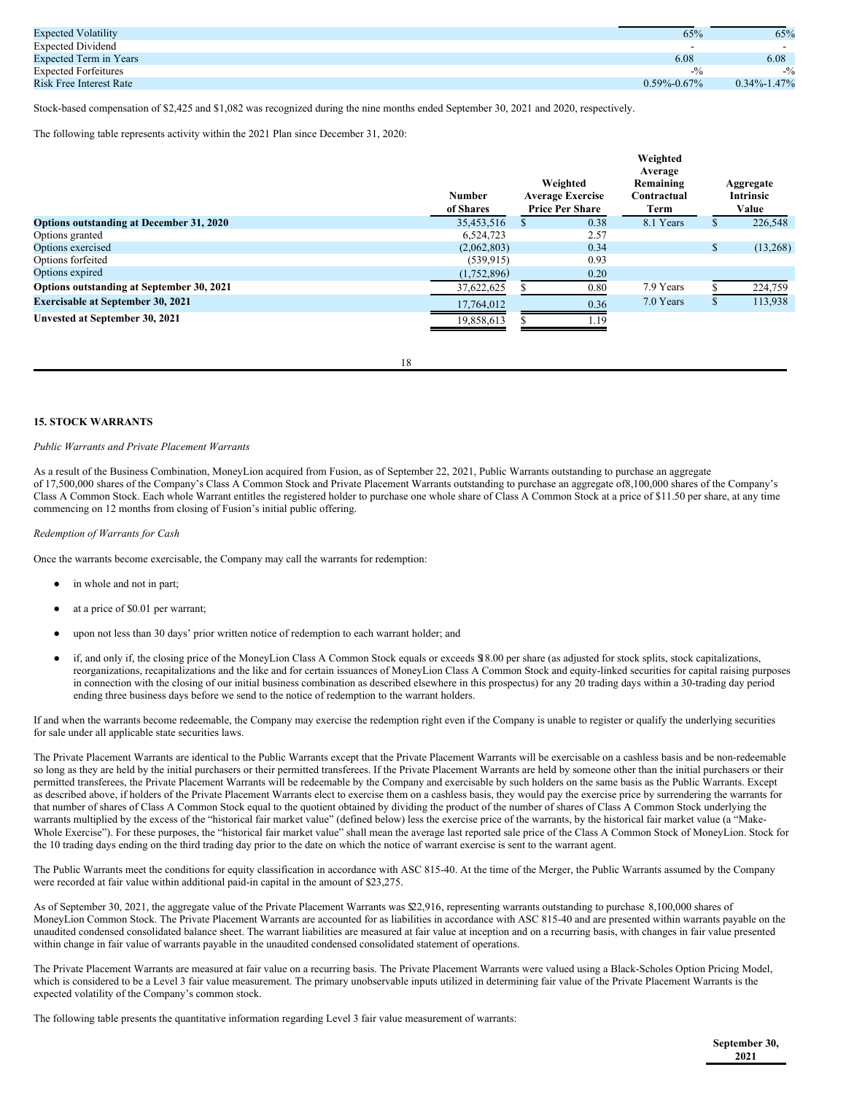| <b>Expected Volatility</b>     | 65%               | 65%                      |
|--------------------------------|-------------------|--------------------------|
| <b>Expected Dividend</b>       | -                 | $\overline{\phantom{0}}$ |
| <b>Expected Term in Years</b>  | 6.08              | 6.08                     |
| <b>Expected Forfeitures</b>    | $-2/6$            | $-10/6$                  |
| <b>Risk Free Interest Rate</b> | $0.59\% - 0.67\%$ | $0.34\% - 1.47\%$        |

Stock-based compensation of \$2,425 and \$1,082 was recognized during the nine months ended September 30, 2021 and 2020, respectively.

The following table represents activity within the 2021 Plan since December 31, 2020:

|                                                 | <b>Number</b><br>of Shares | Weighted<br><b>Average Exercise</b><br><b>Price Per Share</b> | Weighted<br>Average<br>Remaining<br>Contractual<br>Term |   | Aggregate<br><b>Intrinsic</b><br>Value |
|-------------------------------------------------|----------------------------|---------------------------------------------------------------|---------------------------------------------------------|---|----------------------------------------|
| <b>Options outstanding at December 31, 2020</b> | 35,453,516                 | 0.38                                                          | 8.1 Years                                               |   | 226,548                                |
| Options granted                                 | 6,524,723                  | 2.57                                                          |                                                         |   |                                        |
| Options exercised                               | (2,062,803)                | 0.34                                                          |                                                         | S | (13,268)                               |
| Options forfeited                               | (539, 915)                 | 0.93                                                          |                                                         |   |                                        |
| Options expired                                 | (1,752,896)                | 0.20                                                          |                                                         |   |                                        |
| Options outstanding at September 30, 2021       | 37,622,625                 | 0.80                                                          | 7.9 Years                                               |   | 224,759                                |
| <b>Exercisable at September 30, 2021</b>        | 17.764.012                 | 0.36                                                          | 7.0 Years                                               |   | 113,938                                |
| Unvested at September 30, 2021                  | 19,858,613                 | .19                                                           |                                                         |   |                                        |

18

#### **15. STOCK WARRANTS**

## *Public Warrants and Private Placement Warrants*

As a result of the Business Combination, MoneyLion acquired from Fusion, as of September 22, 2021, Public Warrants outstanding to purchase an aggregate of 17,500,000 shares of the Company's Class A Common Stock and Private Placement Warrants outstanding to purchase an aggregate of8,100,000 shares of the Company's Class A Common Stock. Each whole Warrant entitles the registered holder to purchase one whole share of Class A Common Stock at a price of \$11.50 per share, at any time commencing on 12 months from closing of Fusion's initial public offering.

#### *Redemption of Warrants for Cash*

Once the warrants become exercisable, the Company may call the warrants for redemption:

- in whole and not in part;
- at a price of \$0.01 per warrant;
- upon not less than 30 days' prior written notice of redemption to each warrant holder; and
- if, and only if, the closing price of the MoneyLion Class A Common Stock equals or exceeds \$18.00 per share (as adjusted for stock splits, stock capitalizations, reorganizations, recapitalizations and the like and for certain issuances of MoneyLion Class A Common Stock and equity-linked securities for capital raising purposes in connection with the closing of our initial business combination as described elsewhere in this prospectus) for any 20 trading days within a 30-trading day period ending three business days before we send to the notice of redemption to the warrant holders.

If and when the warrants become redeemable, the Company may exercise the redemption right even if the Company is unable to register or qualify the underlying securities for sale under all applicable state securities laws.

The Private Placement Warrants are identical to the Public Warrants except that the Private Placement Warrants will be exercisable on a cashless basis and be non-redeemable so long as they are held by the initial purchasers or their permitted transferees. If the Private Placement Warrants are held by someone other than the initial purchasers or their permitted transferees, the Private Placement Warrants will be redeemable by the Company and exercisable by such holders on the same basis as the Public Warrants. Except as described above, if holders of the Private Placement Warrants elect to exercise them on a cashless basis, they would pay the exercise price by surrendering the warrants for that number of shares of Class A Common Stock equal to the quotient obtained by dividing the product of the number of shares of Class A Common Stock underlying the warrants multiplied by the excess of the "historical fair market value" (defined below) less the exercise price of the warrants, by the historical fair market value (a "Make- Whole Exercise"). For these purposes, the "historical fair market value" shall mean the average last reported sale price of the Class A Common Stock of MoneyLion. Stock for the 10 trading days ending on the third trading day prior to the date on which the notice of warrant exercise is sent to the warrant agent.

The Public Warrants meet the conditions for equity classification in accordance with ASC 815-40. At the time of the Merger, the Public Warrants assumed by the Company were recorded at fair value within additional paid-in capital in the amount of \$23,275.

As of September 30, 2021, the aggregate value of the Private Placement Warrants was \$22,916, representing warrants outstanding to purchase 8,100,000 shares of MoneyLion Common Stock. The Private Placement Warrants are accounted for as liabilities in accordance with ASC 815-40 and are presented within warrants payable on the unaudited condensed consolidated balance sheet. The warrant liabilities are measured at fair value at inception and on a recurring basis, with changes in fair value presented within change in fair value of warrants payable in the unaudited condensed consolidated statement of operations.

The Private Placement Warrants are measured at fair value on a recurring basis. The Private Placement Warrants were valued using a Black-Scholes Option Pricing Model, which is considered to be a Level 3 fair value measurement. The primary unobservable inputs utilized in determining fair value of the Private Placement Warrants is the expected volatility of the Company's common stock.

The following table presents the quantitative information regarding Level 3 fair value measurement of warrants: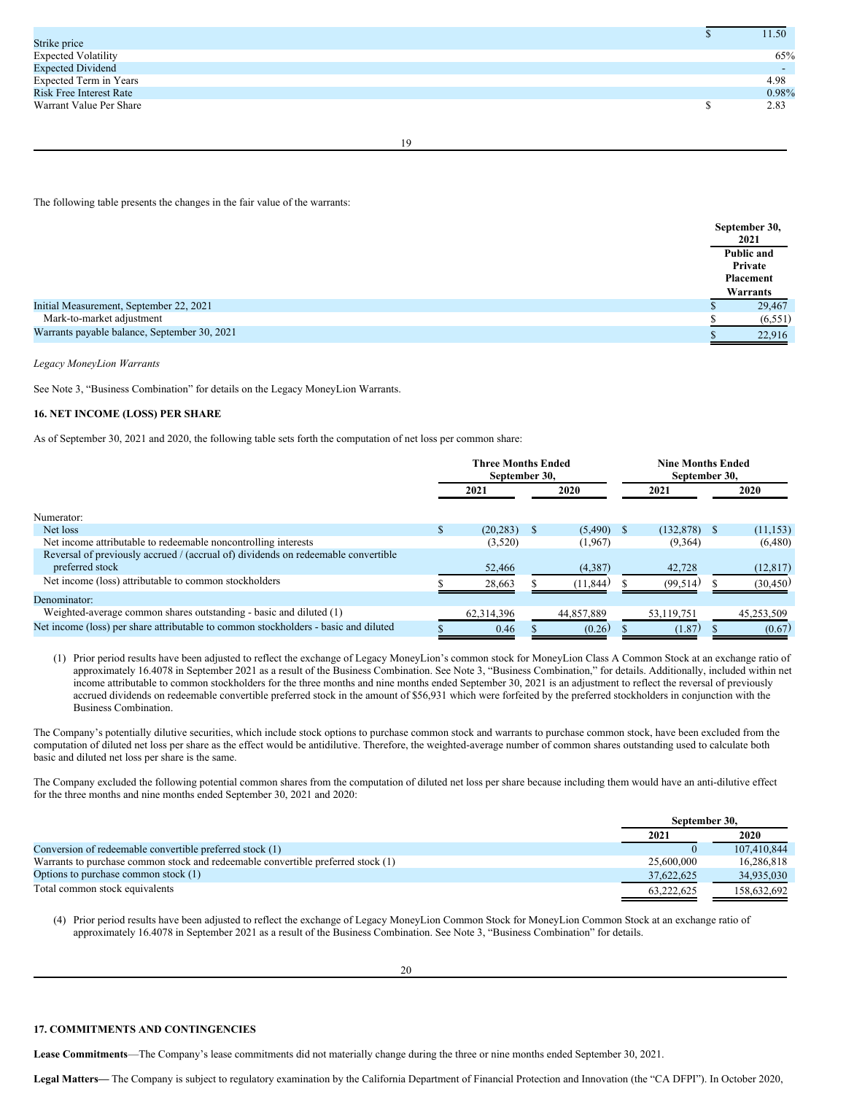| Strike price                   | 11.50 |
|--------------------------------|-------|
| <b>Expected Volatility</b>     | 65%   |
| <b>Expected Dividend</b>       |       |
| Expected Term in Years         | 4.98  |
| <b>Risk Free Interest Rate</b> | 0.98% |
| Warrant Value Per Share        | 2.83  |

19

The following table presents the changes in the fair value of the warrants:

|                                              | September 30,<br>2021                                 |
|----------------------------------------------|-------------------------------------------------------|
|                                              | <b>Public and</b><br>Private<br>Placement<br>Warrants |
| Initial Measurement, September 22, 2021      | 29,467                                                |
| Mark-to-market adjustment                    | (6, 551)                                              |
| Warrants payable balance, September 30, 2021 | 22,916                                                |

*Legacy MoneyLion Warrants*

See Note 3, "Business Combination" for details on the Legacy MoneyLion Warrants.

## **16. NET INCOME (LOSS) PER SHARE**

As of September 30, 2021 and 2020, the following table sets forth the computation of net loss per common share:

|                                                                                     | <b>Three Months Ended</b><br>September 30, |            |             | <b>Nine Months Ended</b><br>September 30, |      |                |  |            |
|-------------------------------------------------------------------------------------|--------------------------------------------|------------|-------------|-------------------------------------------|------|----------------|--|------------|
|                                                                                     | 2021                                       |            | <b>2020</b> |                                           | 2021 |                |  | 2020       |
| Numerator:                                                                          |                                            |            |             |                                           |      |                |  |            |
| Net loss                                                                            |                                            | (20, 283)  |             | (5.490)                                   |      | $(132.878)$ \$ |  | (11, 153)  |
| Net income attributable to redeemable noncontrolling interests                      |                                            | (3,520)    |             | (1,967)                                   |      | (9,364)        |  | (6,480)    |
| Reversal of previously accrued / (accrual of) dividends on redeemable convertible   |                                            |            |             |                                           |      |                |  |            |
| preferred stock                                                                     |                                            | 52,466     |             | (4,387)                                   |      | 42,728         |  | (12, 817)  |
| Net income (loss) attributable to common stockholders                               |                                            | 28,663     |             | (11, 844)                                 |      | (99, 514)      |  | (30, 450)  |
| Denominator:                                                                        |                                            |            |             |                                           |      |                |  |            |
| Weighted-average common shares outstanding - basic and diluted (1)                  |                                            | 62.314.396 |             | 44,857,889                                |      | 53,119,751     |  | 45,253,509 |
| Net income (loss) per share attributable to common stockholders - basic and diluted |                                            | 0.46       |             | (0.26)                                    |      | (1.87)         |  | (0.67)     |

(1) Prior period results have been adjusted to reflect the exchange of Legacy MoneyLion's common stock for MoneyLion Class A Common Stock at an exchange ratio of approximately 16.4078 in September 2021 as a result of the Business Combination. See Note 3, "Business Combination," for details. Additionally, included within net income attributable to common stockholders for the three months and nine months ended September 30, 2021 is an adjustment to reflect the reversal of previously accrued dividends on redeemable convertible preferred stock in the amount of \$56,931 which were forfeited by the preferred stockholders in conjunction with the Business Combination.

The Company's potentially dilutive securities, which include stock options to purchase common stock and warrants to purchase common stock, have been excluded from the computation of diluted net loss per share as the effect would be antidilutive. Therefore, the weighted-average number of common shares outstanding used to calculate both basic and diluted net loss per share is the same.

The Company excluded the following potential common shares from the computation of diluted net loss per share because including them would have an anti-dilutive effect for the three months and nine months ended September 30, 2021 and 2020:

|                                                                                  | September 30. |             |
|----------------------------------------------------------------------------------|---------------|-------------|
|                                                                                  | 2021          | 2020        |
| Conversion of redeemable convertible preferred stock (1)                         |               | 107,410,844 |
| Warrants to purchase common stock and redeemable convertible preferred stock (1) | 25,600,000    | 16,286,818  |
| Options to purchase common stock (1)                                             | 37.622.625    | 34,935,030  |
| Total common stock equivalents                                                   | 63.222.625    | 158,632,692 |

(4) Prior period results have been adjusted to reflect the exchange of Legacy MoneyLion Common Stock for MoneyLion Common Stock at an exchange ratio of approximately 16.4078 in September 2021 as a result of the Business Combination. See Note 3, "Business Combination" for details.

## **17. COMMITMENTS AND CONTINGENCIES**

**Lease Commitments**—The Company's lease commitments did not materially change during the three or nine months ended September 30, 2021.

**Legal Matters—** The Company is subject to regulatory examination by the California Department of Financial Protection and Innovation (the "CA DFPI"). In October 2020,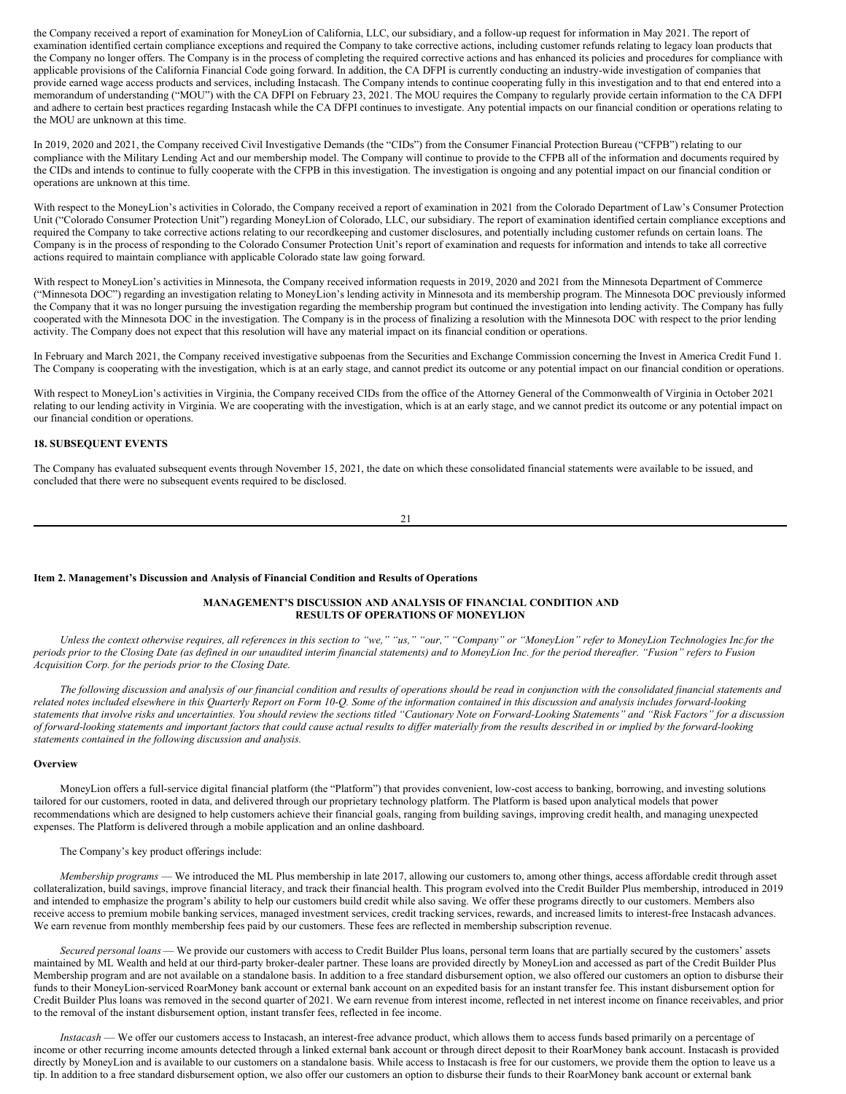the Company received a report of examination for MoneyLion of California, LLC, our subsidiary, and a follow-up request for information in May 2021. The report of examination identified certain compliance exceptions and required the Company to take corrective actions, including customer refunds relating to legacy loan products that the Company no longer offers. The Company is in the process of completing the required corrective actions and has enhanced its policies and procedures for compliance with applicable provisions of the California Financial Code going forward. In addition, the CA DFPI is currently conducting an industry-wide investigation of companies that provide earned wage access products and services, including Instacash. The Company intends to continue cooperating fully in this investigation and to that end entered into a memorandum of understanding ("MOU") with the CA DFPI on February 23, 2021. The MOU requires the Company to regularly provide certain information to the CA DFPI and adhere to certain best practices regarding Instacash while the CA DFPI continues to investigate. Any potential impacts on our financial condition or operations relating to the MOU are unknown at this time.

In 2019, 2020 and 2021, the Company received Civil Investigative Demands (the "CIDs") from the Consumer Financial Protection Bureau ("CFPB") relating to our compliance with the Military Lending Act and our membership model. The Company will continue to provide to the CFPB all of the information and documents required by the CIDs and intends to continue to fully cooperate with the CFPB in this investigation. The investigation is ongoing and any potential impact on our financial condition or operations are unknown at this time.

With respect to the MoneyLion's activities in Colorado, the Company received a report of examination in 2021 from the Colorado Department of Law's Consumer Protection Unit ("Colorado Consumer Protection Unit") regarding MoneyLion of Colorado, LLC, our subsidiary. The report of examination identified certain compliance exceptions and required the Company to take corrective actions relating to our recordkeeping and customer disclosures, and potentially including customer refunds on certain loans. The Company is in the process of responding to the Colorado Consumer Protection Unit's report of examination and requests for information and intends to take all corrective actions required to maintain compliance with applicable Colorado state law going forward.

With respect to MoneyLion's activities in Minnesota, the Company received information requests in 2019, 2020 and 2021 from the Minnesota Department of Commerce ("Minnesota DOC") regarding an investigation relating to MoneyLion's lending activity in Minnesota and its membership program. The Minnesota DOC previously informed the Company that it was no longer pursuing the investigation regarding the membership program but continued the investigation into lending activity. The Company has fully cooperated with the Minnesota DOC in the investigation. The Company is in the process of finalizing a resolution with the Minnesota DOC with respect to the prior lending activity. The Company does not expect that this resolution will have any material impact on its financial condition or operations.

In February and March 2021, the Company received investigative subpoenas from the Securities and Exchange Commission concerning the Invest in America Credit Fund 1. The Company is cooperating with the investigation, which is at an early stage, and cannot predict its outcome or any potential impact on our financial condition or operations.

With respect to MoneyLion's activities in Virginia, the Company received CIDs from the office of the Attorney General of the Commonwealth of Virginia in October 2021 relating to our lending activity in Virginia. We are cooperating with the investigation, which is at an early stage, and we cannot predict its outcome or any potential impact on our financial condition or operations.

### **18. SUBSEQUENT EVENTS**

The Company has evaluated subsequent events through November 15, 2021, the date on which these consolidated financial statements were available to be issued, and concluded that there were no subsequent events required to be disclosed.

21

## **Item 2. Management's Discussion and Analysis of Financial Condition and Results of Operations**

## **MANAGEMENT'S DISCUSSION AND ANALYSIS OF FINANCIAL CONDITION AND RESULTS OF OPERATIONS OF MONEYLION**

Unless the context otherwise requires, all references in this section to "we," "us," "Our," "Company" or "MoneyLion" refer to MoneyLion Technologies Inc.for the periods prior to the Closing Date (as defined in our unaudited interim financial statements) and to MoneyLion Inc. for the period thereafter. "Fusion" refers to Fusion *Acquisition Corp. for the periods prior to the Closing Date.*

The following discussion and analysis of our financial condition and results of operations should be read in conjunction with the consolidated financial statements and related notes included elsewhere in this Quarterly Report on Form 10-Q. Some of the information contained in this discussion and analysis includes forward-looking statements that involve risks and uncertainties. You should review the sections titled "Cautionary Note on Forward-Looking Statements" and "Risk Factors" for a discussion of forward-looking statements and important factors that could cause actual results to differ materially from the results described in or implied by the forward-looking *statements contained in the following discussion and analysis.*

#### **Overview**

MoneyLion offers a full-service digital financial platform (the "Platform") that provides convenient, low-cost access to banking, borrowing, and investing solutions tailored for our customers, rooted in data, and delivered through our proprietary technology platform. The Platform is based upon analytical models that power recommendations which are designed to help customers achieve their financial goals, ranging from building savings, improving credit health, and managing unexpected expenses. The Platform is delivered through a mobile application and an online dashboard.

### The Company's key product offerings include:

*Membership programs* — We introduced the ML Plus membership in late 2017, allowing our customers to, among other things, access affordable credit through asset collateralization, build savings, improve financial literacy, and track their financial health. This program evolved into the Credit Builder Plus membership, introduced in 2019 and intended to emphasize the program's ability to help our customers build credit while also saving. We offer these programs directly to our customers. Members also receive access to premium mobile banking services, managed investment services, credit tracking services, rewards, and increased limits to interest-free Instacash advances. We earn revenue from monthly membership fees paid by our customers. These fees are reflected in membership subscription revenue.

*Secured personal loans* — We provide our customers with access to Credit Builder Plus loans, personal term loans that are partially secured by the customers' assets maintained by ML Wealth and held at our third-party broker-dealer partner. These loans are provided directly by MoneyLion and accessed as part of the Credit Builder Plus Membership program and are not available on a standalone basis. In addition to a free standard disbursement option, we also offered our customers an option to disburse their funds to their MoneyLion-serviced RoarMoney bank account or external bank account on an expedited basis for an instant transfer fee. This instant disbursement option for Credit Builder Plus loans was removed in the second quarter of 2021. We earn revenue from interest income, reflected in net interest income on finance receivables, and prior to the removal of the instant disbursement option, instant transfer fees, reflected in fee income.

*Instacash* — We offer our customers access to Instacash, an interest-free advance product, which allows them to access funds based primarily on a percentage of income or other recurring income amounts detected through a linked external bank account or through direct deposit to their RoarMoney bank account. Instacash is provided directly by MoneyLion and is available to our customers on a standalone basis. While access to Instacash is free for our customers, we provide them the option to leave us a tip. In addition to a free standard disbursement option, we also offer our customers an option to disburse their funds to their RoarMoney bank account or external bank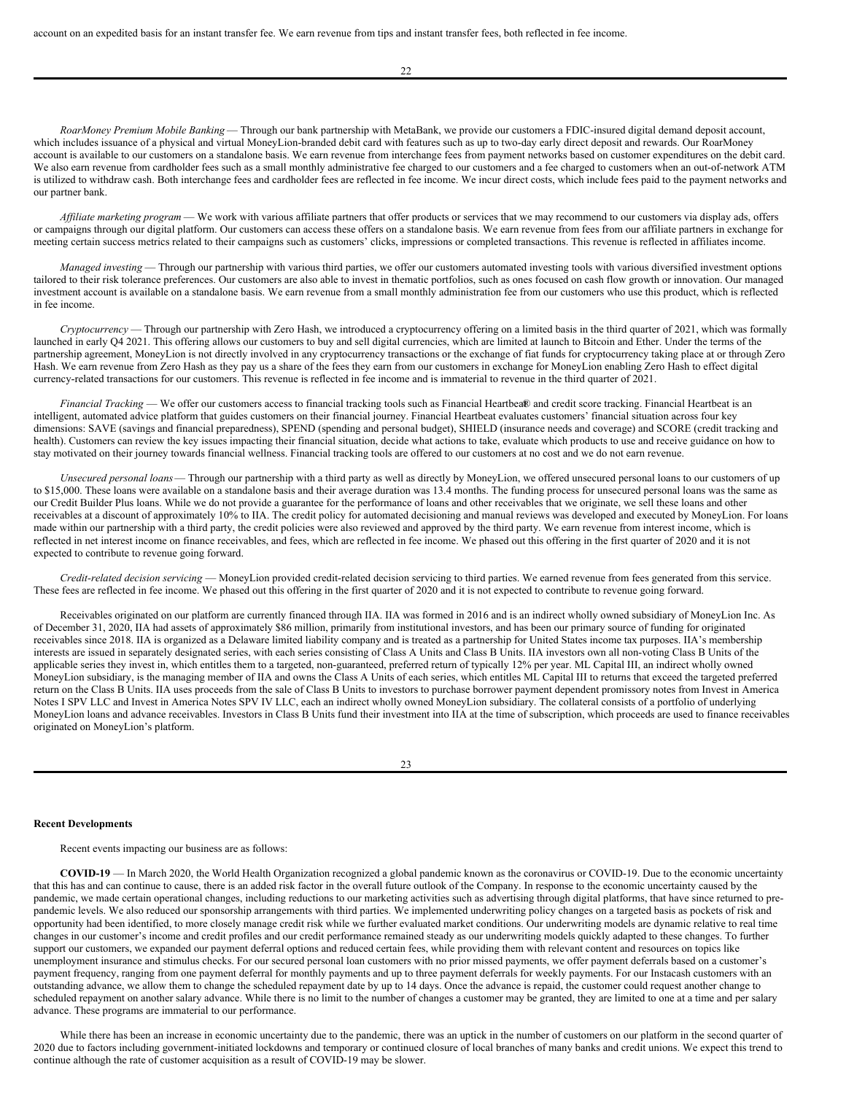$22$ 

*RoarMoney Premium Mobile Banking* — Through our bank partnership with MetaBank, we provide our customers a FDIC-insured digital demand deposit account, which includes issuance of a physical and virtual MoneyLion-branded debit card with features such as up to two-day early direct deposit and rewards. Our RoarMoney account is available to our customers on a standalone basis. We earn revenue from interchange fees from payment networks based on customer expenditures on the debit card. We also earn revenue from cardholder fees such as a small monthly administrative fee charged to our customers and a fee charged to customers when an out-of-network ATM is utilized to withdraw cash. Both interchange fees and cardholder fees are reflected in fee income. We incur direct costs, which include fees paid to the payment networks and our partner bank.

*Af iliate marketing program* — We work with various affiliate partners that offer products or services that we may recommend to our customers via display ads, offers or campaigns through our digital platform. Our customers can access these offers on a standalone basis. We earn revenue from fees from our affiliate partners in exchange for meeting certain success metrics related to their campaigns such as customers' clicks, impressions or completed transactions. This revenue is reflected in affiliates income.

*Managed investing* — Through our partnership with various third parties, we offer our customers automated investing tools with various diversified investment options tailored to their risk tolerance preferences. Our customers are also able to invest in thematic portfolios, such as ones focused on cash flow growth or innovation. Our managed investment account is available on a standalone basis. We earn revenue from a small monthly administration fee from our customers who use this product, which is reflected in fee income.

*Cryptocurrency* — Through our partnership with Zero Hash, we introduced a cryptocurrency offering on a limited basis in the third quarter of 2021, which was formally launched in early Q4 2021. This offering allows our customers to buy and sell digital currencies, which are limited at launch to Bitcoin and Ether. Under the terms of the partnership agreement, MoneyLion is not directly involved in any cryptocurrency transactions or the exchange of fiat funds for cryptocurrency taking place at or through Zero Hash. We earn revenue from Zero Hash as they pay us a share of the fees they earn from our customers in exchange for MoneyLion enabling Zero Hash to effect digital currency-related transactions for our customers. This revenue is reflected in fee income and is immaterial to revenue in the third quarter of 2021.

*Financial Tracking* — We offer our customers access to financial tracking tools such as Financial Heartbea® and credit score tracking. Financial Heartbeat is an intelligent, automated advice platform that guides customers on their financial journey. Financial Heartbeat evaluates customers' financial situation across four key dimensions: SAVE (savings and financial preparedness), SPEND (spending and personal budget), SHIELD (insurance needs and coverage) and SCORE (credit tracking and health). Customers can review the key issues impacting their financial situation, decide what actions to take, evaluate which products to use and receive guidance on how to stay motivated on their journey towards financial wellness. Financial tracking tools are offered to our customers at no cost and we do not earn revenue.

*Unsecured personal loans*— Through our partnership with a third party as well as directly by MoneyLion, we offered unsecured personal loans to our customers of up to \$15,000. These loans were available on a standalone basis and their average duration was 13.4 months. The funding process for unsecured personal loans was the same as our Credit Builder Plus loans. While we do not provide a guarantee for the performance of loans and other receivables that we originate, we sell these loans and other receivables at a discount of approximately 10% to IIA. The credit policy for automated decisioning and manual reviews was developed and executed by MoneyLion. For loans made within our partnership with a third party, the credit policies were also reviewed and approved by the third party. We earn revenue from interest income, which is reflected in net interest income on finance receivables, and fees, which are reflected in fee income. We phased out this offering in the first quarter of 2020 and it is not expected to contribute to revenue going forward.

*Credit-related decision servicing* — MoneyLion provided credit-related decision servicing to third parties. We earned revenue from fees generated from this service. These fees are reflected in fee income. We phased out this offering in the first quarter of 2020 and it is not expected to contribute to revenue going forward.

Receivables originated on our platform are currently financed through IIA. IIA was formed in 2016 and is an indirect wholly owned subsidiary of MoneyLion Inc. As of December 31, 2020, IIA had assets of approximately \$86 million, primarily from institutional investors, and has been our primary source of funding for originated receivables since 2018. IIA is organized as a Delaware limited liability company and is treated as a partnership for United States income tax purposes. IIA's membership interests are issued in separately designated series, with each series consisting of Class A Units and Class B Units. IIA investors own all non-voting Class B Units of the applicable series they invest in, which entitles them to a targeted, non-guaranteed, preferred return of typically 12% per year. ML Capital III, an indirect wholly owned MoneyLion subsidiary, is the managing member of IIA and owns the Class A Units of each series, which entitles ML Capital III to returns that exceed the targeted preferred return on the Class B Units. IIA uses proceeds from the sale of Class B Units to investors to purchase borrower payment dependent promissory notes from Invest in America Notes I SPV LLC and Invest in America Notes SPV IV LLC, each an indirect wholly owned MoneyLion subsidiary. The collateral consists of a portfolio of underlying MoneyLion loans and advance receivables. Investors in Class B Units fund their investment into IIA at the time of subscription, which proceeds are used to finance receivables originated on MoneyLion's platform.

#### **Recent Developments**

Recent events impacting our business are as follows:

**COVID-19** — In March 2020, the World Health Organization recognized a global pandemic known as the coronavirus or COVID-19. Due to the economic uncertainty that this has and can continue to cause, there is an added risk factor in the overall future outlook of the Company. In response to the economic uncertainty caused by the pandemic, we made certain operational changes, including reductions to our marketing activities such as advertising through digital platforms, that have since returned to prepandemic levels. We also reduced our sponsorship arrangements with third parties. We implemented underwriting policy changes on a targeted basis as pockets of risk and opportunity had been identified, to more closely manage credit risk while we further evaluated market conditions. Our underwriting models are dynamic relative to real time changes in our customer's income and credit profiles and our credit performance remained steady as our underwriting models quickly adapted to these changes. To further support our customers, we expanded our payment deferral options and reduced certain fees, while providing them with relevant content and resources on topics like unemployment insurance and stimulus checks. For our secured personal loan customers with no prior missed payments, we offer payment deferrals based on a customer's payment frequency, ranging from one payment deferral for monthly payments and up to three payment deferrals for weekly payments. For our Instacash customers with an outstanding advance, we allow them to change the scheduled repayment date by up to 14 days. Once the advance is repaid, the customer could request another change to scheduled repayment on another salary advance. While there is no limit to the number of changes a customer may be granted, they are limited to one at a time and per salary advance. These programs are immaterial to our performance.

While there has been an increase in economic uncertainty due to the pandemic, there was an uptick in the number of customers on our platform in the second quarter of 2020 due to factors including government-initiated lockdowns and temporary or continued closure of local branches of many banks and credit unions. We expect this trend to continue although the rate of customer acquisition as a result of COVID-19 may be slower.

<sup>23</sup>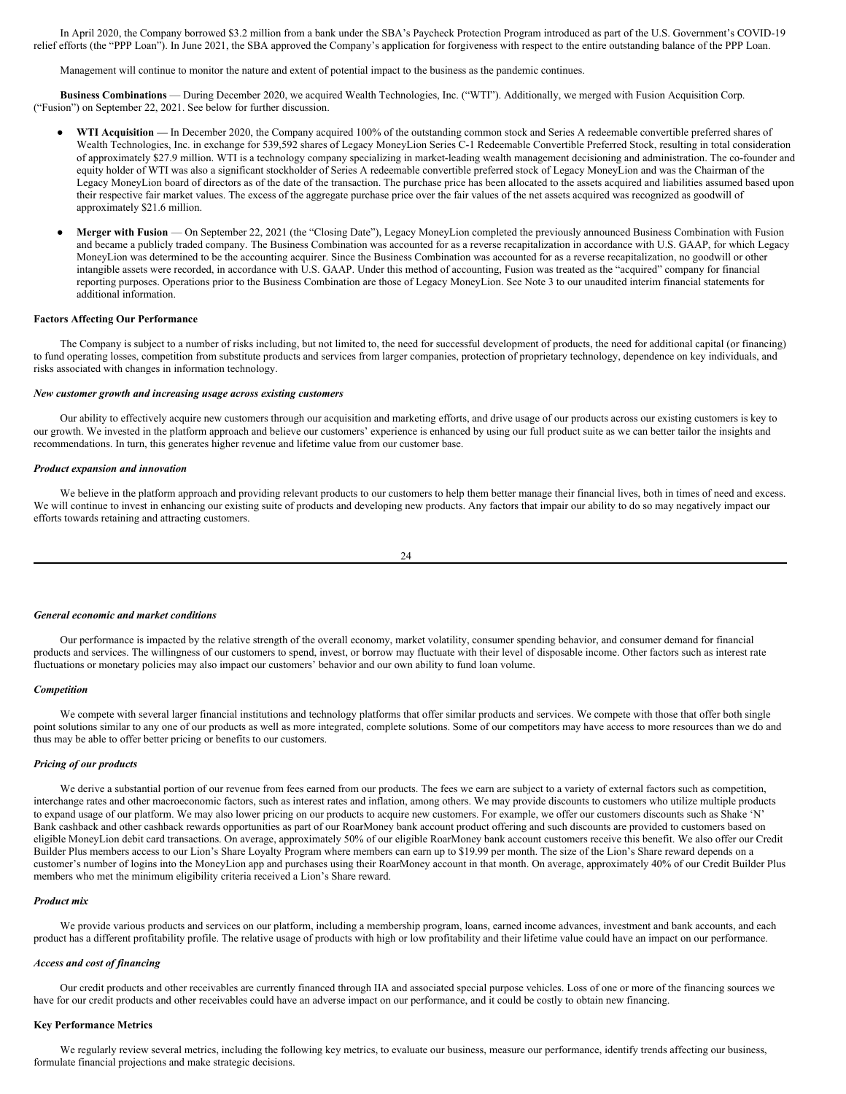In April 2020, the Company borrowed \$3.2 million from a bank under the SBA's Paycheck Protection Program introduced as part of the U.S. Government's COVID-19 relief efforts (the "PPP Loan"). In June 2021, the SBA approved the Company's application for forgiveness with respect to the entire outstanding balance of the PPP Loan.

Management will continue to monitor the nature and extent of potential impact to the business as the pandemic continues.

**Business Combinations** — During December 2020, we acquired Wealth Technologies, Inc. ("WTI"). Additionally, we merged with Fusion Acquisition Corp. ("Fusion") on September 22, 2021. See below for further discussion.

- WTI Acquisition In December 2020, the Company acquired 100% of the outstanding common stock and Series A redeemable convertible preferred shares of Wealth Technologies, Inc. in exchange for 539,592 shares of Legacy MoneyLion Series C-1 Redeemable Convertible Preferred Stock, resulting in total consideration of approximately \$27.9 million. WTI is a technology company specializing in market-leading wealth management decisioning and administration. The co-founder and equity holder of WTI was also a significant stockholder of Series A redeemable convertible preferred stock of Legacy MoneyLion and was the Chairman of the Legacy MoneyLion board of directors as of the date of the transaction. The purchase price has been allocated to the assets acquired and liabilities assumed based upon their respective fair market values. The excess of the aggregate purchase price over the fair values of the net assets acquired was recognized as goodwill of approximately \$21.6 million.
- Merger with Fusion On September 22, 2021 (the "Closing Date"), Legacy MoneyLion completed the previously announced Business Combination with Fusion and became a publicly traded company. The Business Combination was accounted for as a reverse recapitalization in accordance with U.S. GAAP, for which Legacy MoneyLion was determined to be the accounting acquirer. Since the Business Combination was accounted for as a reverse recapitalization, no goodwill or other intangible assets were recorded, in accordance with U.S. GAAP. Under this method of accounting, Fusion was treated as the "acquired" company for financial reporting purposes. Operations prior to the Business Combination are those of Legacy MoneyLion. See Note 3 to our unaudited interim financial statements for additional information.

#### **Factors Affecting Our Performance**

The Company is subject to a number of risks including, but not limited to, the need for successful development of products, the need for additional capital (or financing) to fund operating losses, competition from substitute products and services from larger companies, protection of proprietary technology, dependence on key individuals, and risks associated with changes in information technology.

#### *New customer growth and increasing usage across existing customers*

Our ability to effectively acquire new customers through our acquisition and marketing efforts, and drive usage of our products across our existing customers is key to our growth. We invested in the platform approach and believe our customers' experience is enhanced by using our full product suite as we can better tailor the insights and recommendations. In turn, this generates higher revenue and lifetime value from our customer base.

#### *Product expansion and innovation*

We believe in the platform approach and providing relevant products to our customers to help them better manage their financial lives, both in times of need and excess. We will continue to invest in enhancing our existing suite of products and developing new products. Any factors that impair our ability to do so may negatively impact our efforts towards retaining and attracting customers.

$$
^{24}
$$

#### *General economic and market conditions*

Our performance is impacted by the relative strength of the overall economy, market volatility, consumer spending behavior, and consumer demand for financial products and services. The willingness of our customers to spend, invest, or borrow may fluctuate with their level of disposable income. Other factors such as interest rate fluctuations or monetary policies may also impact our customers' behavior and our own ability to fund loan volume.

#### *Competition*

We compete with several larger financial institutions and technology platforms that offer similar products and services. We compete with those that offer both single point solutions similar to any one of our products as well as more integrated, complete solutions. Some of our competitors may have access to more resources than we do and thus may be able to offer better pricing or benefits to our customers.

### *Pricing of our products*

We derive a substantial portion of our revenue from fees earned from our products. The fees we earn are subject to a variety of external factors such as competition, interchange rates and other macroeconomic factors, such as interest rates and inflation, among others. We may provide discounts to customers who utilize multiple products to expand usage of our platform. We may also lower pricing on our products to acquire new customers. For example, we offer our customers discounts such as Shake 'N' Bank cashback and other cashback rewards opportunities as part of our RoarMoney bank account product offering and such discounts are provided to customers based on eligible MoneyLion debit card transactions. On average, approximately 50% of our eligible RoarMoney bank account customers receive this benefit. We also offer our Credit Builder Plus members access to our Lion's Share Loyalty Program where members can earn up to \$19.99 per month. The size of the Lion's Share reward depends on a customer's number of logins into the MoneyLion app and purchases using their RoarMoney account in that month. On average, approximately 40% of our Credit Builder Plus members who met the minimum eligibility criteria received a Lion's Share reward.

#### *Product mix*

We provide various products and services on our platform, including a membership program, loans, earned income advances, investment and bank accounts, and each product has a different profitability profile. The relative usage of products with high or low profitability and their lifetime value could have an impact on our performance.

## *Access and cost of financing*

Our credit products and other receivables are currently financed through IIA and associated special purpose vehicles. Loss of one or more of the financing sources we have for our credit products and other receivables could have an adverse impact on our performance, and it could be costly to obtain new financing.

## **Key Performance Metrics**

We regularly review several metrics, including the following key metrics, to evaluate our business, measure our performance, identify trends affecting our business, formulate financial projections and make strategic decisions.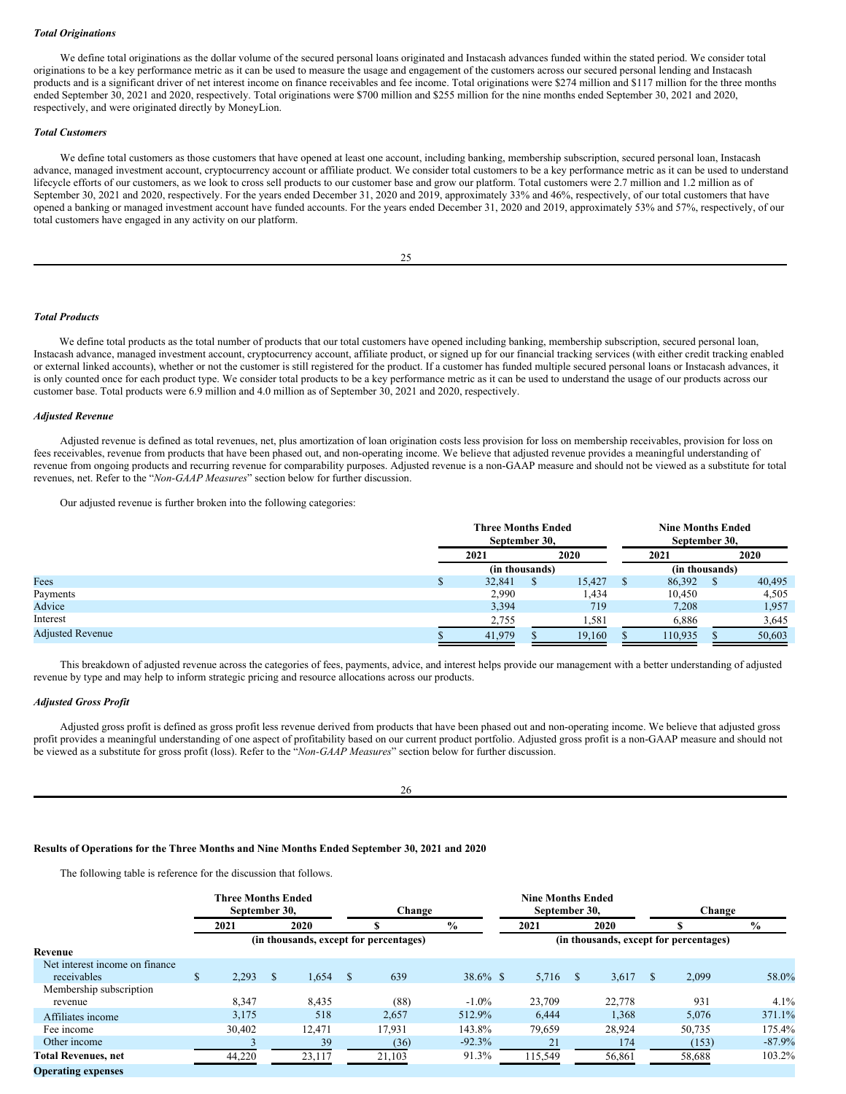#### *Total Originations*

We define total originations as the dollar volume of the secured personal loans originated and Instacash advances funded within the stated period. We consider total originations to be a key performance metric as it can be used to measure the usage and engagement of the customers across our secured personal lending and Instacash products and is a significant driver of net interest income on finance receivables and fee income. Total originations were \$274 million and \$117 million for the three months ended September 30, 2021 and 2020, respectively. Total originations were \$700 million and \$255 million for the nine months ended September 30, 2021 and 2020, respectively, and were originated directly by MoneyLion.

#### *Total Customers*

We define total customers as those customers that have opened at least one account, including banking, membership subscription, secured personal loan, Instacash advance, managed investment account, cryptocurrency account or affiliate product. We consider total customers to be a key performance metric as it can be used to understand lifecycle efforts of our customers, as we look to cross sell products to our customer base and grow our platform. Total customers were 2.7 million and 1.2 million as of September 30, 2021 and 2020, respectively. For the years ended December 31, 2020 and 2019, approximately 33% and 46%, respectively, of our total customers that have opened a banking or managed investment account have funded accounts. For the years ended December 31, 2020 and 2019, approximately 53% and 57%, respectively, of our total customers have engaged in any activity on our platform.

## *Total Products*

We define total products as the total number of products that our total customers have opened including banking, membership subscription, secured personal loan, Instacash advance, managed investment account, cryptocurrency account, affiliate product, or signed up for our financial tracking services (with either credit tracking enabled or external linked accounts), whether or not the customer is still registered for the product. If a customer has funded multiple secured personal loans or Instacash advances, it is only counted once for each product type. We consider total products to be a key performance metric as it can be used to understand the usage of our products across our customer base. Total products were 6.9 million and 4.0 million as of September 30, 2021 and 2020, respectively.

## *Adjusted Revenue*

Adjusted revenue is defined as total revenues, net, plus amortization of loan origination costs less provision for loss on membership receivables, provision for loss on fees receivables, revenue from products that have been phased out, and non-operating income. We believe that adjusted revenue provides a meaningful understanding of revenue from ongoing products and recurring revenue for comparability purposes. Adjusted revenue is a non-GAAP measure and should not be viewed as a substitute for total revenues, net. Refer to the "*Non-GAAP Measures*" section below for further discussion.

Our adjusted revenue is further broken into the following categories:

|                         | <b>Three Months Ended</b><br>September 30, |  | <b>Nine Months Ended</b><br>September 30, |  |         |                |        |
|-------------------------|--------------------------------------------|--|-------------------------------------------|--|---------|----------------|--------|
|                         | 2021                                       |  | 2020                                      |  | 2021    | 2020           |        |
|                         | (in thousands)                             |  |                                           |  |         | (in thousands) |        |
| Fees                    | 32,841                                     |  | 15,427                                    |  | 86,392  |                | 40,495 |
| Payments                | 2,990                                      |  | 1,434                                     |  | 10.450  |                | 4,505  |
| Advice                  | 3,394                                      |  | 719                                       |  | 7,208   |                | 1,957  |
| Interest                | 2,755                                      |  | 1,581                                     |  | 6,886   |                | 3,645  |
| <b>Adjusted Revenue</b> | 41,979                                     |  | 19,160                                    |  | 110,935 |                | 50,603 |

This breakdown of adjusted revenue across the categories of fees, payments, advice, and interest helps provide our management with a better understanding of adjusted revenue by type and may help to inform strategic pricing and resource allocations across our products.

### *Adjusted Gross Profit*

Adjusted gross profit is defined as gross profit less revenue derived from products that have been phased out and non-operating income. We believe that adjusted gross profit provides a meaningful understanding of one aspect of profitability based on our current product portfolio. Adjusted gross profit is a non-GAAP measure and should not be viewed as a substitute for gross profit (loss). Refer to the "*Non-GAAP Measures*" section below for further discussion.

## **Results of Operations for the Three Months and Nine Months Ended September 30, 2021 and 2020**

The following table is reference for the discussion that follows.

|                                |              | <b>Three Months Ended</b><br>September 30,<br>Change |    |        |    |                                        | <b>Nine Months Ended</b><br>September 30, |                                        |         |               | Change |               |        |               |
|--------------------------------|--------------|------------------------------------------------------|----|--------|----|----------------------------------------|-------------------------------------------|----------------------------------------|---------|---------------|--------|---------------|--------|---------------|
|                                |              | 2021                                                 |    | 2020   |    |                                        | $\frac{1}{2}$                             |                                        | 2021    |               | 2020   |               |        | $\frac{6}{9}$ |
|                                |              |                                                      |    |        |    | (in thousands, except for percentages) |                                           | (in thousands, except for percentages) |         |               |        |               |        |               |
| Revenue                        |              |                                                      |    |        |    |                                        |                                           |                                        |         |               |        |               |        |               |
| Net interest income on finance |              |                                                      |    |        |    |                                        |                                           |                                        |         |               |        |               |        |               |
| receivables                    | $\mathbb{S}$ | 2,293                                                | -S | 1,654  | -S | 639                                    | $38.6\%$ \$                               |                                        | 5,716   | <sup>\$</sup> | 3,617  | <sup>\$</sup> | 2,099  | 58.0%         |
| Membership subscription        |              |                                                      |    |        |    |                                        |                                           |                                        |         |               |        |               |        |               |
| revenue                        |              | 8,347                                                |    | 8.435  |    | (88)                                   | $-1.0\%$                                  |                                        | 23,709  |               | 22,778 |               | 931    | 4.1%          |
| Affiliates income              |              | 3,175                                                |    | 518    |    | 2,657                                  | 512.9%                                    |                                        | 6.444   |               | 1,368  |               | 5,076  | 371.1%        |
| Fee income                     |              | 30,402                                               |    | 12.471 |    | 17,931                                 | 143.8%                                    |                                        | 79.659  |               | 28.924 |               | 50.735 | 175.4%        |
| Other income                   |              |                                                      |    | 39     |    | (36)                                   | $-92.3%$                                  |                                        | 21      |               | 174    |               | (153)  | $-87.9%$      |
| <b>Total Revenues, net</b>     |              | 44,220                                               |    | 23,117 |    | 21,103                                 | 91.3%                                     |                                        | 115,549 |               | 56,861 |               | 58,688 | 103.2%        |
| <b>Operating expenses</b>      |              |                                                      |    |        |    |                                        |                                           |                                        |         |               |        |               |        |               |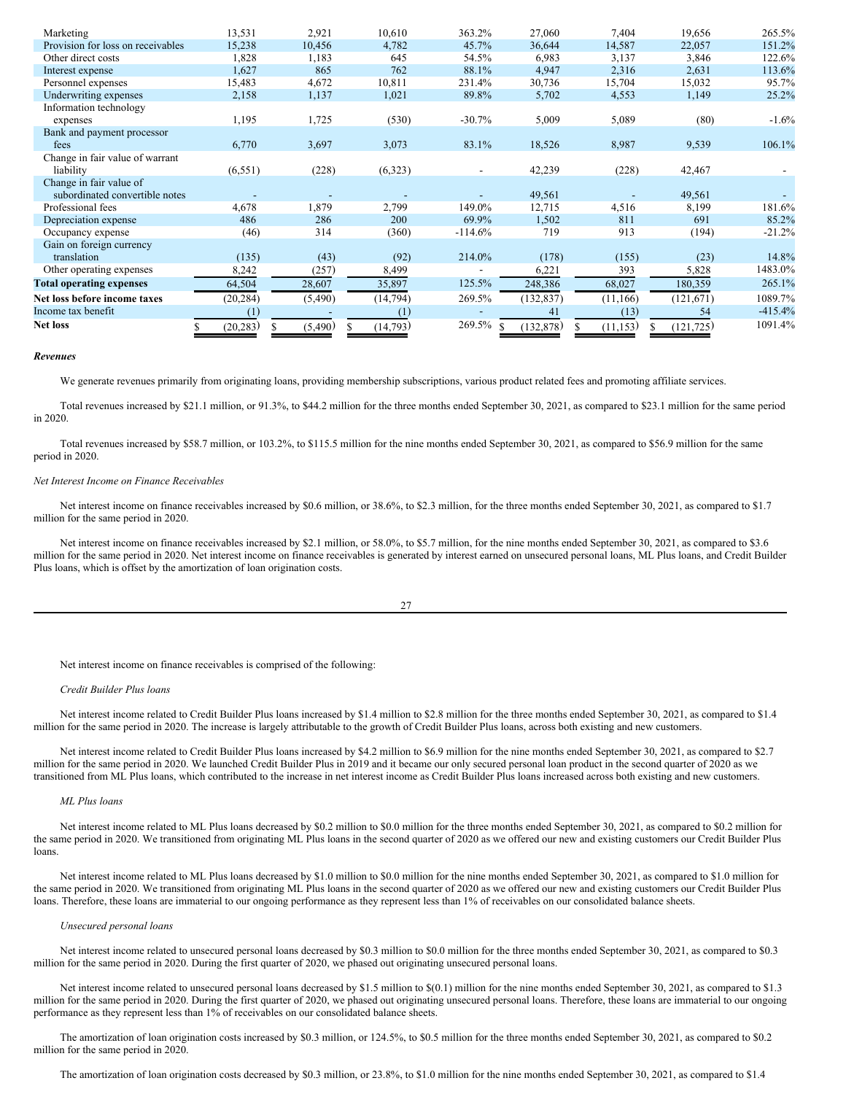| Marketing                         | 13,531    | 2,921   | 10,610    | 363.2%    | 27,060     | 7,404     | 19,656     | 265.5%    |
|-----------------------------------|-----------|---------|-----------|-----------|------------|-----------|------------|-----------|
| Provision for loss on receivables | 15,238    | 10,456  | 4,782     | 45.7%     | 36,644     | 14,587    | 22,057     | 151.2%    |
| Other direct costs                | 1,828     | 1,183   | 645       | 54.5%     | 6,983      | 3,137     | 3,846      | 122.6%    |
|                                   |           |         |           |           |            |           |            |           |
| Interest expense                  | 1,627     | 865     | 762       | 88.1%     | 4,947      | 2,316     | 2,631      | 113.6%    |
| Personnel expenses                | 15,483    | 4,672   | 10,811    | 231.4%    | 30,736     | 15,704    | 15,032     | 95.7%     |
| Underwriting expenses             | 2,158     | 1,137   | 1,021     | 89.8%     | 5,702      | 4,553     | 1,149      | 25.2%     |
| Information technology            |           |         |           |           |            |           |            |           |
| expenses                          | 1,195     | 1,725   | (530)     | $-30.7%$  | 5,009      | 5,089     | (80)       | $-1.6%$   |
| Bank and payment processor        |           |         |           |           |            |           |            |           |
| fees                              | 6,770     | 3,697   | 3,073     | 83.1%     | 18,526     | 8,987     | 9,539      | 106.1%    |
| Change in fair value of warrant   |           |         |           |           |            |           |            |           |
| liability                         | (6, 551)  | (228)   | (6,323)   |           | 42,239     | (228)     | 42,467     |           |
| Change in fair value of           |           |         |           |           |            |           |            |           |
| subordinated convertible notes    |           |         |           |           | 49,561     |           | 49,561     |           |
| Professional fees                 | 4,678     | 1,879   | 2,799     | 149.0%    | 12,715     | 4,516     | 8,199      | 181.6%    |
| Depreciation expense              | 486       | 286     | 200       | 69.9%     | 1,502      | 811       | 691        | 85.2%     |
| Occupancy expense                 | (46)      | 314     | (360)     | $-114.6%$ | 719        | 913       | (194)      | $-21.2%$  |
| Gain on foreign currency          |           |         |           |           |            |           |            |           |
| translation                       | (135)     | (43)    | (92)      | 214.0%    | (178)      | (155)     | (23)       | 14.8%     |
| Other operating expenses          | 8,242     | (257)   | 8,499     |           | 6,221      | 393       | 5,828      | 1483.0%   |
| <b>Total operating expenses</b>   | 64,504    | 28,607  | 35,897    | 125.5%    | 248,386    | 68,027    | 180,359    | 265.1%    |
| Net loss before income taxes      | (20, 284) | (5,490) | (14, 794) | 269.5%    | (132, 837) | (11,166)  | (121,671)  | 1089.7%   |
| Income tax benefit                | (1)       |         | (1)       |           | 41         | (13)      | 54         | $-415.4%$ |
| <b>Net loss</b>                   | (20, 283) | (5,490) | (14,793)  | 269.5%    | (132, 878) | (11, 153) | (121, 725) | 1091.4%   |
|                                   |           |         |           |           |            |           |            |           |

#### *Revenues*

We generate revenues primarily from originating loans, providing membership subscriptions, various product related fees and promoting affiliate services.

Total revenues increased by \$21.1 million, or 91.3%, to \$44.2 million for the three months ended September 30, 2021, as compared to \$23.1 million for the same period in 2020.

Total revenues increased by \$58.7 million, or 103.2%, to \$115.5 million for the nine months ended September 30, 2021, as compared to \$56.9 million for the same period in 2020.

#### *Net Interest Income on Finance Receivables*

Net interest income on finance receivables increased by \$0.6 million, or 38.6%, to \$2.3 million, for the three months ended September 30, 2021, as compared to \$1.7 million for the same period in 2020.

Net interest income on finance receivables increased by \$2.1 million, or 58.0%, to \$5.7 million, for the nine months ended September 30, 2021, as compared to \$3.6 million for the same period in 2020. Net interest income on finance receivables is generated by interest earned on unsecured personal loans, ML Plus loans, and Credit Builder Plus loans, which is offset by the amortization of loan origination costs.

 $27$ 

Net interest income on finance receivables is comprised of the following:

### *Credit Builder Plus loans*

Net interest income related to Credit Builder Plus loans increased by \$1.4 million to \$2.8 million for the three months ended September 30, 2021, as compared to \$1.4 million for the same period in 2020. The increase is largely attributable to the growth of Credit Builder Plus loans, across both existing and new customers.

Net interest income related to Credit Builder Plus loans increased by \$4.2 million to \$6.9 million for the nine months ended September 30, 2021, as compared to \$2.7 million for the same period in 2020. We launched Credit Builder Plus in 2019 and it became our only secured personal loan product in the second quarter of 2020 as we transitioned from ML Plus loans, which contributed to the increase in net interest income as Credit Builder Plus loans increased across both existing and new customers.

#### *ML Plus loans*

Net interest income related to ML Plus loans decreased by \$0.2 million to \$0.0 million for the three months ended September 30, 2021, as compared to \$0.2 million for the same period in 2020. We transitioned from originating ML Plus loans in the second quarter of 2020 as we offered our new and existing customers our Credit Builder Plus loans.

Net interest income related to ML Plus loans decreased by \$1.0 million to \$0.0 million for the nine months ended September 30, 2021, as compared to \$1.0 million for the same period in 2020. We transitioned from originating ML Plus loans in the second quarter of 2020 as we offered our new and existing customers our Credit Builder Plus loans. Therefore, these loans are immaterial to our ongoing performance as they represent less than 1% of receivables on our consolidated balance sheets.

#### *Unsecured personal loans*

Net interest income related to unsecured personal loans decreased by \$0.3 million to \$0.0 million for the three months ended September 30, 2021, as compared to \$0.3 million for the same period in 2020. During the first quarter of 2020, we phased out originating unsecured personal loans.

Net interest income related to unsecured personal loans decreased by \$1.5 million to \$(0.1) million for the nine months ended September 30, 2021, as compared to \$1.3 million for the same period in 2020. During the first quarter of 2020, we phased out originating unsecured personal loans. Therefore, these loans are immaterial to our ongoing performance as they represent less than 1% of receivables on our consolidated balance sheets.

The amortization of loan origination costs increased by \$0.3 million, or 124.5%, to \$0.5 million for the three months ended September 30, 2021, as compared to \$0.2 million for the same period in 2020.

The amortization of loan origination costs decreased by \$0.3 million, or 23.8%, to \$1.0 million for the nine months ended September 30, 2021, as compared to \$1.4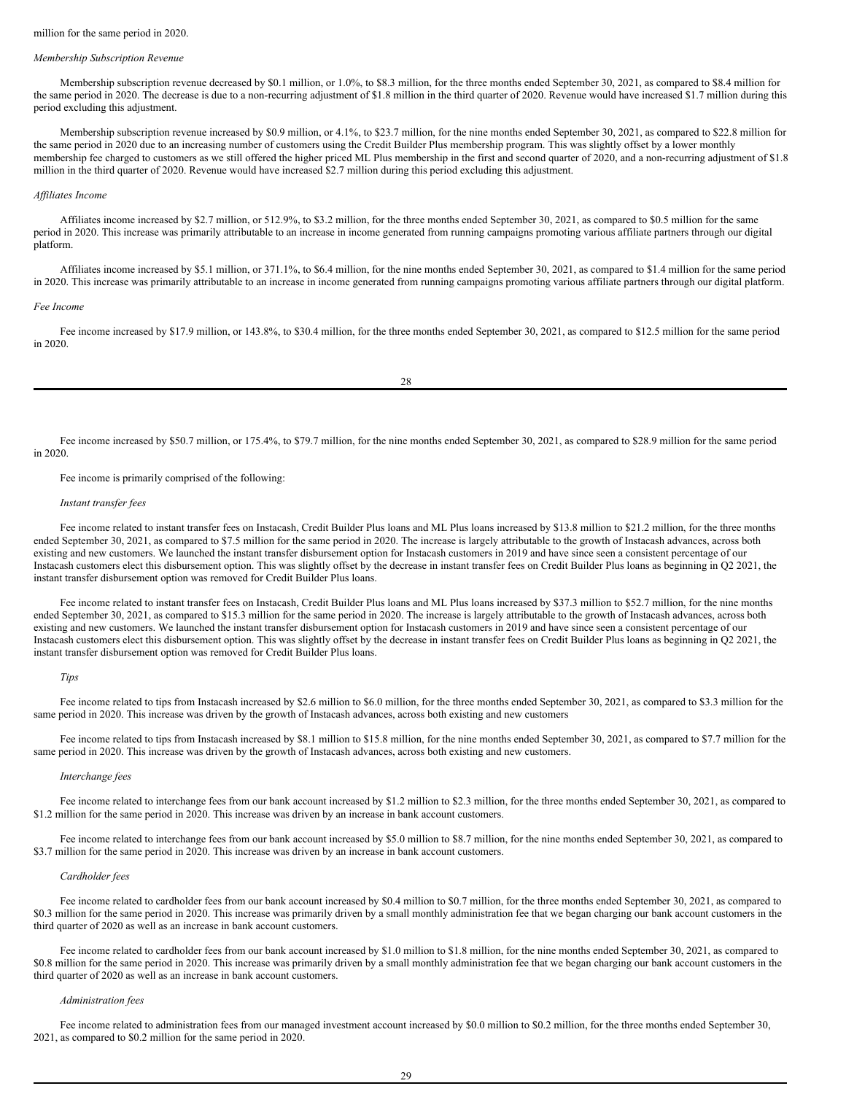#### million for the same period in 2020.

## *Membership Subscription Revenue*

Membership subscription revenue decreased by \$0.1 million, or 1.0%, to \$8.3 million, for the three months ended September 30, 2021, as compared to \$8.4 million for the same period in 2020. The decrease is due to a non-recurring adjustment of \$1.8 million in the third quarter of 2020. Revenue would have increased \$1.7 million during this period excluding this adjustment.

Membership subscription revenue increased by \$0.9 million, or 4.1%, to \$23.7 million, for the nine months ended September 30, 2021, as compared to \$22.8 million for the same period in 2020 due to an increasing number of customers using the Credit Builder Plus membership program. This was slightly offset by a lower monthly membership fee charged to customers as we still offered the higher priced ML Plus membership in the first and second quarter of 2020, and a non-recurring adjustment of \$1.8 million in the third quarter of 2020. Revenue would have increased \$2.7 million during this period excluding this adjustment.

#### *Af iliates Income*

Affiliates income increased by \$2.7 million, or 512.9%, to \$3.2 million, for the three months ended September 30, 2021, as compared to \$0.5 million for the same period in 2020. This increase was primarily attributable to an increase in income generated from running campaigns promoting various affiliate partners through our digital platform.

Affiliates income increased by \$5.1 million, or 371.1%, to \$6.4 million, for the nine months ended September 30, 2021, as compared to \$1.4 million for the same period in 2020. This increase was primarily attributable to an increase in income generated from running campaigns promoting various affiliate partners through our digital platform.

#### *Fee Income*

Fee income increased by \$17.9 million, or 143.8%, to \$30.4 million, for the three months ended September 30, 2021, as compared to \$12.5 million for the same period in 2020.

Fee income increased by \$50.7 million, or 175.4%, to \$79.7 million, for the nine months ended September 30, 2021, as compared to \$28.9 million for the same period in 2020.

Fee income is primarily comprised of the following:

#### *Instant transfer fees*

Fee income related to instant transfer fees on Instacash, Credit Builder Plus loans and ML Plus loans increased by \$13.8 million to \$21.2 million, for the three months ended September 30, 2021, as compared to \$7.5 million for the same period in 2020. The increase is largely attributable to the growth of Instacash advances, across both existing and new customers. We launched the instant transfer disbursement option for Instacash customers in 2019 and have since seen a consistent percentage of our Instacash customers elect this disbursement option. This was slightly offset by the decrease in instant transfer fees on Credit Builder Plus loans as beginning in Q2 2021, the instant transfer disbursement option was removed for Credit Builder Plus loans.

Fee income related to instant transfer fees on Instacash, Credit Builder Plus loans and ML Plus loans increased by \$37.3 million to \$52.7 million, for the nine months ended September 30, 2021, as compared to \$15.3 million for the same period in 2020. The increase is largely attributable to the growth of Instacash advances, across both existing and new customers. We launched the instant transfer disbursement option for Instacash customers in 2019 and have since seen a consistent percentage of our Instacash customers elect this disbursement option. This was slightly offset by the decrease in instant transfer fees on Credit Builder Plus loans as beginning in Q2 2021, the instant transfer disbursement option was removed for Credit Builder Plus loans.

#### *Tips*

Fee income related to tips from Instacash increased by \$2.6 million to \$6.0 million, for the three months ended September 30, 2021, as compared to \$3.3 million for the same period in 2020. This increase was driven by the growth of Instacash advances, across both existing and new customers

Fee income related to tips from Instacash increased by \$8.1 million to \$15.8 million, for the nine months ended September 30, 2021, as compared to \$7.7 million for the same period in 2020. This increase was driven by the growth of Instacash advances, across both existing and new customers.

#### *Interchange fees*

Fee income related to interchange fees from our bank account increased by \$1.2 million to \$2.3 million, for the three months ended September 30, 2021, as compared to \$1.2 million for the same period in 2020. This increase was driven by an increase in bank account customers.

Fee income related to interchange fees from our bank account increased by \$5.0 million to \$8.7 million, for the nine months ended September 30, 2021, as compared to \$3.7 million for the same period in 2020. This increase was driven by an increase in bank account customers.

#### *Cardholder fees*

Fee income related to cardholder fees from our bank account increased by \$0.4 million to \$0.7 million, for the three months ended September 30, 2021, as compared to \$0.3 million for the same period in 2020. This increase was primarily driven by a small monthly administration fee that we began charging our bank account customers in the third quarter of 2020 as well as an increase in bank account customers.

Fee income related to cardholder fees from our bank account increased by \$1.0 million to \$1.8 million, for the nine months ended September 30, 2021, as compared to \$0.8 million for the same period in 2020. This increase was primarily driven by a small monthly administration fee that we began charging our bank account customers in the third quarter of 2020 as well as an increase in bank account customers.

## *Administration fees*

Fee income related to administration fees from our managed investment account increased by \$0.0 million to \$0.2 million, for the three months ended September 30, 2021, as compared to \$0.2 million for the same period in 2020.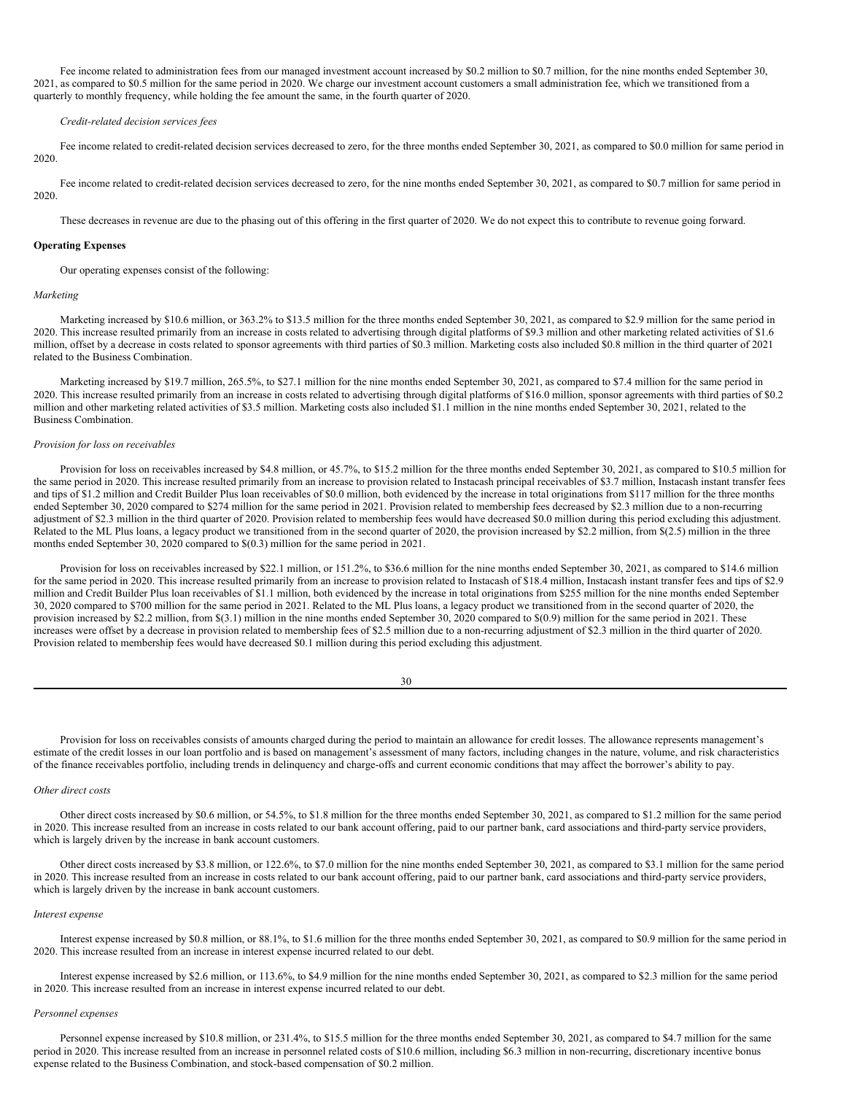Fee income related to administration fees from our managed investment account increased by \$0.2 million to \$0.7 million, for the nine months ended September 30, 2021, as compared to \$0.5 million for the same period in 2020. We charge our investment account customers a small administration fee, which we transitioned from a quarterly to monthly frequency, while holding the fee amount the same, in the fourth quarter of 2020.

## *Credit-related decision services fees*

Fee income related to credit-related decision services decreased to zero, for the three months ended September 30, 2021, as compared to \$0.0 million for same period in 2020.

Fee income related to credit-related decision services decreased to zero, for the nine months ended September 30, 2021, as compared to \$0.7 million for same period in 2020.

These decreases in revenue are due to the phasing out of this offering in the first quarter of 2020. We do not expect this to contribute to revenue going forward.

# **Operating Expenses**

Our operating expenses consist of the following:

### *Marketing*

Marketing increased by \$10.6 million, or 363.2% to \$13.5 million for the three months ended September 30, 2021, as compared to \$2.9 million for the same period in 2020. This increase resulted primarily from an increase in costs related to advertising through digital platforms of \$9.3 million and other marketing related activities of \$1.6 million, offset by a decrease in costs related to sponsor agreements with third parties of \$0.3 million. Marketing costs also included \$0.8 million in the third quarter of 2021 related to the Business Combination.

Marketing increased by \$19.7 million, 265.5%, to \$27.1 million for the nine months ended September 30, 2021, as compared to \$7.4 million for the same period in 2020. This increase resulted primarily from an increase in costs related to advertising through digital platforms of \$16.0 million, sponsor agreements with third parties of \$0.2 million and other marketing related activities of \$3.5 million. Marketing costs also included \$1.1 million in the nine months ended September 30, 2021, related to the Business Combination.

#### *Provision for loss on receivables*

Provision for loss on receivables increased by \$4.8 million, or 45.7%, to \$15.2 million for the three months ended September 30, 2021, as compared to \$10.5 million for the same period in 2020. This increase resulted primarily from an increase to provision related to Instacash principal receivables of \$3.7 million, Instacash instant transfer fees and tips of \$1.2 million and Credit Builder Plus loan receivables of \$0.0 million, both evidenced by the increase in total originations from \$117 million for the three months ended September 30, 2020 compared to \$274 million for the same period in 2021. Provision related to membership fees decreased by \$2.3 million due to a non-recurring adjustment of \$2.3 million in the third quarter of 2020. Provision related to membership fees would have decreased \$0.0 million during this period excluding this adjustment. Related to the ML Plus loans, a legacy product we transitioned from in the second quarter of 2020, the provision increased by \$2.2 million, from \$(2.5) million in the three months ended September 30, 2020 compared to \$(0.3) million for the same period in 2021.

Provision for loss on receivables increased by \$22.1 million, or 151.2%, to \$36.6 million for the nine months ended September 30, 2021, as compared to \$14.6 million for the same period in 2020. This increase resulted primarily from an increase to provision related to Instacash of \$18.4 million, Instacash instant transfer fees and tips of \$2.9 million and Credit Builder Plus loan receivables of \$1.1 million, both evidenced by the increase in total originations from \$255 million for the nine months ended September 30, 2020 compared to \$700 million for the same period in 2021. Related to the ML Plus loans, a legacy product we transitioned from in the second quarter of 2020, the provision increased by \$2.2 million, from \$(3.1) million in the nine months ended September 30, 2020 compared to \$(0.9) million for the same period in 2021. These increases were offset by a decrease in provision related to membership fees of \$2.5 million due to a non-recurring adjustment of \$2.3 million in the third quarter of 2020. Provision related to membership fees would have decreased \$0.1 million during this period excluding this adjustment.

|                   | I            |  |
|-------------------|--------------|--|
| I<br>I<br>×<br>۰. | ٦<br>×<br>۰. |  |

Provision for loss on receivables consists of amounts charged during the period to maintain an allowance for credit losses. The allowance represents management's estimate of the credit losses in our loan portfolio and is based on management's assessment of many factors, including changes in the nature, volume, and risk characteristics of the finance receivables portfolio, including trends in delinquency and charge-offs and current economic conditions that may affect the borrower's ability to pay.

#### *Other direct costs*

Other direct costs increased by \$0.6 million, or 54.5%, to \$1.8 million for the three months ended September 30, 2021, as compared to \$1.2 million for the same period in 2020. This increase resulted from an increase in costs related to our bank account offering, paid to our partner bank, card associations and third-party service providers, which is largely driven by the increase in bank account customers.

Other direct costs increased by \$3.8 million, or 122.6%, to \$7.0 million for the nine months ended September 30, 2021, as compared to \$3.1 million for the same period in 2020. This increase resulted from an increase in costs related to our bank account offering, paid to our partner bank, card associations and third-party service providers, which is largely driven by the increase in bank account customers.

#### *Interest expense*

Interest expense increased by \$0.8 million, or 88.1%, to \$1.6 million for the three months ended September 30, 2021, as compared to \$0.9 million for the same period in 2020. This increase resulted from an increase in interest expense incurred related to our debt.

Interest expense increased by \$2.6 million, or 113.6%, to \$4.9 million for the nine months ended September 30, 2021, as compared to \$2.3 million for the same period in 2020. This increase resulted from an increase in interest expense incurred related to our debt.

#### *Personnel expenses*

Personnel expense increased by \$10.8 million, or 231.4%, to \$15.5 million for the three months ended September 30, 2021, as compared to \$4.7 million for the same period in 2020. This increase resulted from an increase in personnel related costs of \$10.6 million, including \$6.3 million in non-recurring, discretionary incentive bonus expense related to the Business Combination, and stock-based compensation of \$0.2 million.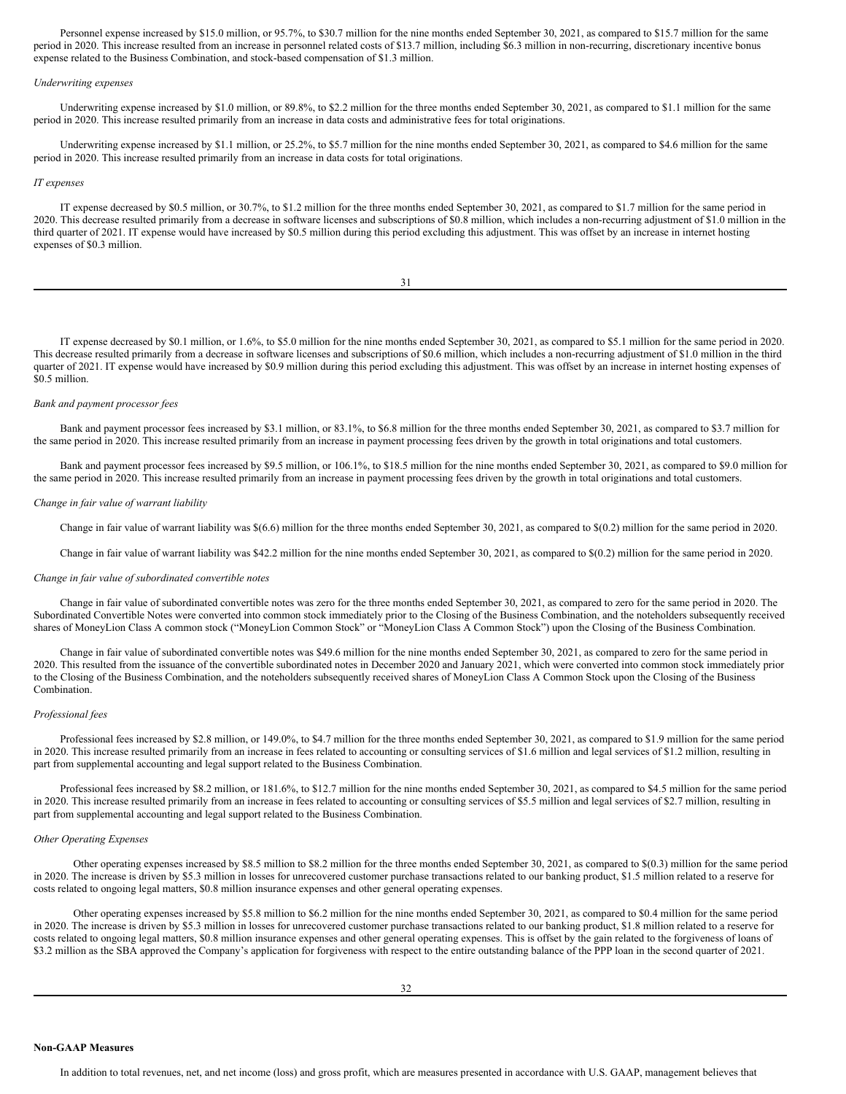Personnel expense increased by \$15.0 million, or 95.7%, to \$30.7 million for the nine months ended September 30, 2021, as compared to \$15.7 million for the same period in 2020. This increase resulted from an increase in personnel related costs of \$13.7 million, including \$6.3 million in non-recurring, discretionary incentive bonus expense related to the Business Combination, and stock-based compensation of \$1.3 million.

### *Underwriting expenses*

Underwriting expense increased by \$1.0 million, or 89.8%, to \$2.2 million for the three months ended September 30, 2021, as compared to \$1.1 million for the same period in 2020. This increase resulted primarily from an increase in data costs and administrative fees for total originations.

Underwriting expense increased by \$1.1 million, or 25.2%, to \$5.7 million for the nine months ended September 30, 2021, as compared to \$4.6 million for the same period in 2020. This increase resulted primarily from an increase in data costs for total originations.

## *IT expenses*

IT expense decreased by \$0.5 million, or 30.7%, to \$1.2 million for the three months ended September 30, 2021, as compared to \$1.7 million for the same period in 2020. This decrease resulted primarily from a decrease in software licenses and subscriptions of \$0.8 million, which includes a non-recurring adjustment of \$1.0 million in the third quarter of 2021. IT expense would have increased by \$0.5 million during this period excluding this adjustment. This was offset by an increase in internet hosting expenses of \$0.3 million.

| I<br>I<br>i<br>۰. |  |
|-------------------|--|

IT expense decreased by \$0.1 million, or 1.6%, to \$5.0 million for the nine months ended September 30, 2021, as compared to \$5.1 million for the same period in 2020. This decrease resulted primarily from a decrease in software licenses and subscriptions of \$0.6 million, which includes a non-recurring adjustment of \$1.0 million in the third quarter of 2021. IT expense would have increased by \$0.9 million during this period excluding this adjustment. This was offset by an increase in internet hosting expenses of \$0.5 million.

### *Bank and payment processor fees*

Bank and payment processor fees increased by \$3.1 million, or 83.1%, to \$6.8 million for the three months ended September 30, 2021, as compared to \$3.7 million for the same period in 2020. This increase resulted primarily from an increase in payment processing fees driven by the growth in total originations and total customers.

Bank and payment processor fees increased by \$9.5 million, or 106.1%, to \$18.5 million for the nine months ended September 30, 2021, as compared to \$9.0 million for the same period in 2020. This increase resulted primarily from an increase in payment processing fees driven by the growth in total originations and total customers.

#### *Change in fair value of warrant liability*

Change in fair value of warrant liability was \$(6.6) million for the three months ended September 30, 2021, as compared to \$(0.2) million for the same period in 2020.

Change in fair value of warrant liability was \$42.2 million for the nine months ended September 30, 2021, as compared to \$(0.2) million for the same period in 2020.

#### *Change in fair value of subordinated convertible notes*

Change in fair value of subordinated convertible notes was zero for the three months ended September 30, 2021, as compared to zero for the same period in 2020. The Subordinated Convertible Notes were converted into common stock immediately prior to the Closing of the Business Combination, and the noteholders subsequently received shares of MoneyLion Class A common stock ("MoneyLion Common Stock" or "MoneyLion Class A Common Stock") upon the Closing of the Business Combination.

Change in fair value of subordinated convertible notes was \$49.6 million for the nine months ended September 30, 2021, as compared to zero for the same period in 2020. This resulted from the issuance of the convertible subordinated notes in December 2020 and January 2021, which were converted into common stock immediately prior to the Closing of the Business Combination, and the noteholders subsequently received shares of MoneyLion Class A Common Stock upon the Closing of the Business Combination.

### *Professional fees*

Professional fees increased by \$2.8 million, or 149.0%, to \$4.7 million for the three months ended September 30, 2021, as compared to \$1.9 million for the same period in 2020. This increase resulted primarily from an increase in fees related to accounting or consulting services of \$1.6 million and legal services of \$1.2 million, resulting in part from supplemental accounting and legal support related to the Business Combination.

Professional fees increased by \$8.2 million, or 181.6%, to \$12.7 million for the nine months ended September 30, 2021, as compared to \$4.5 million for the same period in 2020. This increase resulted primarily from an increase in fees related to accounting or consulting services of \$5.5 million and legal services of \$2.7 million, resulting in part from supplemental accounting and legal support related to the Business Combination.

### *Other Operating Expenses*

Other operating expenses increased by \$8.5 million to \$8.2 million for the three months ended September 30, 2021, as compared to \$(0.3) million for the same period in 2020. The increase is driven by \$5.3 million in losses for unrecovered customer purchase transactions related to our banking product, \$1.5 million related to a reserve for costs related to ongoing legal matters, \$0.8 million insurance expenses and other general operating expenses.

Other operating expenses increased by \$5.8 million to \$6.2 million for the nine months ended September 30, 2021, as compared to \$0.4 million for the same period in 2020. The increase is driven by \$5.3 million in losses for unrecovered customer purchase transactions related to our banking product, \$1.8 million related to a reserve for costs related to ongoing legal matters, \$0.8 million insurance expenses and other general operating expenses. This is offset by the gain related to the forgiveness of loans of \$3.2 million as the SBA approved the Company's application for forgiveness with respect to the entire outstanding balance of the PPP loan in the second quarter of 2021.

**Non-GAAP Measures**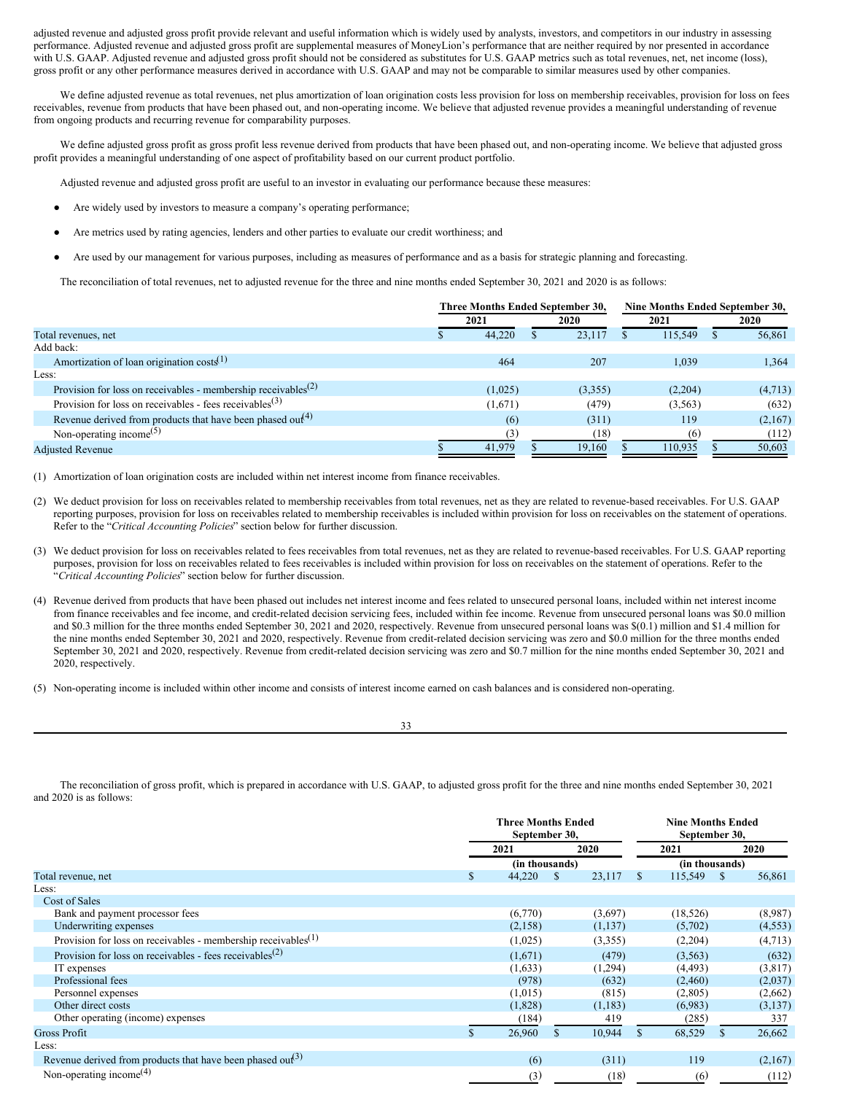adjusted revenue and adjusted gross profit provide relevant and useful information which is widely used by analysts, investors, and competitors in our industry in assessing performance. Adjusted revenue and adjusted gross profit are supplemental measures of MoneyLion's performance that are neither required by nor presented in accordance with U.S. GAAP. Adjusted revenue and adjusted gross profit should not be considered as substitutes for U.S. GAAP metrics such as total revenues, net, net income (loss), gross profit or any other performance measures derived in accordance with U.S. GAAP and may not be comparable to similar measures used by other companies.

We define adjusted revenue as total revenues, net plus amortization of loan origination costs less provision for loss on membership receivables, provision for loss on fees receivables, revenue from products that have been phased out, and non-operating income. We believe that adjusted revenue provides a meaningful understanding of revenue from ongoing products and recurring revenue for comparability purposes.

We define adjusted gross profit as gross profit less revenue derived from products that have been phased out, and non-operating income. We believe that adjusted gross profit provides a meaningful understanding of one aspect of profitability based on our current product portfolio.

Adjusted revenue and adjusted gross profit are useful to an investor in evaluating our performance because these measures:

- Are widely used by investors to measure a company's operating performance;
- Are metrics used by rating agencies, lenders and other parties to evaluate our credit worthiness; and
- Are used by our management for various purposes, including as measures of performance and as a basis for strategic planning and forecasting.

The reconciliation of total revenues, net to adjusted revenue for the three and nine months ended September 30, 2021 and 2020 is as follows:

| Three Months Ended September 30,                                                                | Nine Months Ended September 30, |
|-------------------------------------------------------------------------------------------------|---------------------------------|
| 2021<br>2020                                                                                    | 2021<br>2020                    |
| 44,220<br>23.117<br>Total revenues, net                                                         | 56,861<br>115.549               |
| Add back:                                                                                       |                                 |
| Amortization of loan origination $costs^{(1)}$<br>207<br>464                                    | 1,039<br>1,364                  |
| Less:                                                                                           |                                 |
| Provision for loss on receivables - membership receivables <sup>(2)</sup><br>(1,025)<br>(3.355) | (2,204)<br>(4,713)              |
| Provision for loss on receivables - fees receivables $(3)$<br>(1,671)<br>(479)                  | (3, 563)<br>(632)               |
| Revenue derived from products that have been phased out <sup>(4)</sup><br>(311)<br>(6)          | 119<br>(2,167)                  |
| Non-operating income <sup>(5)</sup><br>(18)                                                     | (112)<br>(6)                    |
| 41,979<br>19,160<br><b>Adjusted Revenue</b>                                                     | 110,935<br>50,603               |

(1) Amortization of loan origination costs are included within net interest income from finance receivables.

- (2) We deduct provision for loss on receivables related to membership receivables from total revenues, net as they are related to revenue-based receivables. For U.S. GAAP reporting purposes, provision for loss on receivables related to membership receivables is included within provision for loss on receivables on the statement of operations. Refer to the "*Critical Accounting Policies*" section below for further discussion.
- (3) We deduct provision for loss on receivables related to fees receivables from total revenues, net as they are related to revenue-based receivables. For U.S. GAAP reporting purposes, provision for loss on receivables related to fees receivables is included within provision for loss on receivables on the statement of operations. Refer to the "*Critical Accounting Policies*" section below for further discussion.
- (4) Revenue derived from products that have been phased out includes net interest income and fees related to unsecured personal loans, included within net interest income from finance receivables and fee income, and credit-related decision servicing fees, included within fee income. Revenue from unsecured personal loans was \$0.0 million and \$0.3 million for the three months ended September 30, 2021 and 2020, respectively. Revenue from unsecured personal loans was \$(0.1) million and \$1.4 million for the nine months ended September 30, 2021 and 2020, respectively. Revenue from credit-related decision servicing was zero and \$0.0 million for the three months ended September 30, 2021 and 2020, respectively. Revenue from credit-related decision servicing was zero and \$0.7 million for the nine months ended September 30, 2021 and 2020, respectively.
- (5) Non-operating income is included within other income and consists of interest income earned on cash balances and is considered non-operating.

33

The reconciliation of gross profit, which is prepared in accordance with U.S. GAAP, to adjusted gross profit for the three and nine months ended September 30, 2021 and 2020 is as follows:

|                                                                                        | <b>Three Months Ended</b><br>September 30, |               |         |              |           | <b>Nine Months Ended</b><br>September 30, |          |  |  |  |
|----------------------------------------------------------------------------------------|--------------------------------------------|---------------|---------|--------------|-----------|-------------------------------------------|----------|--|--|--|
|                                                                                        | 2021                                       |               | 2020    |              | 2021      |                                           | 2020     |  |  |  |
|                                                                                        | (in thousands)                             |               |         |              |           | (in thousands)                            |          |  |  |  |
| Total revenue, net                                                                     | \$<br>44,220                               | <sup>\$</sup> | 23,117  | <sup>S</sup> | 115,549   | - \$                                      | 56,861   |  |  |  |
| Less:                                                                                  |                                            |               |         |              |           |                                           |          |  |  |  |
| Cost of Sales                                                                          |                                            |               |         |              |           |                                           |          |  |  |  |
| Bank and payment processor fees                                                        | (6,770)                                    |               | (3,697) |              | (18, 526) |                                           | (8,987)  |  |  |  |
| Underwriting expenses                                                                  | (2,158)                                    |               | (1,137) |              | (5,702)   |                                           | (4, 553) |  |  |  |
| Provision for loss on receivables - membership receivables <sup><math>(1)</math></sup> | (1,025)                                    |               | (3,355) |              | (2,204)   |                                           | (4,713)  |  |  |  |
| Provision for loss on receivables - fees receivables <sup><math>(2)</math></sup>       | (1,671)                                    |               | (479)   |              | (3,563)   |                                           | (632)    |  |  |  |
| IT expenses                                                                            | (1,633)                                    |               | (1,294) |              | (4, 493)  |                                           | (3,817)  |  |  |  |
| Professional fees                                                                      | (978)                                      |               | (632)   |              | (2,460)   |                                           | (2,037)  |  |  |  |
| Personnel expenses                                                                     | (1,015)                                    |               | (815)   |              | (2,805)   |                                           | (2,662)  |  |  |  |
| Other direct costs                                                                     | (1,828)                                    |               | (1,183) |              | (6,983)   |                                           | (3,137)  |  |  |  |
| Other operating (income) expenses                                                      | (184)                                      |               | 419     |              | (285)     |                                           | 337      |  |  |  |
| <b>Gross Profit</b>                                                                    | 26,960                                     | \$.           | 10,944  | $\mathbf{s}$ | 68,529    | \$.                                       | 26,662   |  |  |  |
| Less:                                                                                  |                                            |               |         |              |           |                                           |          |  |  |  |
| Revenue derived from products that have been phased out <sup>(3)</sup>                 | (6)                                        |               | (311)   |              | 119       |                                           | (2,167)  |  |  |  |
| Non-operating income <sup>(4)</sup>                                                    | (3)                                        |               | (18)    |              | (6)       |                                           | (112)    |  |  |  |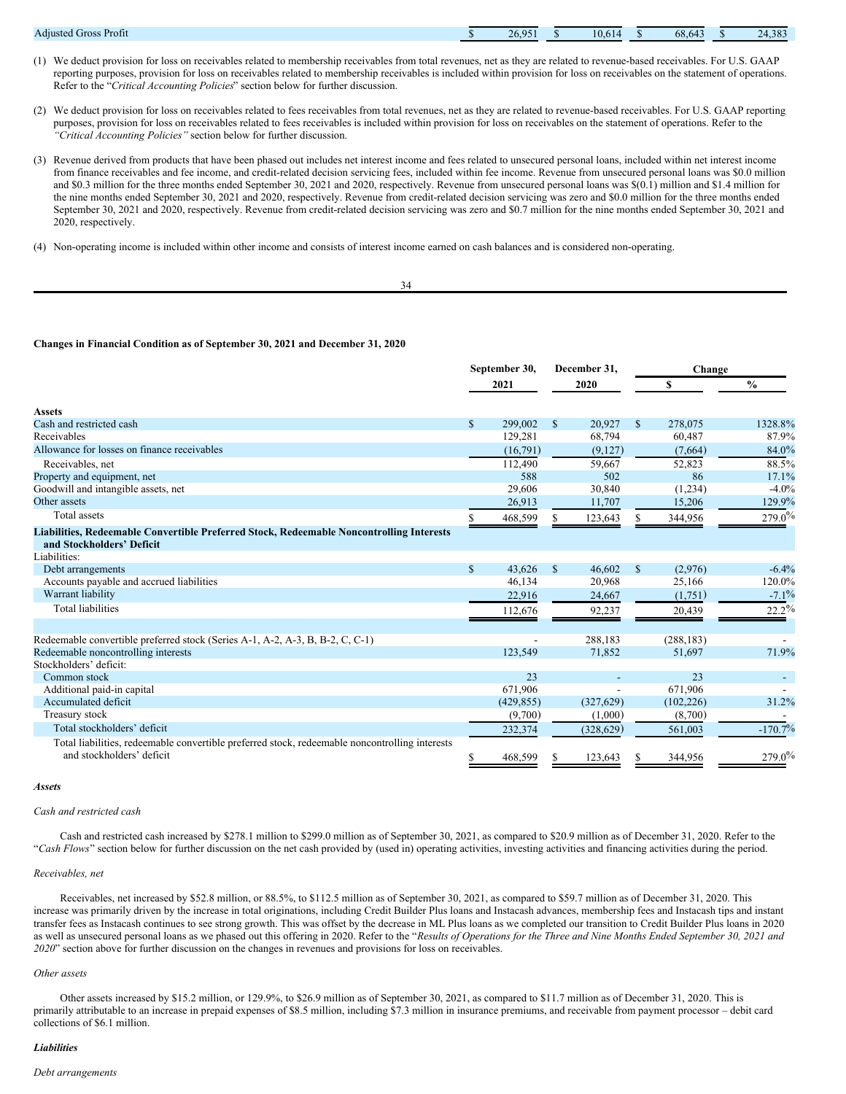| <b>Adjusted Gross Profit</b> | 26.951 | 10.614 | .<br>68.643 | 1.202<br>$24^{\circ}$<br>4.383 |
|------------------------------|--------|--------|-------------|--------------------------------|
|                              |        |        |             |                                |

- (1) We deduct provision for loss on receivables related to membership receivables from total revenues, net as they are related to revenue-based receivables. For U.S. GAAP reporting purposes, provision for loss on receivables related to membership receivables is included within provision for loss on receivables on the statement of operations. Refer to the "*Critical Accounting Policies*" section below for further discussion.
- (2) We deduct provision for loss on receivables related to fees receivables from total revenues, net as they are related to revenue-based receivables. For U.S. GAAP reporting purposes, provision for loss on receivables related to fees receivables is included within provision for loss on receivables on the statement of operations. Refer to the *"Critical Accounting Policies"* section below for further discussion.
- (3) Revenue derived from products that have been phased out includes net interest income and fees related to unsecured personal loans, included within net interest income from finance receivables and fee income, and credit-related decision servicing fees, included within fee income. Revenue from unsecured personal loans was \$0.0 million and \$0.3 million for the three months ended September 30, 2021 and 2020, respectively. Revenue from unsecured personal loans was \$(0.1) million and \$1.4 million for the nine months ended September 30, 2021 and 2020, respectively. Revenue from credit-related decision servicing was zero and \$0.0 million for the three months ended September 30, 2021 and 2020, respectively. Revenue from credit-related decision servicing was zero and \$0.7 million for the nine months ended September 30, 2021 and 2020, respectively.
- (4) Non-operating income is included within other income and consists of interest income earned on cash balances and is considered non-operating.

#### **Changes in Financial Condition as of September 30, 2021 and December 31, 2020**

|                                                                                                                       | September 30, |            |              | December 31. |               | Change     |                          |
|-----------------------------------------------------------------------------------------------------------------------|---------------|------------|--------------|--------------|---------------|------------|--------------------------|
|                                                                                                                       |               | 2021       |              | 2020         |               | \$         | $\frac{0}{0}$            |
| <b>Assets</b>                                                                                                         |               |            |              |              |               |            |                          |
| Cash and restricted cash                                                                                              | <sup>\$</sup> | 299,002    | -S           | 20.927       | <sup>\$</sup> | 278,075    | 1328.8%                  |
| Receivables                                                                                                           |               | 129,281    |              | 68,794       |               | 60,487     | 87.9%                    |
| Allowance for losses on finance receivables                                                                           |               | (16,791)   |              | (9,127)      |               | (7,664)    | 84.0%                    |
| Receivables, net                                                                                                      |               | 112,490    |              | 59,667       |               | 52,823     | 88.5%                    |
| Property and equipment, net                                                                                           |               | 588        |              | 502          |               | 86         | 17.1%                    |
| Goodwill and intangible assets, net                                                                                   |               | 29,606     |              | 30,840       |               | (1,234)    | $-4.0%$                  |
| Other assets                                                                                                          |               | 26,913     |              | 11,707       |               | 15,206     | 129.9%                   |
| <b>Total assets</b>                                                                                                   |               | 468,599    |              | 123,643      |               | 344,956    | 279.0%                   |
| Liabilities, Redeemable Convertible Preferred Stock, Redeemable Noncontrolling Interests<br>and Stockholders' Deficit |               |            |              |              |               |            |                          |
| Liabilities:                                                                                                          |               |            |              |              |               |            |                          |
| Debt arrangements                                                                                                     | <sup>\$</sup> | 43,626     | $\mathbb{S}$ | 46,602       | $\mathbb{S}$  | (2,976)    | $-6.4%$                  |
| Accounts payable and accrued liabilities                                                                              |               | 46,134     |              | 20,968       |               | 25,166     | 120.0%                   |
| Warrant liability                                                                                                     |               | 22,916     |              | 24,667       |               | (1,751)    | $-7.1%$                  |
| <b>Total liabilities</b>                                                                                              |               | 112,676    |              | 92,237       |               | 20,439     | $22.2\%$                 |
|                                                                                                                       |               |            |              |              |               |            |                          |
| Redeemable convertible preferred stock (Series A-1, A-2, A-3, B, B-2, C, C-1)                                         |               |            |              | 288,183      |               | (288, 183) |                          |
| Redeemable noncontrolling interests                                                                                   |               | 123,549    |              | 71,852       |               | 51,697     | 71.9%                    |
| Stockholders' deficit:                                                                                                |               |            |              |              |               |            |                          |
| Common stock                                                                                                          |               | 23         |              |              |               | 23         | $\overline{\phantom{a}}$ |
| Additional paid-in capital                                                                                            |               | 671.906    |              |              |               | 671.906    |                          |
| Accumulated deficit                                                                                                   |               | (429, 855) |              | (327,629)    |               | (102, 226) | 31.2%                    |
| Treasury stock                                                                                                        |               | (9,700)    |              | (1,000)      |               | (8,700)    |                          |
| Total stockholders' deficit                                                                                           |               | 232,374    |              | (328, 629)   |               | 561,003    | $-170.7%$                |
| Total liabilities, redeemable convertible preferred stock, redeemable noncontrolling interests                        |               |            |              |              |               |            |                          |
| and stockholders' deficit                                                                                             |               | 468,599    |              | 123,643      |               | 344,956    | 279.0%                   |

## *Assets*

#### *Cash and restricted cash*

Cash and restricted cash increased by \$278.1 million to \$299.0 million as of September 30, 2021, as compared to \$20.9 million as of December 31, 2020. Refer to the "*Cash Flows*" section below for further discussion on the net cash provided by (used in) operating activities, investing activities and financing activities during the period.

#### *Receivables, net*

Receivables, net increased by \$52.8 million, or 88.5%, to \$112.5 million as of September 30, 2021, as compared to \$59.7 million as of December 31, 2020. This increase was primarily driven by the increase in total originations, including Credit Builder Plus loans and Instacash advances, membership fees and Instacash tips and instant transfer fees as Instacash continues to see strong growth. This was offset by the decrease in ML Plus loans as we completed our transition to Credit Builder Plus loans in 2020 as well as unsecured personal loans as we phased out this offering in 2020. Refer to the "Results of Operations for the Three and Nine Months Ended September 30, 2021 and *2020*" section above for further discussion on the changes in revenues and provisions for loss on receivables.

#### *Other assets*

Other assets increased by \$15.2 million, or 129.9%, to \$26.9 million as of September 30, 2021, as compared to \$11.7 million as of December 31, 2020. This is primarily attributable to an increase in prepaid expenses of \$8.5 million, including \$7.3 million in insurance premiums, and receivable from payment processor – debit card collections of \$6.1 million.

#### *Liabilities*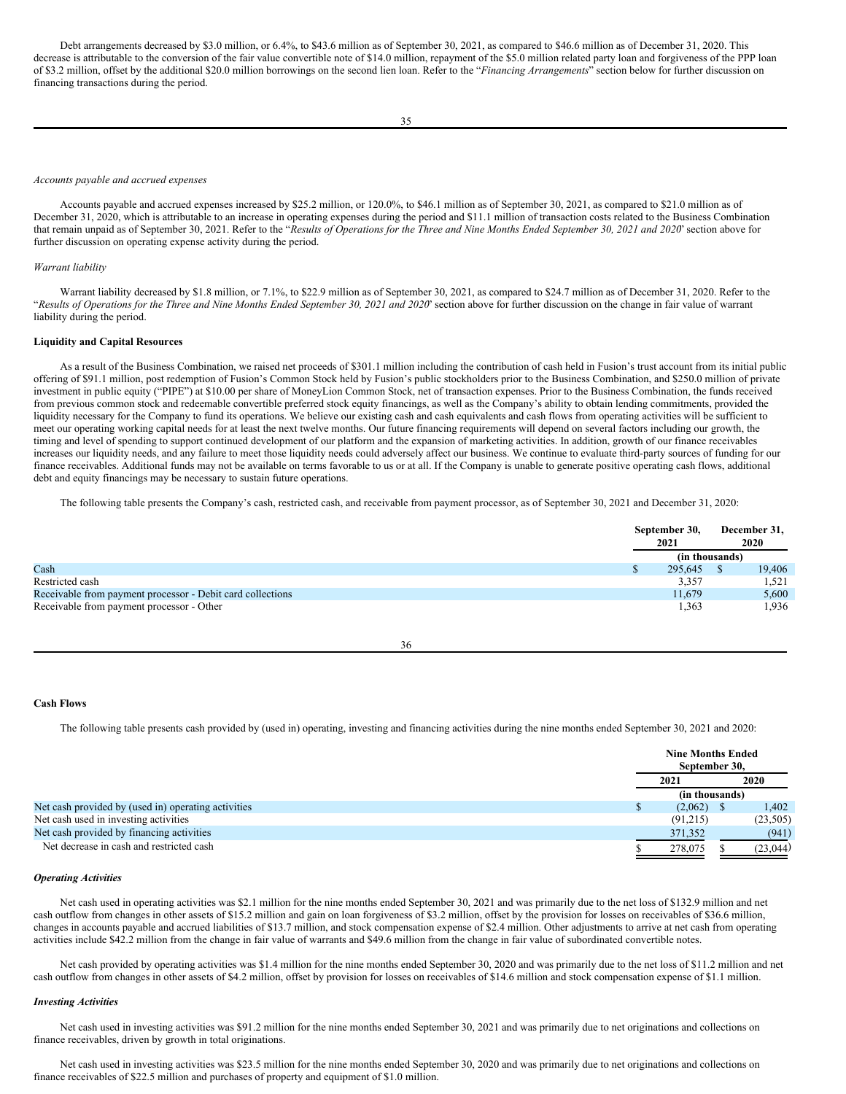Debt arrangements decreased by \$3.0 million, or 6.4%, to \$43.6 million as of September 30, 2021, as compared to \$46.6 million as of December 31, 2020. This decrease is attributable to the conversion of the fair value convertible note of \$14.0 million, repayment of the \$5.0 million related party loan and forgiveness of the PPP loan of \$3.2 million, offset by the additional \$20.0 million borrowings on the second lien loan. Refer to the "*Financing Arrangements*" section below for further discussion on financing transactions during the period.

#### *Accounts payable and accrued expenses*

Accounts payable and accrued expenses increased by \$25.2 million, or 120.0%, to \$46.1 million as of September 30, 2021, as compared to \$21.0 million as of December 31, 2020, which is attributable to an increase in operating expenses during the period and \$11.1 million of transaction costs related to the Business Combination that remain unpaid as of September 30, 2021. Refer to the "Results of Operations for the Three and Nine Months Ended September 30, 2021 and 2020' section above for further discussion on operating expense activity during the period.

## *Warrant liability*

Warrant liability decreased by \$1.8 million, or 7.1%, to \$22.9 million as of September 30, 2021, as compared to \$24.7 million as of December 31, 2020. Refer to the "Results of Operations for the Three and Nine Months Ended September 30, 2021 and 2020' section above for further discussion on the change in fair value of warrant liability during the period.

#### **Liquidity and Capital Resources**

As a result of the Business Combination, we raised net proceeds of \$301.1 million including the contribution of cash held in Fusion's trust account from its initial public offering of \$91.1 million, post redemption of Fusion's Common Stock held by Fusion's public stockholders prior to the Business Combination, and \$250.0 million of private investment in public equity ("PIPE") at \$10.00 per share of MoneyLion Common Stock, net of transaction expenses. Prior to the Business Combination, the funds received from previous common stock and redeemable convertible preferred stock equity financings, as well as the Company's ability to obtain lending commitments, provided the liquidity necessary for the Company to fund its operations. We believe our existing cash and cash equivalents and cash flows from operating activities will be sufficient to meet our operating working capital needs for at least the next twelve months. Our future financing requirements will depend on several factors including our growth, the timing and level of spending to support continued development of our platform and the expansion of marketing activities. In addition, growth of our finance receivables increases our liquidity needs, and any failure to meet those liquidity needs could adversely affect our business. We continue to evaluate third-party sources of funding for our finance receivables. Additional funds may not be available on terms favorable to us or at all. If the Company is unable to generate positive operating cash flows, additional debt and equity financings may be necessary to sustain future operations.

The following table presents the Company's cash, restricted cash, and receivable from payment processor, as of September 30, 2021 and December 31, 2020:

|                                                            | September 30,<br>2021 | December 31,<br>2020 |
|------------------------------------------------------------|-----------------------|----------------------|
|                                                            | (in thousands)        |                      |
| Cash                                                       | 295.645               | 19,406               |
| Restricted cash                                            | 3,357                 | 1,521                |
| Receivable from payment processor - Debit card collections | 11.679                | 5,600                |
| Receivable from payment processor - Other                  | 1,363                 | 1,936                |

#### 36

## **Cash Flows**

The following table presents cash provided by (used in) operating, investing and financing activities during the nine months ended September 30, 2021 and 2020:

|                                                     | <b>Nine Months Ended</b><br>September 30. |  |           |  |  |
|-----------------------------------------------------|-------------------------------------------|--|-----------|--|--|
|                                                     | 2021                                      |  | 2020      |  |  |
|                                                     | (in thousands)                            |  |           |  |  |
| Net cash provided by (used in) operating activities | $(2,062)$ \$                              |  | 1.402     |  |  |
| Net cash used in investing activities               | (91,215)                                  |  | (23, 505) |  |  |
| Net cash provided by financing activities           | 371,352                                   |  | (941)     |  |  |
| Net decrease in cash and restricted cash            | 278,075                                   |  | (23,044)  |  |  |

#### *Operating Activities*

Net cash used in operating activities was \$2.1 million for the nine months ended September 30, 2021 and was primarily due to the net loss of \$132.9 million and net cash outflow from changes in other assets of \$15.2 million and gain on loan forgiveness of \$3.2 million, offset by the provision for losses on receivables of \$36.6 million, changes in accounts payable and accrued liabilities of \$13.7 million, and stock compensation expense of \$2.4 million. Other adjustments to arrive at net cash from operating activities include \$42.2 million from the change in fair value of warrants and \$49.6 million from the change in fair value of subordinated convertible notes.

Net cash provided by operating activities was \$1.4 million for the nine months ended September 30, 2020 and was primarily due to the net loss of \$11.2 million and net cash outflow from changes in other assets of \$4.2 million, offset by provision for losses on receivables of \$14.6 million and stock compensation expense of \$1.1 million.

#### *Investing Activities*

Net cash used in investing activities was \$91.2 million for the nine months ended September 30, 2021 and was primarily due to net originations and collections on finance receivables, driven by growth in total originations.

Net cash used in investing activities was \$23.5 million for the nine months ended September 30, 2020 and was primarily due to net originations and collections on finance receivables of \$22.5 million and purchases of property and equipment of \$1.0 million.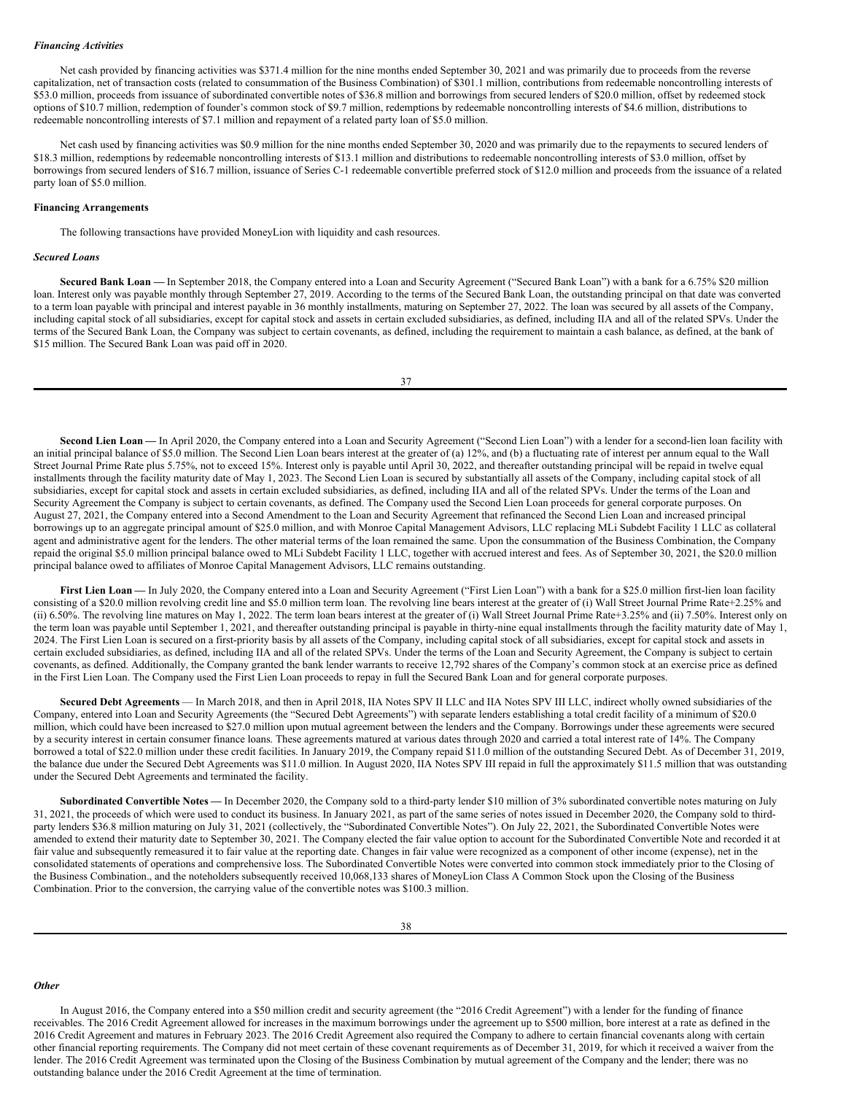#### *Financing Activities*

Net cash provided by financing activities was \$371.4 million for the nine months ended September 30, 2021 and was primarily due to proceeds from the reverse capitalization, net of transaction costs (related to consummation of the Business Combination) of \$301.1 million, contributions from redeemable noncontrolling interests of \$53.0 million, proceeds from issuance of subordinated convertible notes of \$36.8 million and borrowings from secured lenders of \$20.0 million, offset by redeemed stock options of \$10.7 million, redemption of founder's common stock of \$9.7 million, redemptions by redeemable noncontrolling interests of \$4.6 million, distributions to redeemable noncontrolling interests of \$7.1 million and repayment of a related party loan of \$5.0 million.

Net cash used by financing activities was \$0.9 million for the nine months ended September 30, 2020 and was primarily due to the repayments to secured lenders of \$18.3 million, redemptions by redeemable noncontrolling interests of \$13.1 million and distributions to redeemable noncontrolling interests of \$3.0 million, offset by borrowings from secured lenders of \$16.7 million, issuance of Series C-1 redeemable convertible preferred stock of \$12.0 million and proceeds from the issuance of a related party loan of \$5.0 million.

## **Financing Arrangements**

The following transactions have provided MoneyLion with liquidity and cash resources.

#### *Secured Loans*

**Secured Bank Loan —** In September 2018, the Company entered into a Loan and Security Agreement ("Secured Bank Loan") with a bank for a 6.75% \$20 million loan. Interest only was payable monthly through September 27, 2019. According to the terms of the Secured Bank Loan, the outstanding principal on that date was converted to a term loan payable with principal and interest payable in 36 monthly installments, maturing on September 27, 2022. The loan was secured by all assets of the Company, including capital stock of all subsidiaries, except for capital stock and assets in certain excluded subsidiaries, as defined, including IIA and all of the related SPVs. Under the terms of the Secured Bank Loan, the Company was subject to certain covenants, as defined, including the requirement to maintain a cash balance, as defined, at the bank of \$15 million. The Secured Bank Loan was paid off in 2020.

**Second Lien Loan —** In April 2020, the Company entered into a Loan and Security Agreement ("Second Lien Loan") with a lender for a second-lien loan facility with an initial principal balance of \$5.0 million. The Second Lien Loan bears interest at the greater of (a) 12%, and (b) a fluctuating rate of interest per annum equal to the Wall Street Journal Prime Rate plus 5.75%, not to exceed 15%. Interest only is payable until April 30, 2022, and thereafter outstanding principal will be repaid in twelve equal installments through the facility maturity date of May 1, 2023. The Second Lien Loan is secured by substantially all assets of the Company, including capital stock of all subsidiaries, except for capital stock and assets in certain excluded subsidiaries, as defined, including IIA and all of the related SPVs. Under the terms of the Loan and Security Agreement the Company is subject to certain covenants, as defined. The Company used the Second Lien Loan proceeds for general corporate purposes. On August 27, 2021, the Company entered into a Second Amendment to the Loan and Security Agreement that refinanced the Second Lien Loan and increased principal borrowings up to an aggregate principal amount of \$25.0 million, and with Monroe Capital Management Advisors, LLC replacing MLi Subdebt Facility 1 LLC as collateral agent and administrative agent for the lenders. The other material terms of the loan remained the same. Upon the consummation of the Business Combination, the Company repaid the original \$5.0 million principal balance owed to MLi Subdebt Facility 1 LLC, together with accrued interest and fees. As of September 30, 2021, the \$20.0 million principal balance owed to affiliates of Monroe Capital Management Advisors, LLC remains outstanding.

First Lien Loan — In July 2020, the Company entered into a Loan and Security Agreement ("First Lien Loan") with a bank for a \$25.0 million first-lien loan facility consisting of a \$20.0 million revolving credit line and \$5.0 million term loan. The revolving line bears interest at the greater of (i) Wall Street Journal Prime Rate+2.25% and (ii) 6.50%. The revolving line matures on May 1, 2022. The term loan bears interest at the greater of (i) Wall Street Journal Prime Rate+3.25% and (ii) 7.50%. Interest only on the term loan was payable until September 1, 2021, and thereafter outstanding principal is payable in thirty-nine equal installments through the facility maturity date of May 1, 2024. The First Lien Loan is secured on a first-priority basis by all assets of the Company, including capital stock of all subsidiaries, except for capital stock and assets in certain excluded subsidiaries, as defined, including IIA and all of the related SPVs. Under the terms of the Loan and Security Agreement, the Company is subject to certain covenants, as defined. Additionally, the Company granted the bank lender warrants to receive 12,792 shares of the Company's common stock at an exercise price as defined in the First Lien Loan. The Company used the First Lien Loan proceeds to repay in full the Secured Bank Loan and for general corporate purposes.

**Secured Debt Agreements** — In March 2018, and then in April 2018, IIA Notes SPV II LLC and IIA Notes SPV III LLC, indirect wholly owned subsidiaries of the Company, entered into Loan and Security Agreements (the "Secured Debt Agreements") with separate lenders establishing a total credit facility of a minimum of \$20.0 million, which could have been increased to \$27.0 million upon mutual agreement between the lenders and the Company. Borrowings under these agreements were secured by a security interest in certain consumer finance loans. These agreements matured at various dates through 2020 and carried a total interest rate of 14%. The Company borrowed a total of \$22.0 million under these credit facilities. In January 2019, the Company repaid \$11.0 million of the outstanding Secured Debt. As of December 31, 2019, the balance due under the Secured Debt Agreements was \$11.0 million. In August 2020, IIA Notes SPV III repaid in full the approximately \$11.5 million that was outstanding under the Secured Debt Agreements and terminated the facility.

**Subordinated Convertible Notes —** In December 2020, the Company sold to a third-party lender \$10 million of 3% subordinated convertible notes maturing on July 31, 2021, the proceeds of which were used to conduct its business. In January 2021, as part of the same series of notes issued in December 2020, the Company sold to thirdparty lenders \$36.8 million maturing on July 31, 2021 (collectively, the "Subordinated Convertible Notes"). On July 22, 2021, the Subordinated Convertible Notes were amended to extend their maturity date to September 30, 2021. The Company elected the fair value option to account for the Subordinated Convertible Note and recorded it at fair value and subsequently remeasured it to fair value at the reporting date. Changes in fair value were recognized as a component of other income (expense), net in the consolidated statements of operations and comprehensive loss. The Subordinated Convertible Notes were converted into common stock immediately prior to the Closing of the Business Combination., and the noteholders subsequently received 10,068,133 shares of MoneyLion Class A Common Stock upon the Closing of the Business Combination. Prior to the conversion, the carrying value of the convertible notes was \$100.3 million.

## *Other*

In August 2016, the Company entered into a \$50 million credit and security agreement (the "2016 Credit Agreement") with a lender for the funding of finance receivables. The 2016 Credit Agreement allowed for increases in the maximum borrowings under the agreement up to \$500 million, bore interest at a rate as defined in the 2016 Credit Agreement and matures in February 2023. The 2016 Credit Agreement also required the Company to adhere to certain financial covenants along with certain other financial reporting requirements. The Company did not meet certain of these covenant requirements as of December 31, 2019, for which it received a waiver from the lender. The 2016 Credit Agreement was terminated upon the Closing of the Business Combination by mutual agreement of the Company and the lender; there was no outstanding balance under the 2016 Credit Agreement at the time of termination.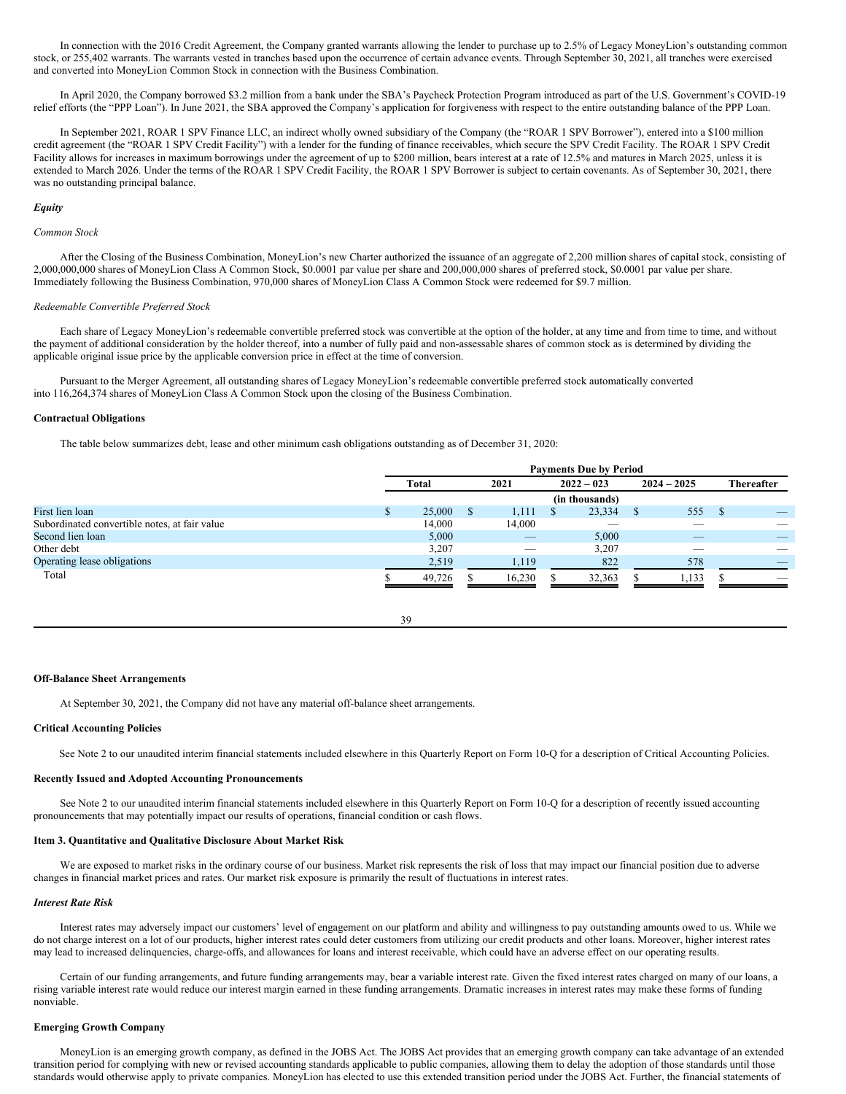In connection with the 2016 Credit Agreement, the Company granted warrants allowing the lender to purchase up to 2.5% of Legacy MoneyLion's outstanding common stock, or 255,402 warrants. The warrants vested in tranches based upon the occurrence of certain advance events. Through September 30, 2021, all tranches were exercised and converted into MoneyLion Common Stock in connection with the Business Combination.

In April 2020, the Company borrowed \$3.2 million from a bank under the SBA's Paycheck Protection Program introduced as part of the U.S. Government's COVID-19 relief efforts (the "PPP Loan"). In June 2021, the SBA approved the Company's application for forgiveness with respect to the entire outstanding balance of the PPP Loan.

In September 2021, ROAR 1 SPV Finance LLC, an indirect wholly owned subsidiary of the Company (the "ROAR 1 SPV Borrower"), entered into a \$100 million credit agreement (the "ROAR 1 SPV Credit Facility") with a lender for the funding of finance receivables, which secure the SPV Credit Facility. The ROAR 1 SPV Credit Facility allows for increases in maximum borrowings under the agreement of up to \$200 million, bears interest at a rate of 12.5% and matures in March 2025, unless it is extended to March 2026. Under the terms of the ROAR 1 SPV Credit Facility, the ROAR 1 SPV Borrower is subject to certain covenants. As of September 30, 2021, there was no outstanding principal balance.

#### *Equity*

#### *Common Stock*

After the Closing of the Business Combination, MoneyLion's new Charter authorized the issuance of an aggregate of 2,200 million shares of capital stock, consisting of 2,000,000,000 shares of MoneyLion Class A Common Stock, \$0.0001 par value per share and 200,000,000 shares of preferred stock, \$0.0001 par value per share. Immediately following the Business Combination, 970,000 shares of MoneyLion Class A Common Stock were redeemed for \$9.7 million.

#### *Redeemable Convertible Preferred Stock*

Each share of Legacy MoneyLion's redeemable convertible preferred stock was convertible at the option of the holder, at any time and from time to time, and without the payment of additional consideration by the holder thereof, into a number of fully paid and non-assessable shares of common stock as is determined by dividing the applicable original issue price by the applicable conversion price in effect at the time of conversion.

Pursuant to the Merger Agreement, all outstanding shares of Legacy MoneyLion's redeemable convertible preferred stock automatically converted into 116,264,374 shares of MoneyLion Class A Common Stock upon the closing of the Business Combination.

## **Contractual Obligations**

The table below summarizes debt, lease and other minimum cash obligations outstanding as of December 31, 2020:

|                                               | <b>Payments Due by Period</b> |        |      |                          |              |                          |               |       |                   |                          |
|-----------------------------------------------|-------------------------------|--------|------|--------------------------|--------------|--------------------------|---------------|-------|-------------------|--------------------------|
|                                               | <b>Total</b>                  |        | 2021 |                          | $2022 - 023$ |                          | $2024 - 2025$ |       | <b>Thereafter</b> |                          |
|                                               |                               |        |      |                          |              | (in thousands)           |               |       |                   |                          |
| First lien loan                               |                               | 25,000 |      | 1,111                    |              | 23,334                   |               | 555   |                   | _                        |
| Subordinated convertible notes, at fair value |                               | 14.000 |      | 14.000                   |              | $\overline{\phantom{a}}$ |               |       |                   | $\overline{\phantom{a}}$ |
| Second lien loan                              |                               | 5,000  |      | $\overline{\phantom{a}}$ |              | 5,000                    |               | _     |                   |                          |
| Other debt                                    |                               | 3,207  |      | _                        |              | 3,207                    |               | __    |                   | _                        |
| Operating lease obligations                   |                               | 2,519  |      | 1,119                    |              | 822                      |               | 578   |                   |                          |
| Total                                         |                               | 49,726 |      | 16,230                   |              | 32,363                   |               | 1,133 |                   | -                        |

39

#### **Off-Balance Sheet Arrangements**

At September 30, 2021, the Company did not have any material off-balance sheet arrangements.

#### **Critical Accounting Policies**

See Note 2 to our unaudited interim financial statements included elsewhere in this Quarterly Report on Form 10-Q for a description of Critical Accounting Policies.

#### **Recently Issued and Adopted Accounting Pronouncements**

See Note 2 to our unaudited interim financial statements included elsewhere in this Quarterly Report on Form 10-Q for a description of recently issued accounting pronouncements that may potentially impact our results of operations, financial condition or cash flows.

#### **Item 3. Quantitative and Qualitative Disclosure About Market Risk**

We are exposed to market risks in the ordinary course of our business. Market risk represents the risk of loss that may impact our financial position due to adverse changes in financial market prices and rates. Our market risk exposure is primarily the result of fluctuations in interest rates.

#### *Interest Rate Risk*

Interest rates may adversely impact our customers' level of engagement on our platform and ability and willingness to pay outstanding amounts owed to us. While we do not charge interest on a lot of our products, higher interest rates could deter customers from utilizing our credit products and other loans. Moreover, higher interest rates may lead to increased delinquencies, charge-offs, and allowances for loans and interest receivable, which could have an adverse effect on our operating results.

Certain of our funding arrangements, and future funding arrangements may, bear a variable interest rate. Given the fixed interest rates charged on many of our loans, a rising variable interest rate would reduce our interest margin earned in these funding arrangements. Dramatic increases in interest rates may make these forms of funding nonviable.

#### **Emerging Growth Company**

MoneyLion is an emerging growth company, as defined in the JOBS Act. The JOBS Act provides that an emerging growth company can take advantage of an extended transition period for complying with new or revised accounting standards applicable to public companies, allowing them to delay the adoption of those standards until those standards would otherwise apply to private companies. MoneyLion has elected to use this extended transition period under the JOBS Act. Further, the financial statements of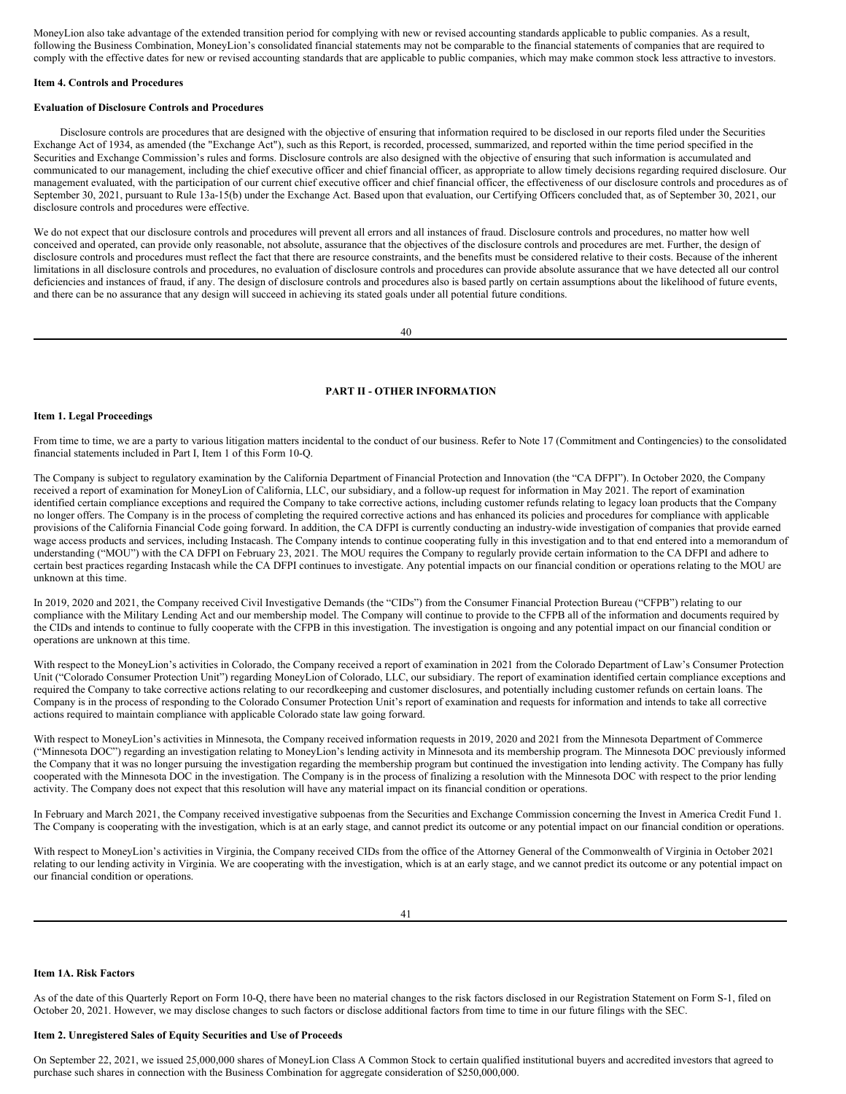MoneyLion also take advantage of the extended transition period for complying with new or revised accounting standards applicable to public companies. As a result, following the Business Combination, MoneyLion's consolidated financial statements may not be comparable to the financial statements of companies that are required to comply with the effective dates for new or revised accounting standards that are applicable to public companies, which may make common stock less attractive to investors.

## **Item 4. Controls and Procedures**

## **Evaluation of Disclosure Controls and Procedures**

Disclosure controls are procedures that are designed with the objective of ensuring that information required to be disclosed in our reports filed under the Securities Exchange Act of 1934, as amended (the "Exchange Act"), such as this Report, is recorded, processed, summarized, and reported within the time period specified in the Securities and Exchange Commission's rules and forms. Disclosure controls are also designed with the objective of ensuring that such information is accumulated and communicated to our management, including the chief executive officer and chief financial officer, as appropriate to allow timely decisions regarding required disclosure. Our management evaluated, with the participation of our current chief executive officer and chief financial officer, the effectiveness of our disclosure controls and procedures as of September 30, 2021, pursuant to Rule 13a-15(b) under the Exchange Act. Based upon that evaluation, our Certifying Officers concluded that, as of September 30, 2021, our disclosure controls and procedures were effective.

We do not expect that our disclosure controls and procedures will prevent all errors and all instances of fraud. Disclosure controls and procedures, no matter how well conceived and operated, can provide only reasonable, not absolute, assurance that the objectives of the disclosure controls and procedures are met. Further, the design of disclosure controls and procedures must reflect the fact that there are resource constraints, and the benefits must be considered relative to their costs. Because of the inherent limitations in all disclosure controls and procedures, no evaluation of disclosure controls and procedures can provide absolute assurance that we have detected all our control deficiencies and instances of fraud, if any. The design of disclosure controls and procedures also is based partly on certain assumptions about the likelihood of future events, and there can be no assurance that any design will succeed in achieving its stated goals under all potential future conditions.

40

## **PART II - OTHER INFORMATION**

## **Item 1. Legal Proceedings**

From time to time, we are a party to various litigation matters incidental to the conduct of our business. Refer to Note 17 (Commitment and Contingencies) to the consolidated financial statements included in Part I, Item 1 of this Form 10-Q.

The Company is subject to regulatory examination by the California Department of Financial Protection and Innovation (the "CA DFPI"). In October 2020, the Company received a report of examination for MoneyLion of California, LLC, our subsidiary, and a follow-up request for information in May 2021. The report of examination identified certain compliance exceptions and required the Company to take corrective actions, including customer refunds relating to legacy loan products that the Company no longer offers. The Company is in the process of completing the required corrective actions and has enhanced its policies and procedures for compliance with applicable provisions of the California Financial Code going forward. In addition, the CA DFPI is currently conducting an industry-wide investigation of companies that provide earned wage access products and services, including Instacash. The Company intends to continue cooperating fully in this investigation and to that end entered into a memorandum of understanding ("MOU") with the CA DFPI on February 23, 2021. The MOU requires the Company to regularly provide certain information to the CA DFPI and adhere to certain best practices regarding Instacash while the CA DFPI continues to investigate. Any potential impacts on our financial condition or operations relating to the MOU are unknown at this time.

In 2019, 2020 and 2021, the Company received Civil Investigative Demands (the "CIDs") from the Consumer Financial Protection Bureau ("CFPB") relating to our compliance with the Military Lending Act and our membership model. The Company will continue to provide to the CFPB all of the information and documents required by the CIDs and intends to continue to fully cooperate with the CFPB in this investigation. The investigation is ongoing and any potential impact on our financial condition or operations are unknown at this time.

With respect to the MoneyLion's activities in Colorado, the Company received a report of examination in 2021 from the Colorado Department of Law's Consumer Protection Unit ("Colorado Consumer Protection Unit") regarding MoneyLion of Colorado, LLC, our subsidiary. The report of examination identified certain compliance exceptions and required the Company to take corrective actions relating to our recordkeeping and customer disclosures, and potentially including customer refunds on certain loans. The Company is in the process of responding to the Colorado Consumer Protection Unit's report of examination and requests for information and intends to take all corrective actions required to maintain compliance with applicable Colorado state law going forward.

With respect to MoneyLion's activities in Minnesota, the Company received information requests in 2019, 2020 and 2021 from the Minnesota Department of Commerce ("Minnesota DOC") regarding an investigation relating to MoneyLion's lending activity in Minnesota and its membership program. The Minnesota DOC previously informed the Company that it was no longer pursuing the investigation regarding the membership program but continued the investigation into lending activity. The Company has fully cooperated with the Minnesota DOC in the investigation. The Company is in the process of finalizing a resolution with the Minnesota DOC with respect to the prior lending activity. The Company does not expect that this resolution will have any material impact on its financial condition or operations.

In February and March 2021, the Company received investigative subpoenas from the Securities and Exchange Commission concerning the Invest in America Credit Fund 1. The Company is cooperating with the investigation, which is at an early stage, and cannot predict its outcome or any potential impact on our financial condition or operations.

With respect to MoneyLion's activities in Virginia, the Company received CIDs from the office of the Attorney General of the Commonwealth of Virginia in October 2021 relating to our lending activity in Virginia. We are cooperating with the investigation, which is at an early stage, and we cannot predict its outcome or any potential impact on our financial condition or operations.

## **Item 1A. Risk Factors**

As of the date of this Quarterly Report on Form 10-Q, there have been no material changes to the risk factors disclosed in our Registration Statement on Form S-1, filed on October 20, 2021. However, we may disclose changes to such factors or disclose additional factors from time to time in our future filings with the SEC.

## **Item 2. Unregistered Sales of Equity Securities and Use of Proceeds**

On September 22, 2021, we issued 25,000,000 shares of MoneyLion Class A Common Stock to certain qualified institutional buyers and accredited investors that agreed to purchase such shares in connection with the Business Combination for aggregate consideration of \$250,000,000.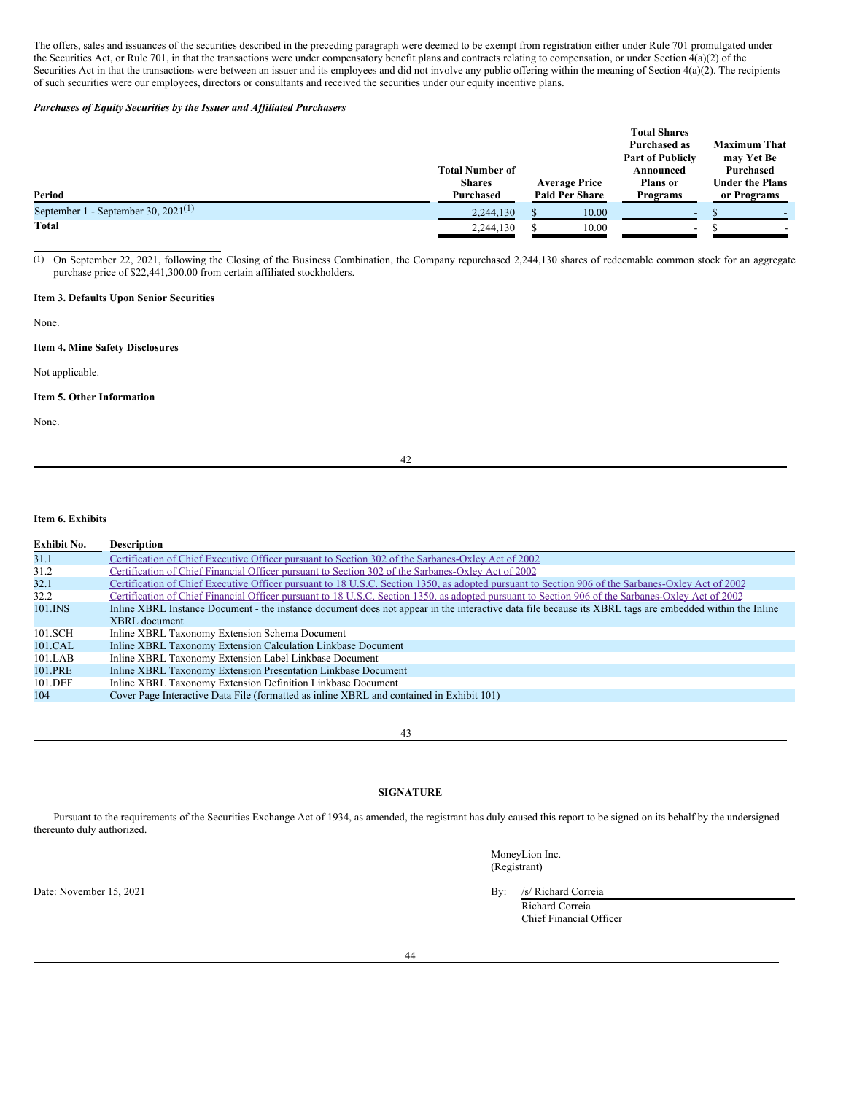The offers, sales and issuances of the securities described in the preceding paragraph were deemed to be exempt from registration either under Rule 701 promulgated under the Securities Act, or Rule 701, in that the transactions were under compensatory benefit plans and contracts relating to compensation, or under Section 4(a)(2) of the Securities Act in that the transactions were between an issuer and its employees and did not involve any public offering within the meaning of Section 4(a)(2). The recipients of such securities were our employees, directors or consultants and received the securities under our equity incentive plans.

### *Purchases of Equity Securities by the Issuer and Af iliated Purchasers*

|                                        |                                                      |                                               |       | <b>Total Shares</b><br><b>Purchased as</b><br><b>Part of Publicly</b> | <b>Maximum That</b><br>may Yet Be                  |
|----------------------------------------|------------------------------------------------------|-----------------------------------------------|-------|-----------------------------------------------------------------------|----------------------------------------------------|
| Period                                 | <b>Total Number of</b><br><b>Shares</b><br>Purchased | <b>Average Price</b><br><b>Paid Per Share</b> |       | Announced<br><b>Plans</b> or<br><b>Programs</b>                       | Purchased<br><b>Under the Plans</b><br>or Programs |
| September 1 - September 30, 2021 $(1)$ | 2,244,130                                            |                                               | 10.00 | $\overline{\phantom{0}}$                                              |                                                    |
| Total                                  | 2,244,130                                            |                                               | 10.00 | $\overline{\phantom{0}}$                                              |                                                    |

(1) On September 22, 2021, following the Closing of the Business Combination, the Company repurchased 2,244,130 shares of redeemable common stock for an aggregate purchase price of \$22,441,300.00 from certain affiliated stockholders.

### **Item 3. Defaults Upon Senior Securities**

None.

## **Item 4. Mine Safety Disclosures**

Not applicable.

## **Item 5. Other Information**

None.

42

## **Item 6. Exhibits**

| <b>Description</b>                                                                                                                                      |
|---------------------------------------------------------------------------------------------------------------------------------------------------------|
| Certification of Chief Executive Officer pursuant to Section 302 of the Sarbanes-Oxley Act of 2002                                                      |
| Certification of Chief Financial Officer pursuant to Section 302 of the Sarbanes-Oxley Act of 2002                                                      |
| Certification of Chief Executive Officer pursuant to 18 U.S.C. Section 1350, as adopted pursuant to Section 906 of the Sarbanes-Oxley Act of 2002       |
| Certification of Chief Financial Officer pursuant to 18 U.S.C. Section 1350, as adopted pursuant to Section 906 of the Sarbanes-Oxley Act of 2002       |
| Inline XBRL Instance Document - the instance document does not appear in the interactive data file because its XBRL tags are embedded within the Inline |
| XBRL document                                                                                                                                           |
| Inline XBRL Taxonomy Extension Schema Document                                                                                                          |
| Inline XBRL Taxonomy Extension Calculation Linkbase Document                                                                                            |
| Inline XBRL Taxonomy Extension Label Linkbase Document                                                                                                  |
| Inline XBRL Taxonomy Extension Presentation Linkbase Document                                                                                           |
| Inline XBRL Taxonomy Extension Definition Linkbase Document                                                                                             |
| Cover Page Interactive Data File (formatted as inline XBRL and contained in Exhibit 101)                                                                |
|                                                                                                                                                         |

43

# **SIGNATURE**

Pursuant to the requirements of the Securities Exchange Act of 1934, as amended, the registrant has duly caused this report to be signed on its behalf by the undersigned thereunto duly authorized.

> MoneyLion Inc. (Registrant)

Date: November 15, 2021 By: /s/ Richard Correia

Richard Correia Chief Financial Officer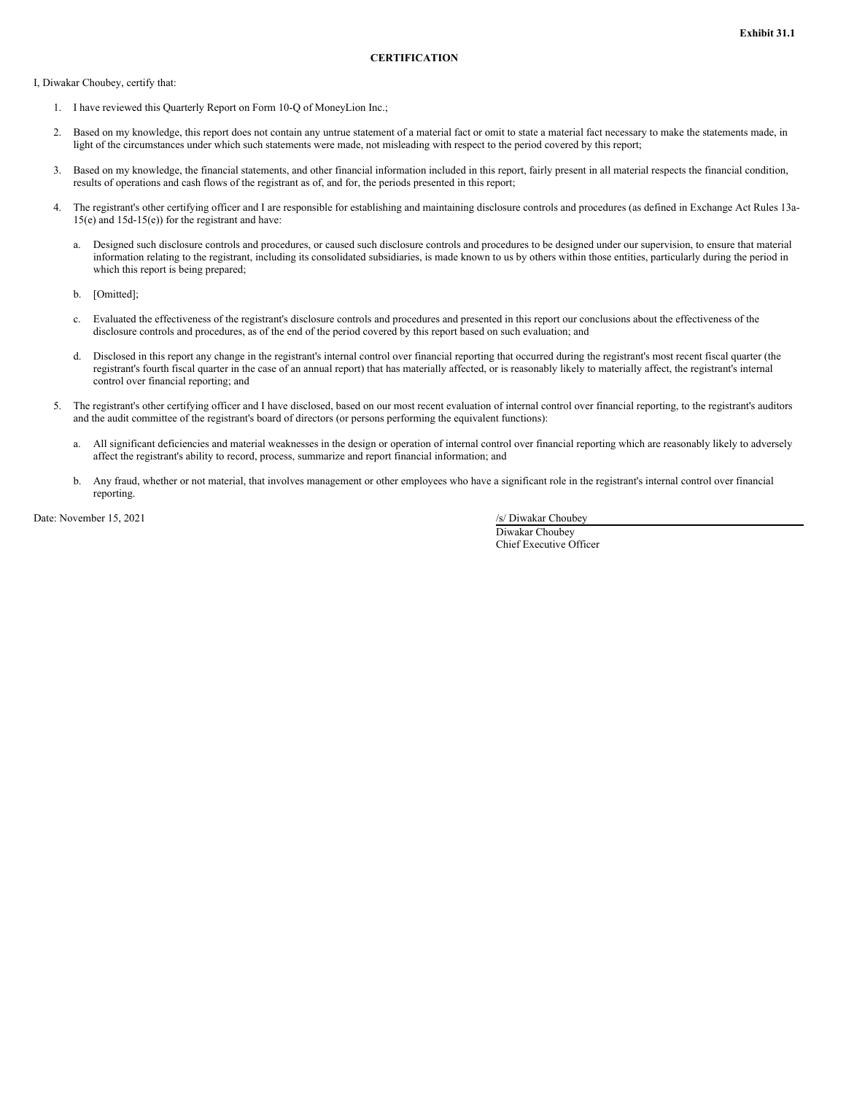<span id="page-32-0"></span>I, Diwakar Choubey, certify that:

- 1. I have reviewed this Quarterly Report on Form 10-Q of MoneyLion Inc.;
- 2. Based on my knowledge, this report does not contain any untrue statement of a material fact or omit to state a material fact necessary to make the statements made, in light of the circumstances under which such statements were made, not misleading with respect to the period covered by this report;
- 3. Based on my knowledge, the financial statements, and other financial information included in this report, fairly present in all material respects the financial condition, results of operations and cash flows of the registrant as of, and for, the periods presented in this report;
- 4. The registrant's other certifying officer and I are responsible for establishing and maintaining disclosure controls and procedures (as defined in Exchange Act Rules 13a-15(e) and 15d-15(e)) for the registrant and have:
	- a. Designed such disclosure controls and procedures, or caused such disclosure controls and procedures to be designed under our supervision, to ensure that material information relating to the registrant, including its consolidated subsidiaries, is made known to us by others within those entities, particularly during the period in which this report is being prepared;
	- b. [Omitted];
	- c. Evaluated the effectiveness of the registrant's disclosure controls and procedures and presented in this report our conclusions about the effectiveness of the disclosure controls and procedures, as of the end of the period covered by this report based on such evaluation; and
	- d. Disclosed in this report any change in the registrant's internal control over financial reporting that occurred during the registrant's most recent fiscal quarter (the registrant's fourth fiscal quarter in the case of an annual report) that has materially affected, or is reasonably likely to materially affect, the registrant's internal control over financial reporting; and
- 5. The registrant's other certifying officer and I have disclosed, based on our most recent evaluation of internal control over financial reporting, to the registrant's auditors and the audit committee of the registrant's board of directors (or persons performing the equivalent functions):
	- a. All significant deficiencies and material weaknesses in the design or operation of internal control over financial reporting which are reasonably likely to adversely affect the registrant's ability to record, process, summarize and report financial information; and
	- b. Any fraud, whether or not material, that involves management or other employees who have a significant role in the registrant's internal control over financial reporting.

Date: November 15, 2021 /s/ Diwakar Choubey

Diwakar Choubey Chief Executive Officer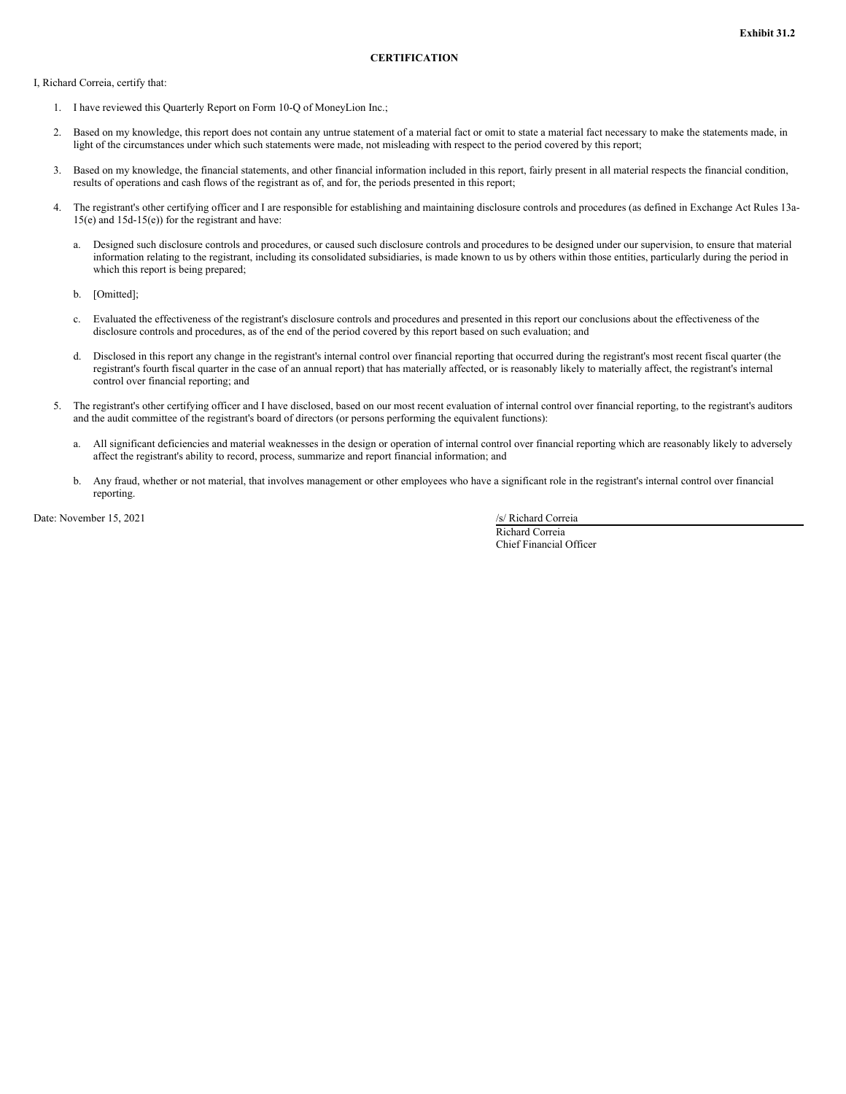<span id="page-33-0"></span>I, Richard Correia, certify that:

- 1. I have reviewed this Quarterly Report on Form 10-Q of MoneyLion Inc.;
- 2. Based on my knowledge, this report does not contain any untrue statement of a material fact or omit to state a material fact necessary to make the statements made, in light of the circumstances under which such statements were made, not misleading with respect to the period covered by this report;
- 3. Based on my knowledge, the financial statements, and other financial information included in this report, fairly present in all material respects the financial condition, results of operations and cash flows of the registrant as of, and for, the periods presented in this report;
- 4. The registrant's other certifying officer and I are responsible for establishing and maintaining disclosure controls and procedures (as defined in Exchange Act Rules 13a-15(e) and 15d-15(e)) for the registrant and have:
	- a. Designed such disclosure controls and procedures, or caused such disclosure controls and procedures to be designed under our supervision, to ensure that material information relating to the registrant, including its consolidated subsidiaries, is made known to us by others within those entities, particularly during the period in which this report is being prepared;
	- b. [Omitted];
	- c. Evaluated the effectiveness of the registrant's disclosure controls and procedures and presented in this report our conclusions about the effectiveness of the disclosure controls and procedures, as of the end of the period covered by this report based on such evaluation; and
	- d. Disclosed in this report any change in the registrant's internal control over financial reporting that occurred during the registrant's most recent fiscal quarter (the registrant's fourth fiscal quarter in the case of an annual report) that has materially affected, or is reasonably likely to materially affect, the registrant's internal control over financial reporting; and
- 5. The registrant's other certifying officer and I have disclosed, based on our most recent evaluation of internal control over financial reporting, to the registrant's auditors and the audit committee of the registrant's board of directors (or persons performing the equivalent functions):
	- a. All significant deficiencies and material weaknesses in the design or operation of internal control over financial reporting which are reasonably likely to adversely affect the registrant's ability to record, process, summarize and report financial information; and
	- b. Any fraud, whether or not material, that involves management or other employees who have a significant role in the registrant's internal control over financial reporting.

Date: November 15, 2021 /s/ Richard Correia

Richard Correia Chief Financial Officer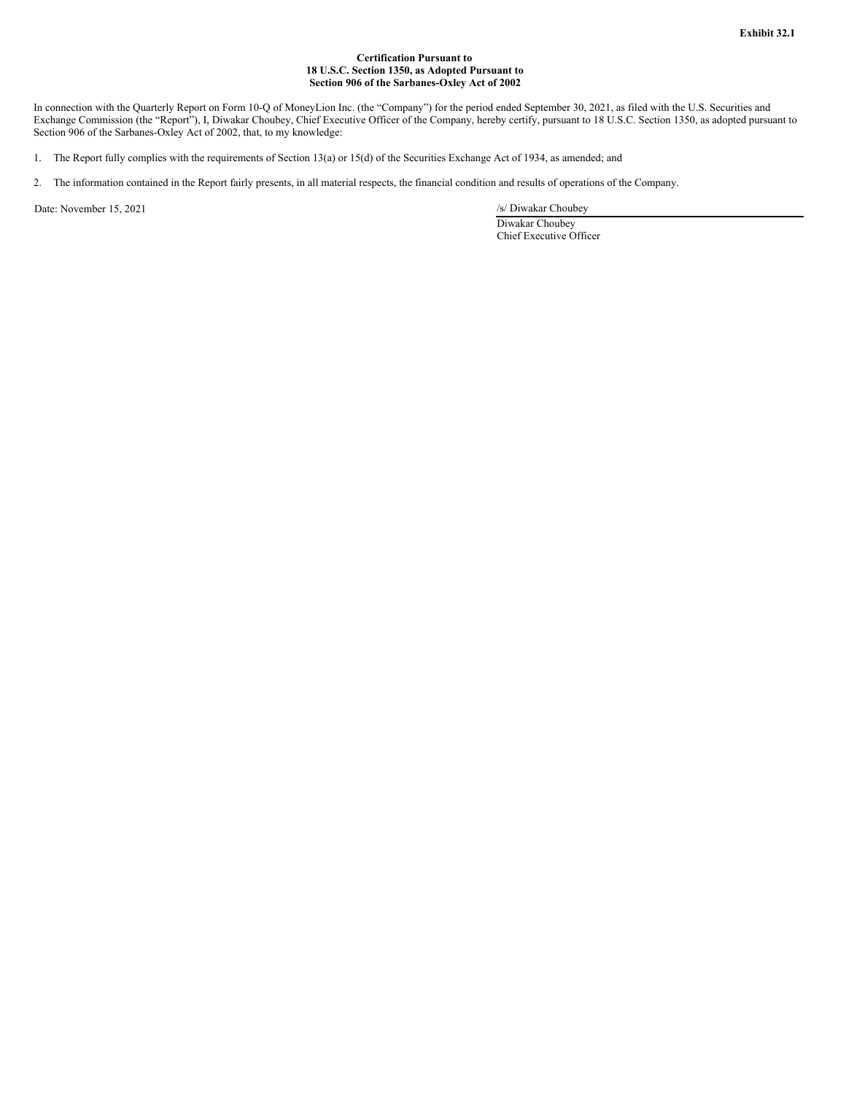## **Certification Pursuant to 18 U.S.C. Section 1350, as Adopted Pursuant to Section 906 of the Sarbanes-Oxley Act of 2002**

<span id="page-34-0"></span>In connection with the Quarterly Report on Form 10-Q of MoneyLion Inc. (the "Company") for the period ended September 30, 2021, as filed with the U.S. Securities and Exchange Commission (the "Report"), I, Diwakar Choubey, Chief Executive Officer of the Company, hereby certify, pursuant to 18 U.S.C. Section 1350, as adopted pursuant to Section 906 of the Sarbanes-Oxley Act of 2002, that, to my knowledge:

1. The Report fully complies with the requirements of Section 13(a) or 15(d) of the Securities Exchange Act of 1934, as amended; and

2. The information contained in the Report fairly presents, in all material respects, the financial condition and results of operations of the Company.

Date: November 15, 2021 /s/ Diwakar Choubey

Diwakar Choubey Chief Executive Officer